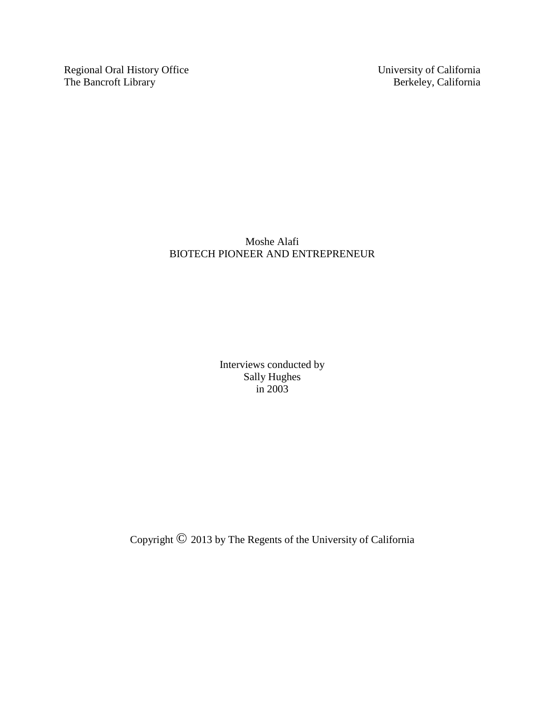Regional Oral History Office University of California<br>The Bancroft Library Berkeley, California The Bancroft Library

Moshe Alafi BIOTECH PIONEER AND ENTREPRENEUR

> Interviews conducted by Sally Hughes in 2003

Copyright © 2013 by The Regents of the University of California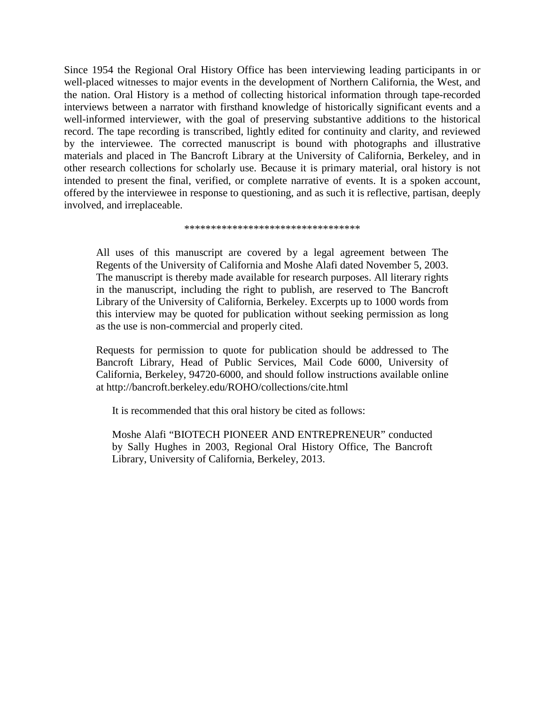Since 1954 the Regional Oral History Office has been interviewing leading participants in or well-placed witnesses to major events in the development of Northern California, the West, and the nation. Oral History is a method of collecting historical information through tape-recorded interviews between a narrator with firsthand knowledge of historically significant events and a well-informed interviewer, with the goal of preserving substantive additions to the historical record. The tape recording is transcribed, lightly edited for continuity and clarity, and reviewed by the interviewee. The corrected manuscript is bound with photographs and illustrative materials and placed in The Bancroft Library at the University of California, Berkeley, and in other research collections for scholarly use. Because it is primary material, oral history is not intended to present the final, verified, or complete narrative of events. It is a spoken account, offered by the interviewee in response to questioning, and as such it is reflective, partisan, deeply involved, and irreplaceable.

#### \*\*\*\*\*\*\*\*\*\*\*\*\*\*\*\*\*\*\*\*\*\*\*\*\*\*\*\*\*\*\*\*\*

All uses of this manuscript are covered by a legal agreement between The Regents of the University of California and Moshe Alafi dated November 5, 2003. The manuscript is thereby made available for research purposes. All literary rights in the manuscript, including the right to publish, are reserved to The Bancroft Library of the University of California, Berkeley. Excerpts up to 1000 words from this interview may be quoted for publication without seeking permission as long as the use is non-commercial and properly cited.

Requests for permission to quote for publication should be addressed to The Bancroft Library, Head of Public Services, Mail Code 6000, University of California, Berkeley, 94720-6000, and should follow instructions available online at http://bancroft.berkeley.edu/ROHO/collections/cite.html

It is recommended that this oral history be cited as follows:

Moshe Alafi "BIOTECH PIONEER AND ENTREPRENEUR" conducted by Sally Hughes in 2003, Regional Oral History Office, The Bancroft Library, University of California, Berkeley, 2013.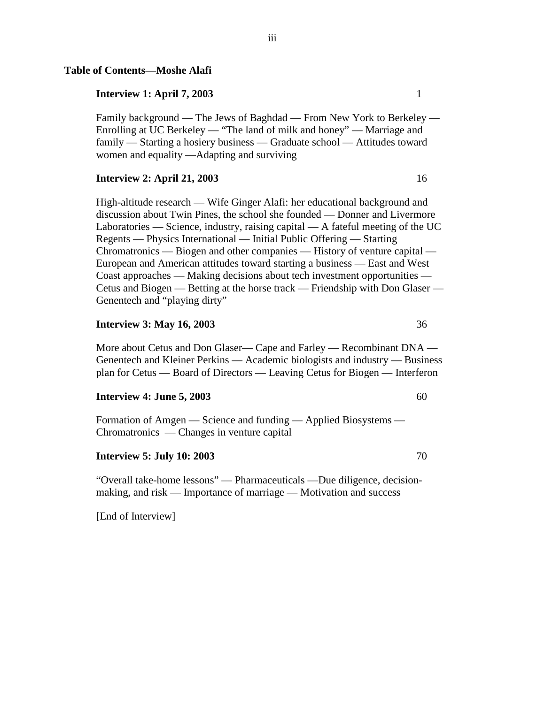### **Table of Contents—Moshe Alafi**

### **Interview 1: April 7, 2003** 1

Family background — The Jews of Baghdad — From New York to Berkeley — Enrolling at UC Berkeley — "The land of milk and honey" — Marriage and family — Starting a hosiery business — Graduate school — Attitudes toward women and equality —Adapting and surviving

#### **Interview 2: April 21, 2003** 16

High-altitude research — Wife Ginger Alafi: her educational background and discussion about Twin Pines, the school she founded — Donner and Livermore Laboratories — Science, industry, raising capital — A fateful meeting of the UC Regents — Physics International — Initial Public Offering — Starting Chromatronics — Biogen and other companies — History of venture capital — European and American attitudes toward starting a business — East and West Coast approaches — Making decisions about tech investment opportunities — Cetus and Biogen — Betting at the horse track — Friendship with Don Glaser — Genentech and "playing dirty"

#### **Interview 3: May 16, 2003** 36

More about Cetus and Don Glaser— Cape and Farley — Recombinant DNA — Genentech and Kleiner Perkins — Academic biologists and industry — Business plan for Cetus — Board of Directors — Leaving Cetus for Biogen — Interferon

#### **Interview 4: June 5, 2003** 60

Formation of Amgen — Science and funding — Applied Biosystems — Chromatronics — Changes in venture capital

### **Interview 5: July 10: 2003** 70

"Overall take-home lessons" — Pharmaceuticals —Due diligence, decisionmaking, and risk — Importance of marriage — Motivation and success

[End of Interview]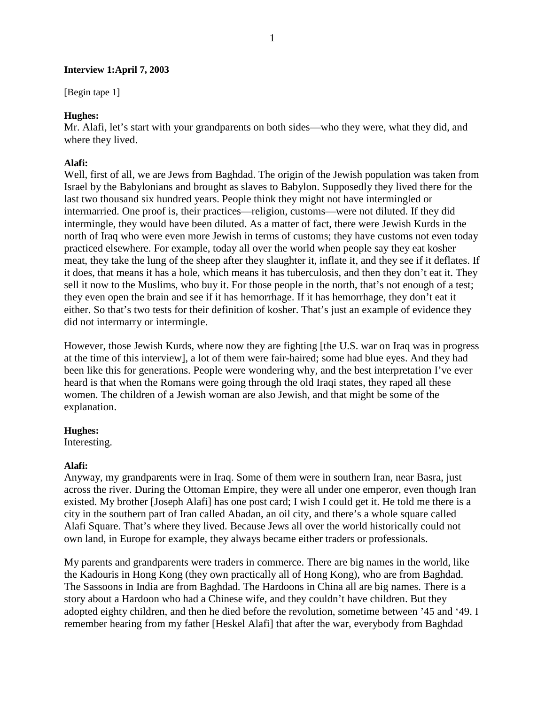### **Interview 1:April 7, 2003**

[Begin tape 1]

### **Hughes:**

Mr. Alafi, let's start with your grandparents on both sides—who they were, what they did, and where they lived.

### **Alafi:**

Well, first of all, we are Jews from Baghdad. The origin of the Jewish population was taken from Israel by the Babylonians and brought as slaves to Babylon. Supposedly they lived there for the last two thousand six hundred years. People think they might not have intermingled or intermarried. One proof is, their practices—religion, customs—were not diluted. If they did intermingle, they would have been diluted. As a matter of fact, there were Jewish Kurds in the north of Iraq who were even more Jewish in terms of customs; they have customs not even today practiced elsewhere. For example, today all over the world when people say they eat kosher meat, they take the lung of the sheep after they slaughter it, inflate it, and they see if it deflates. If it does, that means it has a hole, which means it has tuberculosis, and then they don't eat it. They sell it now to the Muslims, who buy it. For those people in the north, that's not enough of a test; they even open the brain and see if it has hemorrhage. If it has hemorrhage, they don't eat it either. So that's two tests for their definition of kosher. That's just an example of evidence they did not intermarry or intermingle.

However, those Jewish Kurds, where now they are fighting [the U.S. war on Iraq was in progress at the time of this interview], a lot of them were fair-haired; some had blue eyes. And they had been like this for generations. People were wondering why, and the best interpretation I've ever heard is that when the Romans were going through the old Iraqi states, they raped all these women. The children of a Jewish woman are also Jewish, and that might be some of the explanation.

### **Hughes:**

Interesting.

### **Alafi:**

Anyway, my grandparents were in Iraq. Some of them were in southern Iran, near Basra, just across the river. During the Ottoman Empire, they were all under one emperor, even though Iran existed. My brother [Joseph Alafi] has one post card; I wish I could get it. He told me there is a city in the southern part of Iran called Abadan, an oil city, and there's a whole square called Alafi Square. That's where they lived. Because Jews all over the world historically could not own land, in Europe for example, they always became either traders or professionals.

My parents and grandparents were traders in commerce. There are big names in the world, like the Kadouris in Hong Kong (they own practically all of Hong Kong), who are from Baghdad. The Sassoons in India are from Baghdad. The Hardoons in China all are big names. There is a story about a Hardoon who had a Chinese wife, and they couldn't have children. But they adopted eighty children, and then he died before the revolution, sometime between '45 and '49. I remember hearing from my father [Heskel Alafi] that after the war, everybody from Baghdad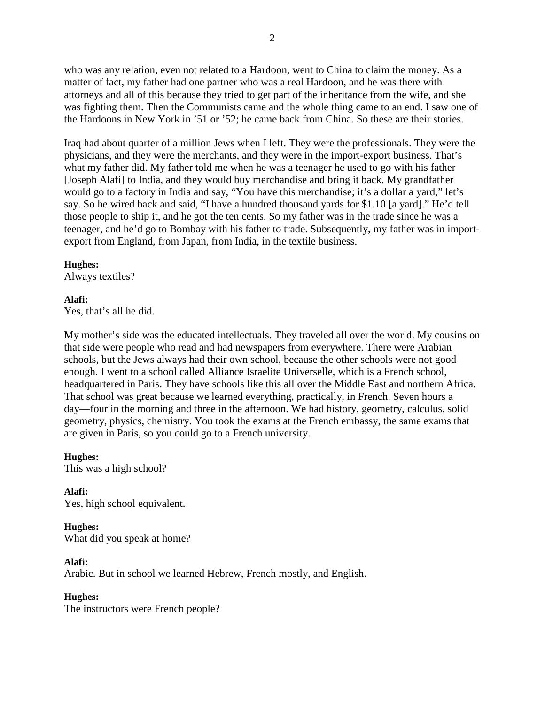who was any relation, even not related to a Hardoon, went to China to claim the money. As a matter of fact, my father had one partner who was a real Hardoon, and he was there with attorneys and all of this because they tried to get part of the inheritance from the wife, and she was fighting them. Then the Communists came and the whole thing came to an end. I saw one of the Hardoons in New York in '51 or '52; he came back from China. So these are their stories.

Iraq had about quarter of a million Jews when I left. They were the professionals. They were the physicians, and they were the merchants, and they were in the import-export business. That's what my father did. My father told me when he was a teenager he used to go with his father [Joseph Alafi] to India, and they would buy merchandise and bring it back. My grandfather would go to a factory in India and say, "You have this merchandise; it's a dollar a yard," let's say. So he wired back and said, "I have a hundred thousand yards for \$1.10 [a yard]." He'd tell those people to ship it, and he got the ten cents. So my father was in the trade since he was a teenager, and he'd go to Bombay with his father to trade. Subsequently, my father was in importexport from England, from Japan, from India, in the textile business.

### **Hughes:**

Always textiles?

# **Alafi:**

Yes, that's all he did.

My mother's side was the educated intellectuals. They traveled all over the world. My cousins on that side were people who read and had newspapers from everywhere. There were Arabian schools, but the Jews always had their own school, because the other schools were not good enough. I went to a school called Alliance Israelite Universelle, which is a French school, headquartered in Paris. They have schools like this all over the Middle East and northern Africa. That school was great because we learned everything, practically, in French. Seven hours a day—four in the morning and three in the afternoon. We had history, geometry, calculus, solid geometry, physics, chemistry. You took the exams at the French embassy, the same exams that are given in Paris, so you could go to a French university.

### **Hughes:**

This was a high school?

**Alafi:** Yes, high school equivalent.

# **Hughes:**

What did you speak at home?

### **Alafi:**

Arabic. But in school we learned Hebrew, French mostly, and English.

### **Hughes:**

The instructors were French people?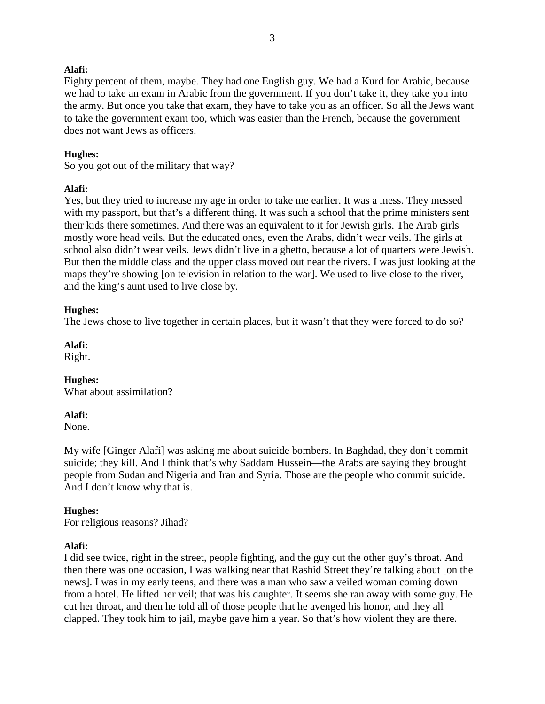Eighty percent of them, maybe. They had one English guy. We had a Kurd for Arabic, because we had to take an exam in Arabic from the government. If you don't take it, they take you into the army. But once you take that exam, they have to take you as an officer. So all the Jews want to take the government exam too, which was easier than the French, because the government does not want Jews as officers.

### **Hughes:**

So you got out of the military that way?

### **Alafi:**

Yes, but they tried to increase my age in order to take me earlier. It was a mess. They messed with my passport, but that's a different thing. It was such a school that the prime ministers sent their kids there sometimes. And there was an equivalent to it for Jewish girls. The Arab girls mostly wore head veils. But the educated ones, even the Arabs, didn't wear veils. The girls at school also didn't wear veils. Jews didn't live in a ghetto, because a lot of quarters were Jewish. But then the middle class and the upper class moved out near the rivers. I was just looking at the maps they're showing [on television in relation to the war]. We used to live close to the river, and the king's aunt used to live close by.

### **Hughes:**

The Jews chose to live together in certain places, but it wasn't that they were forced to do so?

**Alafi:**

Right.

# **Hughes:**

What about assimilation?

### **Alafi:**

None.

My wife [Ginger Alafi] was asking me about suicide bombers. In Baghdad, they don't commit suicide; they kill. And I think that's why Saddam Hussein—the Arabs are saying they brought people from Sudan and Nigeria and Iran and Syria. Those are the people who commit suicide. And I don't know why that is.

# **Hughes:**

For religious reasons? Jihad?

### **Alafi:**

I did see twice, right in the street, people fighting, and the guy cut the other guy's throat. And then there was one occasion, I was walking near that Rashid Street they're talking about [on the news]. I was in my early teens, and there was a man who saw a veiled woman coming down from a hotel. He lifted her veil; that was his daughter. It seems she ran away with some guy. He cut her throat, and then he told all of those people that he avenged his honor, and they all clapped. They took him to jail, maybe gave him a year. So that's how violent they are there.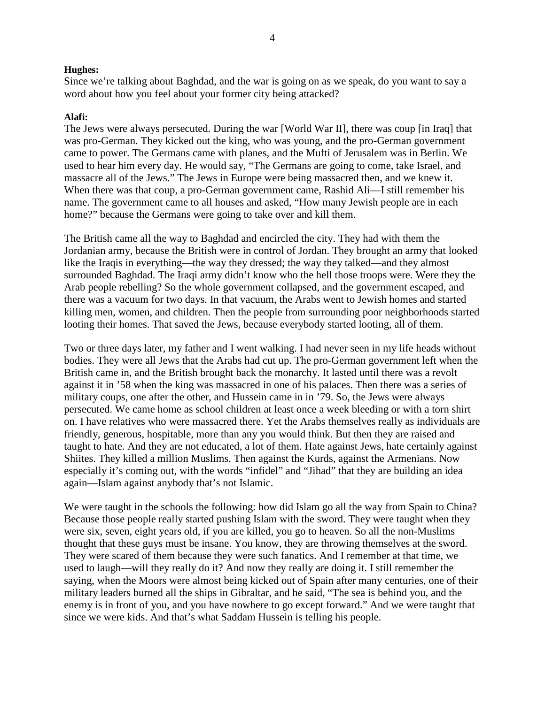Since we're talking about Baghdad, and the war is going on as we speak, do you want to say a word about how you feel about your former city being attacked?

### **Alafi:**

The Jews were always persecuted. During the war [World War II], there was coup [in Iraq] that was pro-German. They kicked out the king, who was young, and the pro-German government came to power. The Germans came with planes, and the Mufti of Jerusalem was in Berlin. We used to hear him every day. He would say, "The Germans are going to come, take Israel, and massacre all of the Jews." The Jews in Europe were being massacred then, and we knew it. When there was that coup, a pro-German government came, Rashid Ali—I still remember his name. The government came to all houses and asked, "How many Jewish people are in each home?" because the Germans were going to take over and kill them.

The British came all the way to Baghdad and encircled the city. They had with them the Jordanian army, because the British were in control of Jordan. They brought an army that looked like the Iraqis in everything—the way they dressed; the way they talked—and they almost surrounded Baghdad. The Iraqi army didn't know who the hell those troops were. Were they the Arab people rebelling? So the whole government collapsed, and the government escaped, and there was a vacuum for two days. In that vacuum, the Arabs went to Jewish homes and started killing men, women, and children. Then the people from surrounding poor neighborhoods started looting their homes. That saved the Jews, because everybody started looting, all of them.

Two or three days later, my father and I went walking. I had never seen in my life heads without bodies. They were all Jews that the Arabs had cut up. The pro-German government left when the British came in, and the British brought back the monarchy. It lasted until there was a revolt against it in '58 when the king was massacred in one of his palaces. Then there was a series of military coups, one after the other, and Hussein came in in '79. So, the Jews were always persecuted. We came home as school children at least once a week bleeding or with a torn shirt on. I have relatives who were massacred there. Yet the Arabs themselves really as individuals are friendly, generous, hospitable, more than any you would think. But then they are raised and taught to hate. And they are not educated, a lot of them. Hate against Jews, hate certainly against Shiites. They killed a million Muslims. Then against the Kurds, against the Armenians. Now especially it's coming out, with the words "infidel" and "Jihad" that they are building an idea again—Islam against anybody that's not Islamic.

We were taught in the schools the following: how did Islam go all the way from Spain to China? Because those people really started pushing Islam with the sword. They were taught when they were six, seven, eight years old, if you are killed, you go to heaven. So all the non-Muslims thought that these guys must be insane. You know, they are throwing themselves at the sword. They were scared of them because they were such fanatics. And I remember at that time, we used to laugh—will they really do it? And now they really are doing it. I still remember the saying, when the Moors were almost being kicked out of Spain after many centuries, one of their military leaders burned all the ships in Gibraltar, and he said, "The sea is behind you, and the enemy is in front of you, and you have nowhere to go except forward." And we were taught that since we were kids. And that's what Saddam Hussein is telling his people.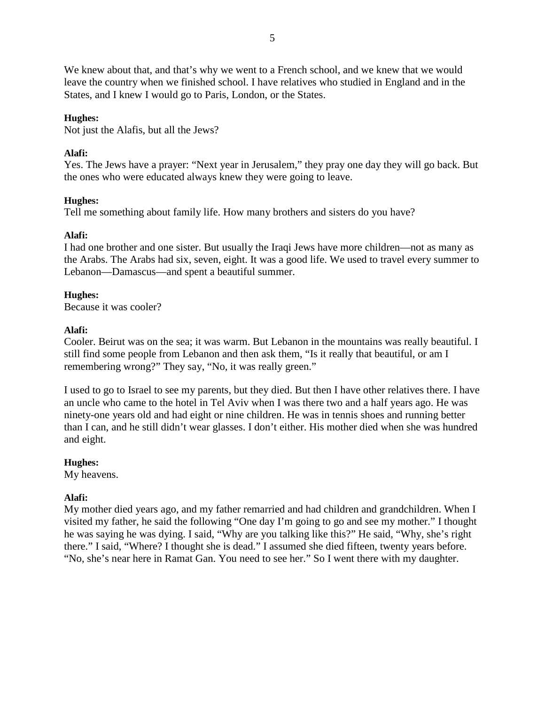We knew about that, and that's why we went to a French school, and we knew that we would leave the country when we finished school. I have relatives who studied in England and in the States, and I knew I would go to Paris, London, or the States.

# **Hughes:**

Not just the Alafis, but all the Jews?

# **Alafi:**

Yes. The Jews have a prayer: "Next year in Jerusalem," they pray one day they will go back. But the ones who were educated always knew they were going to leave.

# **Hughes:**

Tell me something about family life. How many brothers and sisters do you have?

# **Alafi:**

I had one brother and one sister. But usually the Iraqi Jews have more children—not as many as the Arabs. The Arabs had six, seven, eight. It was a good life. We used to travel every summer to Lebanon—Damascus—and spent a beautiful summer.

# **Hughes:**

Because it was cooler?

# **Alafi:**

Cooler. Beirut was on the sea; it was warm. But Lebanon in the mountains was really beautiful. I still find some people from Lebanon and then ask them, "Is it really that beautiful, or am I remembering wrong?" They say, "No, it was really green."

I used to go to Israel to see my parents, but they died. But then I have other relatives there. I have an uncle who came to the hotel in Tel Aviv when I was there two and a half years ago. He was ninety-one years old and had eight or nine children. He was in tennis shoes and running better than I can, and he still didn't wear glasses. I don't either. His mother died when she was hundred and eight.

# **Hughes:**

My heavens.

# **Alafi:**

My mother died years ago, and my father remarried and had children and grandchildren. When I visited my father, he said the following "One day I'm going to go and see my mother." I thought he was saying he was dying. I said, "Why are you talking like this?" He said, "Why, she's right there." I said, "Where? I thought she is dead." I assumed she died fifteen, twenty years before. "No, she's near here in Ramat Gan. You need to see her." So I went there with my daughter.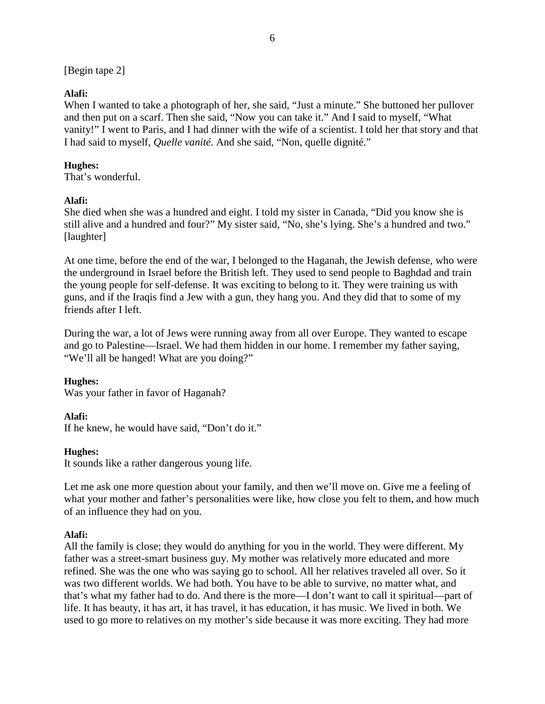[Begin tape 2]

# **Alafi:**

When I wanted to take a photograph of her, she said, "Just a minute." She buttoned her pullover and then put on a scarf. Then she said, "Now you can take it." And I said to myself, "What vanity!" I went to Paris, and I had dinner with the wife of a scientist. I told her that story and that I had said to myself, *Quelle vanité*. And she said, "Non, quelle dignité."

# **Hughes:**

That's wonderful.

# **Alafi:**

She died when she was a hundred and eight. I told my sister in Canada, "Did you know she is still alive and a hundred and four?" My sister said, "No, she's lying. She's a hundred and two." [laughter]

At one time, before the end of the war, I belonged to the Haganah, the Jewish defense, who were the underground in Israel before the British left. They used to send people to Baghdad and train the young people for self-defense. It was exciting to belong to it. They were training us with guns, and if the Iraqis find a Jew with a gun, they hang you. And they did that to some of my friends after I left.

During the war, a lot of Jews were running away from all over Europe. They wanted to escape and go to Palestine—Israel. We had them hidden in our home. I remember my father saying, "We'll all be hanged! What are you doing?"

# **Hughes:**

Was your father in favor of Haganah?

# **Alafi:**

If he knew, he would have said, "Don't do it."

# **Hughes:**

It sounds like a rather dangerous young life.

Let me ask one more question about your family, and then we'll move on. Give me a feeling of what your mother and father's personalities were like, how close you felt to them, and how much of an influence they had on you.

# **Alafi:**

All the family is close; they would do anything for you in the world. They were different. My father was a street-smart business guy. My mother was relatively more educated and more refined. She was the one who was saying go to school. All her relatives traveled all over. So it was two different worlds. We had both. You have to be able to survive, no matter what, and that's what my father had to do. And there is the more—I don't want to call it spiritual—part of life. It has beauty, it has art, it has travel, it has education, it has music. We lived in both. We used to go more to relatives on my mother's side because it was more exciting. They had more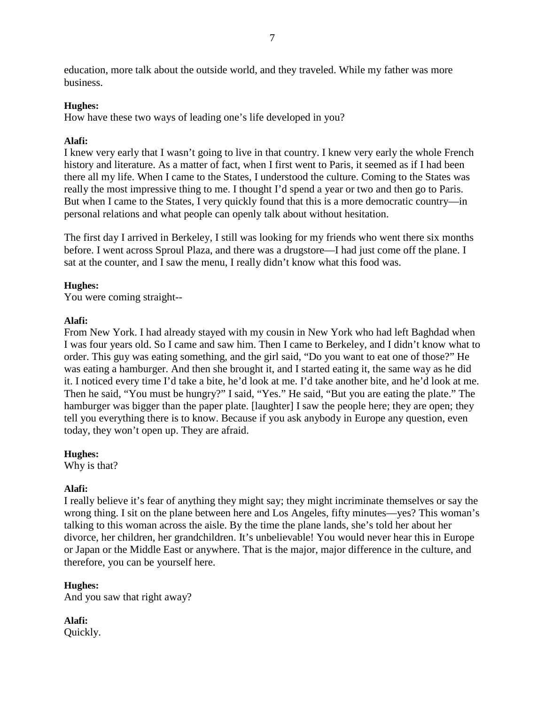education, more talk about the outside world, and they traveled. While my father was more business.

# **Hughes:**

How have these two ways of leading one's life developed in you?

# **Alafi:**

I knew very early that I wasn't going to live in that country. I knew very early the whole French history and literature. As a matter of fact, when I first went to Paris, it seemed as if I had been there all my life. When I came to the States, I understood the culture. Coming to the States was really the most impressive thing to me. I thought I'd spend a year or two and then go to Paris. But when I came to the States, I very quickly found that this is a more democratic country—in personal relations and what people can openly talk about without hesitation.

The first day I arrived in Berkeley, I still was looking for my friends who went there six months before. I went across Sproul Plaza, and there was a drugstore—I had just come off the plane. I sat at the counter, and I saw the menu, I really didn't know what this food was.

# **Hughes:**

You were coming straight--

# **Alafi:**

From New York. I had already stayed with my cousin in New York who had left Baghdad when I was four years old. So I came and saw him. Then I came to Berkeley, and I didn't know what to order. This guy was eating something, and the girl said, "Do you want to eat one of those?" He was eating a hamburger. And then she brought it, and I started eating it, the same way as he did it. I noticed every time I'd take a bite, he'd look at me. I'd take another bite, and he'd look at me. Then he said, "You must be hungry?" I said, "Yes." He said, "But you are eating the plate." The hamburger was bigger than the paper plate. [laughter] I saw the people here; they are open; they tell you everything there is to know. Because if you ask anybody in Europe any question, even today, they won't open up. They are afraid.

# **Hughes:**

Why is that?

# **Alafi:**

I really believe it's fear of anything they might say; they might incriminate themselves or say the wrong thing. I sit on the plane between here and Los Angeles, fifty minutes—yes? This woman's talking to this woman across the aisle. By the time the plane lands, she's told her about her divorce, her children, her grandchildren. It's unbelievable! You would never hear this in Europe or Japan or the Middle East or anywhere. That is the major, major difference in the culture, and therefore, you can be yourself here.

# **Hughes:**

And you saw that right away?

**Alafi:** Quickly.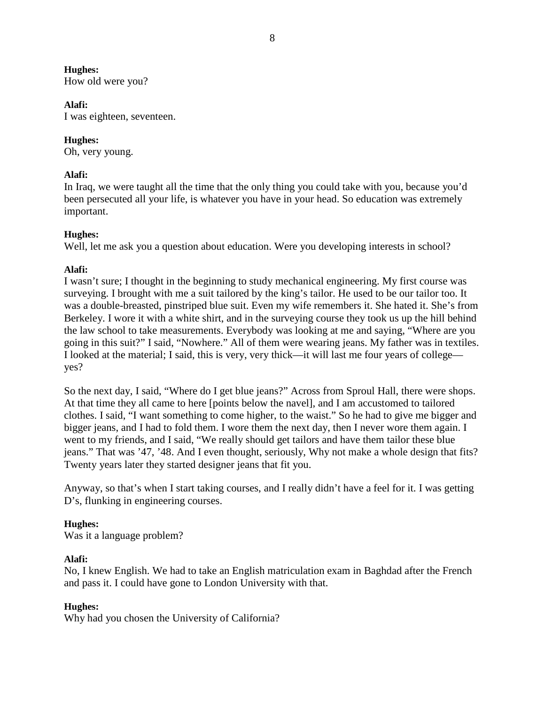How old were you?

### **Alafi:**

I was eighteen, seventeen.

# **Hughes:**

Oh, very young.

# **Alafi:**

In Iraq, we were taught all the time that the only thing you could take with you, because you'd been persecuted all your life, is whatever you have in your head. So education was extremely important.

# **Hughes:**

Well, let me ask you a question about education. Were you developing interests in school?

# **Alafi:**

I wasn't sure; I thought in the beginning to study mechanical engineering. My first course was surveying. I brought with me a suit tailored by the king's tailor. He used to be our tailor too. It was a double-breasted, pinstriped blue suit. Even my wife remembers it. She hated it. She's from Berkeley. I wore it with a white shirt, and in the surveying course they took us up the hill behind the law school to take measurements. Everybody was looking at me and saying, "Where are you going in this suit?" I said, "Nowhere." All of them were wearing jeans. My father was in textiles. I looked at the material; I said, this is very, very thick—it will last me four years of college yes?

So the next day, I said, "Where do I get blue jeans?" Across from Sproul Hall, there were shops. At that time they all came to here [points below the navel], and I am accustomed to tailored clothes. I said, "I want something to come higher, to the waist." So he had to give me bigger and bigger jeans, and I had to fold them. I wore them the next day, then I never wore them again. I went to my friends, and I said, "We really should get tailors and have them tailor these blue jeans." That was '47, '48. And I even thought, seriously, Why not make a whole design that fits? Twenty years later they started designer jeans that fit you.

Anyway, so that's when I start taking courses, and I really didn't have a feel for it. I was getting D's, flunking in engineering courses.

# **Hughes:**

Was it a language problem?

# **Alafi:**

No, I knew English. We had to take an English matriculation exam in Baghdad after the French and pass it. I could have gone to London University with that.

# **Hughes:**

Why had you chosen the University of California?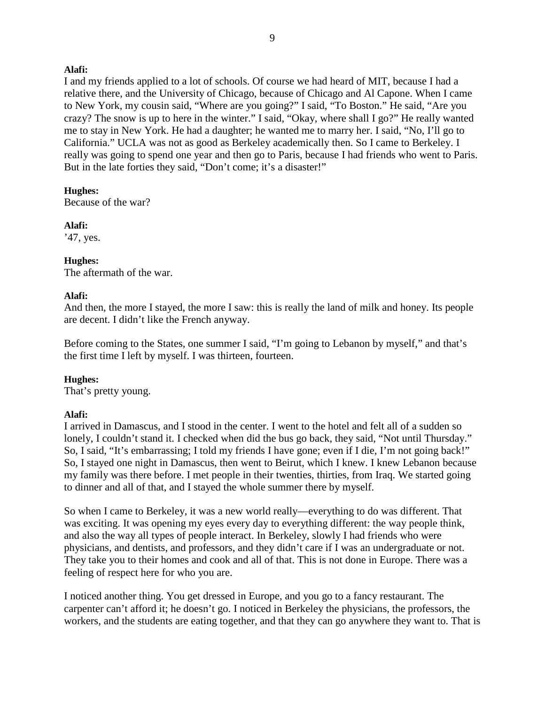I and my friends applied to a lot of schools. Of course we had heard of MIT, because I had a relative there, and the University of Chicago, because of Chicago and Al Capone. When I came to New York, my cousin said, "Where are you going?" I said, "To Boston." He said, "Are you crazy? The snow is up to here in the winter." I said, "Okay, where shall I go?" He really wanted me to stay in New York. He had a daughter; he wanted me to marry her. I said, "No, I'll go to California." UCLA was not as good as Berkeley academically then. So I came to Berkeley. I really was going to spend one year and then go to Paris, because I had friends who went to Paris. But in the late forties they said, "Don't come; it's a disaster!"

### **Hughes:**

Because of the war?

**Alafi:** '47, yes.

### **Hughes:**

The aftermath of the war.

### **Alafi:**

And then, the more I stayed, the more I saw: this is really the land of milk and honey. Its people are decent. I didn't like the French anyway.

Before coming to the States, one summer I said, "I'm going to Lebanon by myself," and that's the first time I left by myself. I was thirteen, fourteen.

### **Hughes:**

That's pretty young.

### **Alafi:**

I arrived in Damascus, and I stood in the center. I went to the hotel and felt all of a sudden so lonely, I couldn't stand it. I checked when did the bus go back, they said, "Not until Thursday." So, I said, "It's embarrassing; I told my friends I have gone; even if I die, I'm not going back!" So, I stayed one night in Damascus, then went to Beirut, which I knew. I knew Lebanon because my family was there before. I met people in their twenties, thirties, from Iraq. We started going to dinner and all of that, and I stayed the whole summer there by myself.

So when I came to Berkeley, it was a new world really—everything to do was different. That was exciting. It was opening my eyes every day to everything different: the way people think, and also the way all types of people interact. In Berkeley, slowly I had friends who were physicians, and dentists, and professors, and they didn't care if I was an undergraduate or not. They take you to their homes and cook and all of that. This is not done in Europe. There was a feeling of respect here for who you are.

I noticed another thing. You get dressed in Europe, and you go to a fancy restaurant. The carpenter can't afford it; he doesn't go. I noticed in Berkeley the physicians, the professors, the workers, and the students are eating together, and that they can go anywhere they want to. That is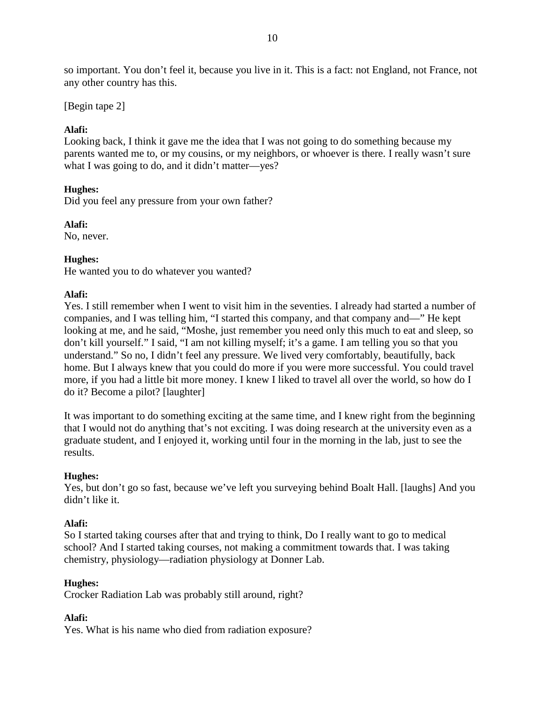so important. You don't feel it, because you live in it. This is a fact: not England, not France, not any other country has this.

[Begin tape 2]

# **Alafi:**

Looking back, I think it gave me the idea that I was not going to do something because my parents wanted me to, or my cousins, or my neighbors, or whoever is there. I really wasn't sure what I was going to do, and it didn't matter—yes?

# **Hughes:**

Did you feel any pressure from your own father?

**Alafi:**

No, never.

# **Hughes:**

He wanted you to do whatever you wanted?

# **Alafi:**

Yes. I still remember when I went to visit him in the seventies. I already had started a number of companies, and I was telling him, "I started this company, and that company and—" He kept looking at me, and he said, "Moshe, just remember you need only this much to eat and sleep, so don't kill yourself." I said, "I am not killing myself; it's a game. I am telling you so that you understand." So no, I didn't feel any pressure. We lived very comfortably, beautifully, back home. But I always knew that you could do more if you were more successful. You could travel more, if you had a little bit more money. I knew I liked to travel all over the world, so how do I do it? Become a pilot? [laughter]

It was important to do something exciting at the same time, and I knew right from the beginning that I would not do anything that's not exciting. I was doing research at the university even as a graduate student, and I enjoyed it, working until four in the morning in the lab, just to see the results.

# **Hughes:**

Yes, but don't go so fast, because we've left you surveying behind Boalt Hall. [laughs] And you didn't like it.

# **Alafi:**

So I started taking courses after that and trying to think, Do I really want to go to medical school? And I started taking courses, not making a commitment towards that. I was taking chemistry, physiology—radiation physiology at Donner Lab.

# **Hughes:**

Crocker Radiation Lab was probably still around, right?

# **Alafi:**

Yes. What is his name who died from radiation exposure?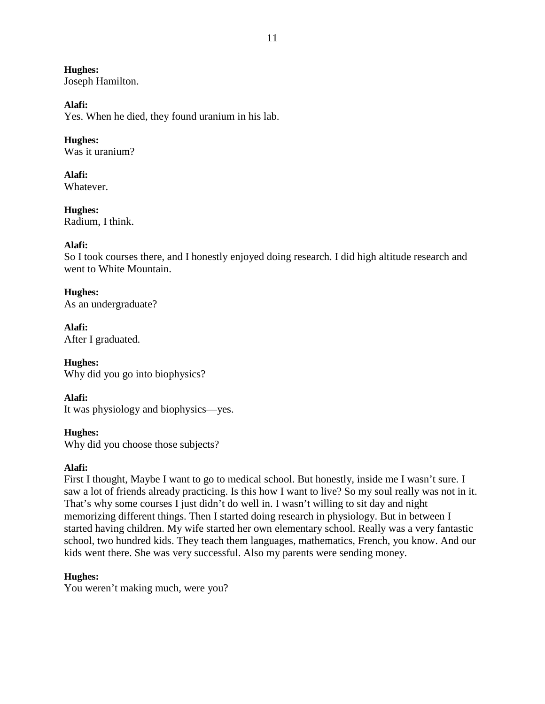**Hughes:** Joseph Hamilton.

#### **Alafi:**

Yes. When he died, they found uranium in his lab.

# **Hughes:**

Was it uranium?

**Alafi:** Whatever.

**Hughes:** Radium, I think.

### **Alafi:**

So I took courses there, and I honestly enjoyed doing research. I did high altitude research and went to White Mountain.

### **Hughes:**

As an undergraduate?

**Alafi:** After I graduated.

**Hughes:** Why did you go into biophysics?

### **Alafi:**

It was physiology and biophysics—yes.

# **Hughes:**

Why did you choose those subjects?

### **Alafi:**

First I thought, Maybe I want to go to medical school. But honestly, inside me I wasn't sure. I saw a lot of friends already practicing. Is this how I want to live? So my soul really was not in it. That's why some courses I just didn't do well in. I wasn't willing to sit day and night memorizing different things. Then I started doing research in physiology. But in between I started having children. My wife started her own elementary school. Really was a very fantastic school, two hundred kids. They teach them languages, mathematics, French, you know. And our kids went there. She was very successful. Also my parents were sending money.

### **Hughes:**

You weren't making much, were you?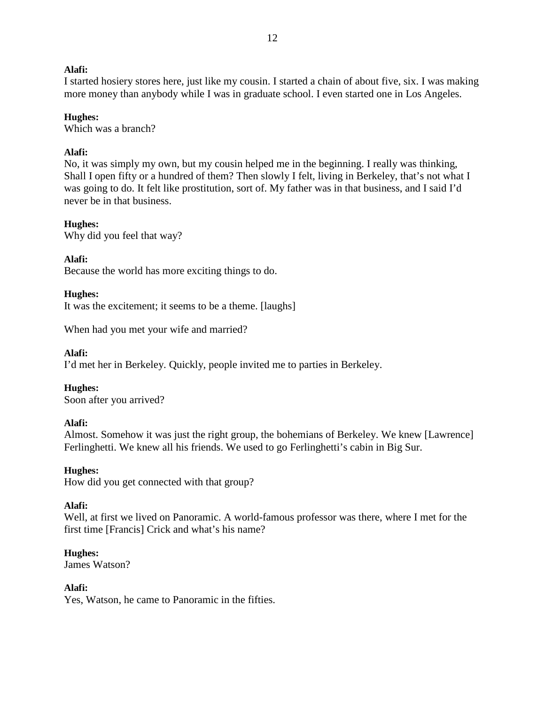I started hosiery stores here, just like my cousin. I started a chain of about five, six. I was making more money than anybody while I was in graduate school. I even started one in Los Angeles.

### **Hughes:**

Which was a branch?

### **Alafi:**

No, it was simply my own, but my cousin helped me in the beginning. I really was thinking, Shall I open fifty or a hundred of them? Then slowly I felt, living in Berkeley, that's not what I was going to do. It felt like prostitution, sort of. My father was in that business, and I said I'd never be in that business.

### **Hughes:**

Why did you feel that way?

### **Alafi:**

Because the world has more exciting things to do.

### **Hughes:**

It was the excitement; it seems to be a theme. [laughs]

When had you met your wife and married?

### **Alafi:**

I'd met her in Berkeley. Quickly, people invited me to parties in Berkeley.

### **Hughes:**

Soon after you arrived?

### **Alafi:**

Almost. Somehow it was just the right group, the bohemians of Berkeley. We knew [Lawrence] Ferlinghetti. We knew all his friends. We used to go Ferlinghetti's cabin in Big Sur.

### **Hughes:**

How did you get connected with that group?

### **Alafi:**

Well, at first we lived on Panoramic. A world-famous professor was there, where I met for the first time [Francis] Crick and what's his name?

### **Hughes:**

James Watson?

### **Alafi:**

Yes, Watson, he came to Panoramic in the fifties.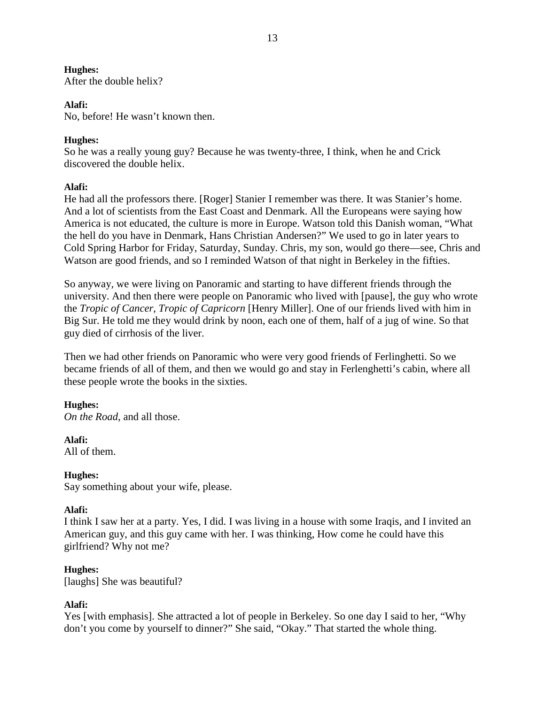After the double helix?

### **Alafi:**

No, before! He wasn't known then.

### **Hughes:**

So he was a really young guy? Because he was twenty-three, I think, when he and Crick discovered the double helix.

### **Alafi:**

He had all the professors there. [Roger] Stanier I remember was there. It was Stanier's home. And a lot of scientists from the East Coast and Denmark. All the Europeans were saying how America is not educated, the culture is more in Europe. Watson told this Danish woman, "What the hell do you have in Denmark, Hans Christian Andersen?" We used to go in later years to Cold Spring Harbor for Friday, Saturday, Sunday. Chris, my son, would go there—see, Chris and Watson are good friends, and so I reminded Watson of that night in Berkeley in the fifties.

So anyway, we were living on Panoramic and starting to have different friends through the university. And then there were people on Panoramic who lived with [pause], the guy who wrote the *Tropic of Cancer*, *Tropic of Capricorn* [Henry Miller]. One of our friends lived with him in Big Sur. He told me they would drink by noon, each one of them, half of a jug of wine. So that guy died of cirrhosis of the liver.

Then we had other friends on Panoramic who were very good friends of Ferlinghetti. So we became friends of all of them, and then we would go and stay in Ferlenghetti's cabin, where all these people wrote the books in the sixties.

### **Hughes:**

*On the Road*, and all those.

# **Alafi:**

All of them.

# **Hughes:**

Say something about your wife, please.

### **Alafi:**

I think I saw her at a party. Yes, I did. I was living in a house with some Iraqis, and I invited an American guy, and this guy came with her. I was thinking, How come he could have this girlfriend? Why not me?

### **Hughes:**

[laughs] She was beautiful?

### **Alafi:**

Yes [with emphasis]. She attracted a lot of people in Berkeley. So one day I said to her, "Why don't you come by yourself to dinner?" She said, "Okay." That started the whole thing.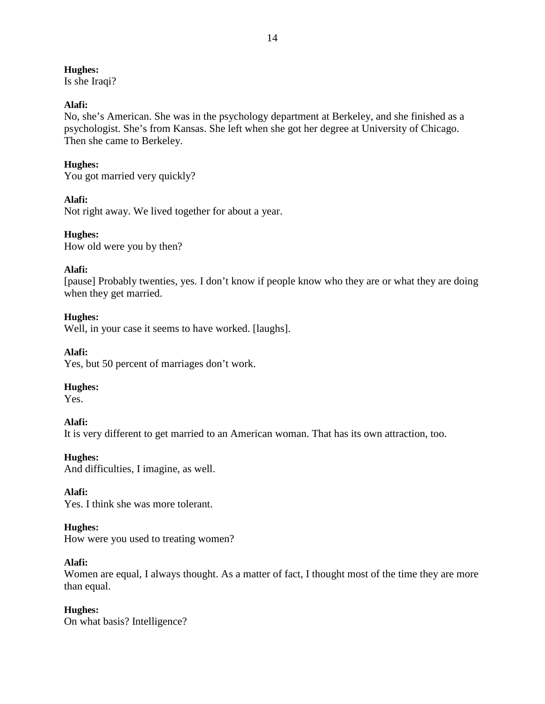Is she Iraqi?

### **Alafi:**

No, she's American. She was in the psychology department at Berkeley, and she finished as a psychologist. She's from Kansas. She left when she got her degree at University of Chicago. Then she came to Berkeley.

# **Hughes:**

You got married very quickly?

# **Alafi:**

Not right away. We lived together for about a year.

# **Hughes:**

How old were you by then?

# **Alafi:**

[pause] Probably twenties, yes. I don't know if people know who they are or what they are doing when they get married.

# **Hughes:**

Well, in your case it seems to have worked. [laughs].

**Alafi:**

Yes, but 50 percent of marriages don't work.

# **Hughes:**

Yes.

# **Alafi:**

It is very different to get married to an American woman. That has its own attraction, too.

# **Hughes:**

And difficulties, I imagine, as well.

### **Alafi:** Yes. I think she was more tolerant.

# **Hughes:**

How were you used to treating women?

# **Alafi:**

Women are equal, I always thought. As a matter of fact, I thought most of the time they are more than equal.

# **Hughes:**

On what basis? Intelligence?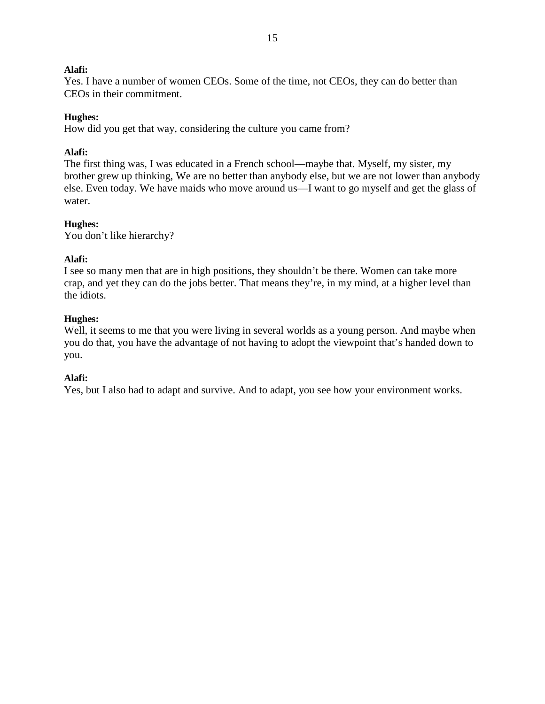Yes. I have a number of women CEOs. Some of the time, not CEOs, they can do better than CEOs in their commitment.

### **Hughes:**

How did you get that way, considering the culture you came from?

### **Alafi:**

The first thing was, I was educated in a French school—maybe that. Myself, my sister, my brother grew up thinking, We are no better than anybody else, but we are not lower than anybody else. Even today. We have maids who move around us—I want to go myself and get the glass of water.

### **Hughes:**

You don't like hierarchy?

### **Alafi:**

I see so many men that are in high positions, they shouldn't be there. Women can take more crap, and yet they can do the jobs better. That means they're, in my mind, at a higher level than the idiots.

### **Hughes:**

Well, it seems to me that you were living in several worlds as a young person. And maybe when you do that, you have the advantage of not having to adopt the viewpoint that's handed down to you.

### **Alafi:**

Yes, but I also had to adapt and survive. And to adapt, you see how your environment works.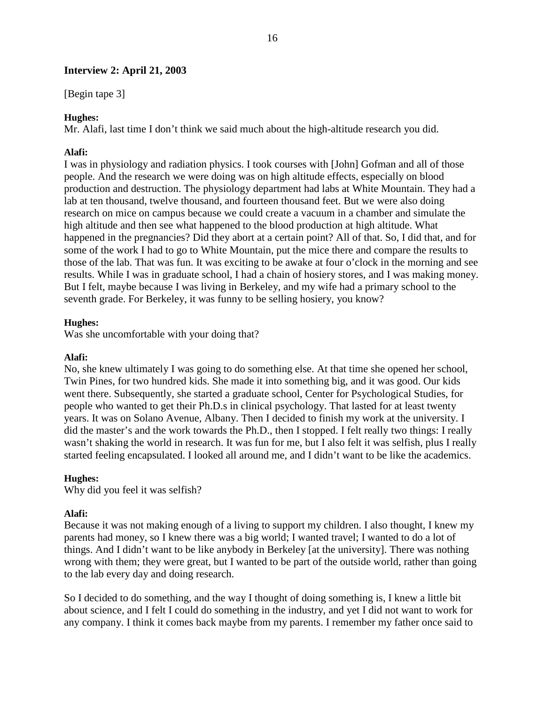### **Interview 2: April 21, 2003**

[Begin tape 3]

### **Hughes:**

Mr. Alafi, last time I don't think we said much about the high-altitude research you did.

### **Alafi:**

I was in physiology and radiation physics. I took courses with [John] Gofman and all of those people. And the research we were doing was on high altitude effects, especially on blood production and destruction. The physiology department had labs at White Mountain. They had a lab at ten thousand, twelve thousand, and fourteen thousand feet. But we were also doing research on mice on campus because we could create a vacuum in a chamber and simulate the high altitude and then see what happened to the blood production at high altitude. What happened in the pregnancies? Did they abort at a certain point? All of that. So, I did that, and for some of the work I had to go to White Mountain, put the mice there and compare the results to those of the lab. That was fun. It was exciting to be awake at four o'clock in the morning and see results. While I was in graduate school, I had a chain of hosiery stores, and I was making money. But I felt, maybe because I was living in Berkeley, and my wife had a primary school to the seventh grade. For Berkeley, it was funny to be selling hosiery, you know?

### **Hughes:**

Was she uncomfortable with your doing that?

### **Alafi:**

No, she knew ultimately I was going to do something else. At that time she opened her school, Twin Pines, for two hundred kids. She made it into something big, and it was good. Our kids went there. Subsequently, she started a graduate school, Center for Psychological Studies, for people who wanted to get their Ph.D.s in clinical psychology. That lasted for at least twenty years. It was on Solano Avenue, Albany. Then I decided to finish my work at the university. I did the master's and the work towards the Ph.D., then I stopped. I felt really two things: I really wasn't shaking the world in research. It was fun for me, but I also felt it was selfish, plus I really started feeling encapsulated. I looked all around me, and I didn't want to be like the academics.

### **Hughes:**

Why did you feel it was selfish?

### **Alafi:**

Because it was not making enough of a living to support my children. I also thought, I knew my parents had money, so I knew there was a big world; I wanted travel; I wanted to do a lot of things. And I didn't want to be like anybody in Berkeley [at the university]. There was nothing wrong with them; they were great, but I wanted to be part of the outside world, rather than going to the lab every day and doing research.

So I decided to do something, and the way I thought of doing something is, I knew a little bit about science, and I felt I could do something in the industry, and yet I did not want to work for any company. I think it comes back maybe from my parents. I remember my father once said to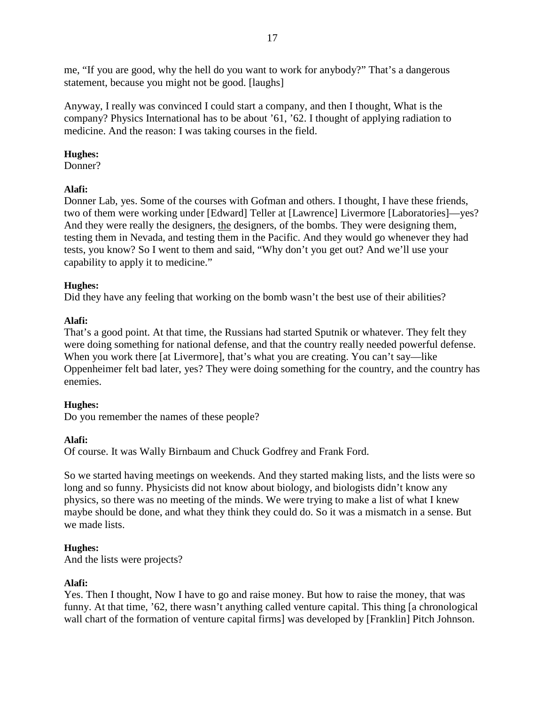me, "If you are good, why the hell do you want to work for anybody?" That's a dangerous statement, because you might not be good. [laughs]

Anyway, I really was convinced I could start a company, and then I thought, What is the company? Physics International has to be about '61, '62. I thought of applying radiation to medicine. And the reason: I was taking courses in the field.

# **Hughes:**

Donner?

# **Alafi:**

Donner Lab, yes. Some of the courses with Gofman and others. I thought, I have these friends, two of them were working under [Edward] Teller at [Lawrence] Livermore [Laboratories]—yes? And they were really the designers, the designers, of the bombs. They were designing them, testing them in Nevada, and testing them in the Pacific. And they would go whenever they had tests, you know? So I went to them and said, "Why don't you get out? And we'll use your capability to apply it to medicine."

# **Hughes:**

Did they have any feeling that working on the bomb wasn't the best use of their abilities?

# **Alafi:**

That's a good point. At that time, the Russians had started Sputnik or whatever. They felt they were doing something for national defense, and that the country really needed powerful defense. When you work there [at Livermore], that's what you are creating. You can't say—like Oppenheimer felt bad later, yes? They were doing something for the country, and the country has enemies.

# **Hughes:**

Do you remember the names of these people?

# **Alafi:**

Of course. It was Wally Birnbaum and Chuck Godfrey and Frank Ford.

So we started having meetings on weekends. And they started making lists, and the lists were so long and so funny. Physicists did not know about biology, and biologists didn't know any physics, so there was no meeting of the minds. We were trying to make a list of what I knew maybe should be done, and what they think they could do. So it was a mismatch in a sense. But we made lists.

# **Hughes:**

And the lists were projects?

# **Alafi:**

Yes. Then I thought, Now I have to go and raise money. But how to raise the money, that was funny. At that time, '62, there wasn't anything called venture capital. This thing [a chronological wall chart of the formation of venture capital firms] was developed by [Franklin] Pitch Johnson.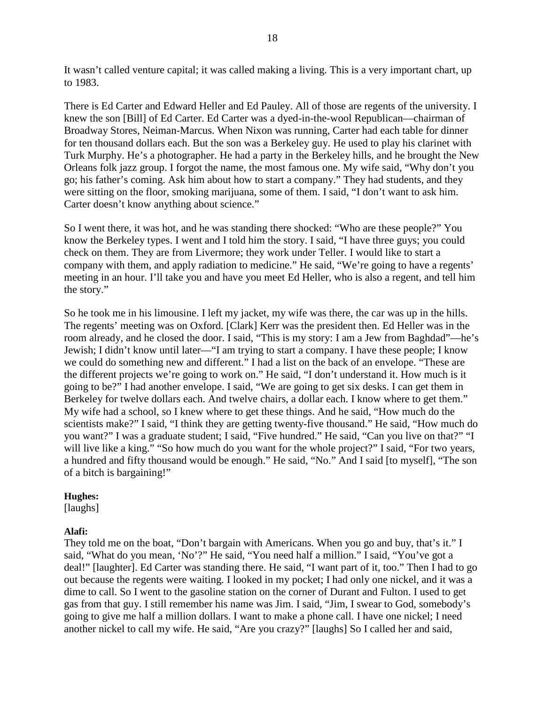It wasn't called venture capital; it was called making a living. This is a very important chart, up to 1983.

There is Ed Carter and Edward Heller and Ed Pauley. All of those are regents of the university. I knew the son [Bill] of Ed Carter. Ed Carter was a dyed-in-the-wool Republican—chairman of Broadway Stores, Neiman-Marcus. When Nixon was running, Carter had each table for dinner for ten thousand dollars each. But the son was a Berkeley guy. He used to play his clarinet with Turk Murphy. He's a photographer. He had a party in the Berkeley hills, and he brought the New Orleans folk jazz group. I forgot the name, the most famous one. My wife said, "Why don't you go; his father's coming. Ask him about how to start a company." They had students, and they were sitting on the floor, smoking marijuana, some of them. I said, "I don't want to ask him. Carter doesn't know anything about science."

So I went there, it was hot, and he was standing there shocked: "Who are these people?" You know the Berkeley types. I went and I told him the story. I said, "I have three guys; you could check on them. They are from Livermore; they work under Teller. I would like to start a company with them, and apply radiation to medicine." He said, "We're going to have a regents' meeting in an hour. I'll take you and have you meet Ed Heller, who is also a regent, and tell him the story."

So he took me in his limousine. I left my jacket, my wife was there, the car was up in the hills. The regents' meeting was on Oxford. [Clark] Kerr was the president then. Ed Heller was in the room already, and he closed the door. I said, "This is my story: I am a Jew from Baghdad"—he's Jewish; I didn't know until later—"I am trying to start a company. I have these people; I know we could do something new and different." I had a list on the back of an envelope. "These are the different projects we're going to work on." He said, "I don't understand it. How much is it going to be?" I had another envelope. I said, "We are going to get six desks. I can get them in Berkeley for twelve dollars each. And twelve chairs, a dollar each. I know where to get them." My wife had a school, so I knew where to get these things. And he said, "How much do the scientists make?" I said, "I think they are getting twenty-five thousand." He said, "How much do you want?" I was a graduate student; I said, "Five hundred." He said, "Can you live on that?" "I will live like a king." "So how much do you want for the whole project?" I said, "For two years, a hundred and fifty thousand would be enough." He said, "No." And I said [to myself], "The son of a bitch is bargaining!"

### **Hughes:**

[laughs]

# **Alafi:**

They told me on the boat, "Don't bargain with Americans. When you go and buy, that's it." I said, "What do you mean, 'No'?" He said, "You need half a million." I said, "You've got a deal!" [laughter]. Ed Carter was standing there. He said, "I want part of it, too." Then I had to go out because the regents were waiting. I looked in my pocket; I had only one nickel, and it was a dime to call. So I went to the gasoline station on the corner of Durant and Fulton. I used to get gas from that guy. I still remember his name was Jim. I said, "Jim, I swear to God, somebody's going to give me half a million dollars. I want to make a phone call. I have one nickel; I need another nickel to call my wife. He said, "Are you crazy?" [laughs] So I called her and said,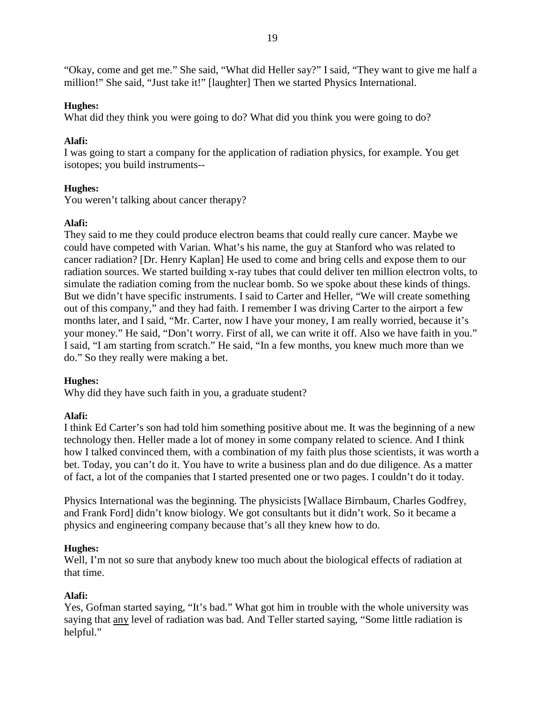"Okay, come and get me." She said, "What did Heller say?" I said, "They want to give me half a million!" She said, "Just take it!" [laughter] Then we started Physics International.

### **Hughes:**

What did they think you were going to do? What did you think you were going to do?

### **Alafi:**

I was going to start a company for the application of radiation physics, for example. You get isotopes; you build instruments--

# **Hughes:**

You weren't talking about cancer therapy?

### **Alafi:**

They said to me they could produce electron beams that could really cure cancer. Maybe we could have competed with Varian. What's his name, the guy at Stanford who was related to cancer radiation? [Dr. Henry Kaplan] He used to come and bring cells and expose them to our radiation sources. We started building x-ray tubes that could deliver ten million electron volts, to simulate the radiation coming from the nuclear bomb. So we spoke about these kinds of things. But we didn't have specific instruments. I said to Carter and Heller, "We will create something out of this company," and they had faith. I remember I was driving Carter to the airport a few months later, and I said, "Mr. Carter, now I have your money, I am really worried, because it's your money." He said, "Don't worry. First of all, we can write it off. Also we have faith in you." I said, "I am starting from scratch." He said, "In a few months, you knew much more than we do." So they really were making a bet.

# **Hughes:**

Why did they have such faith in you, a graduate student?

# **Alafi:**

I think Ed Carter's son had told him something positive about me. It was the beginning of a new technology then. Heller made a lot of money in some company related to science. And I think how I talked convinced them, with a combination of my faith plus those scientists, it was worth a bet. Today, you can't do it. You have to write a business plan and do due diligence. As a matter of fact, a lot of the companies that I started presented one or two pages. I couldn't do it today.

Physics International was the beginning. The physicists [Wallace Birnbaum, Charles Godfrey, and Frank Ford] didn't know biology. We got consultants but it didn't work. So it became a physics and engineering company because that's all they knew how to do.

# **Hughes:**

Well, I'm not so sure that any body knew too much about the biological effects of radiation at that time.

# **Alafi:**

Yes, Gofman started saying, "It's bad." What got him in trouble with the whole university was saying that any level of radiation was bad. And Teller started saying, "Some little radiation is helpful."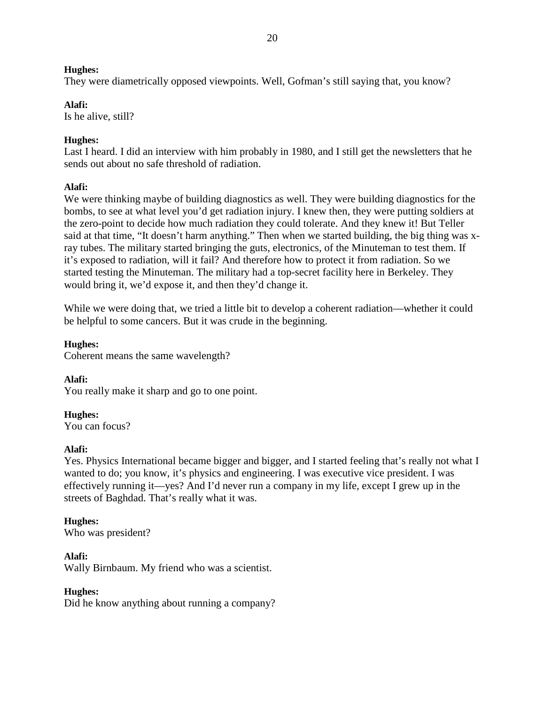They were diametrically opposed viewpoints. Well, Gofman's still saying that, you know?

# **Alafi:**

Is he alive, still?

# **Hughes:**

Last I heard. I did an interview with him probably in 1980, and I still get the newsletters that he sends out about no safe threshold of radiation.

# **Alafi:**

We were thinking maybe of building diagnostics as well. They were building diagnostics for the bombs, to see at what level you'd get radiation injury. I knew then, they were putting soldiers at the zero-point to decide how much radiation they could tolerate. And they knew it! But Teller said at that time, "It doesn't harm anything." Then when we started building, the big thing was xray tubes. The military started bringing the guts, electronics, of the Minuteman to test them. If it's exposed to radiation, will it fail? And therefore how to protect it from radiation. So we started testing the Minuteman. The military had a top-secret facility here in Berkeley. They would bring it, we'd expose it, and then they'd change it.

While we were doing that, we tried a little bit to develop a coherent radiation—whether it could be helpful to some cancers. But it was crude in the beginning.

**Hughes:** Coherent means the same wavelength?

**Alafi:** You really make it sharp and go to one point.

**Hughes:**

You can focus?

# **Alafi:**

Yes. Physics International became bigger and bigger, and I started feeling that's really not what I wanted to do; you know, it's physics and engineering. I was executive vice president. I was effectively running it—yes? And I'd never run a company in my life, except I grew up in the streets of Baghdad. That's really what it was.

# **Hughes:**

Who was president?

# **Alafi:**

Wally Birnbaum. My friend who was a scientist.

# **Hughes:**

Did he know anything about running a company?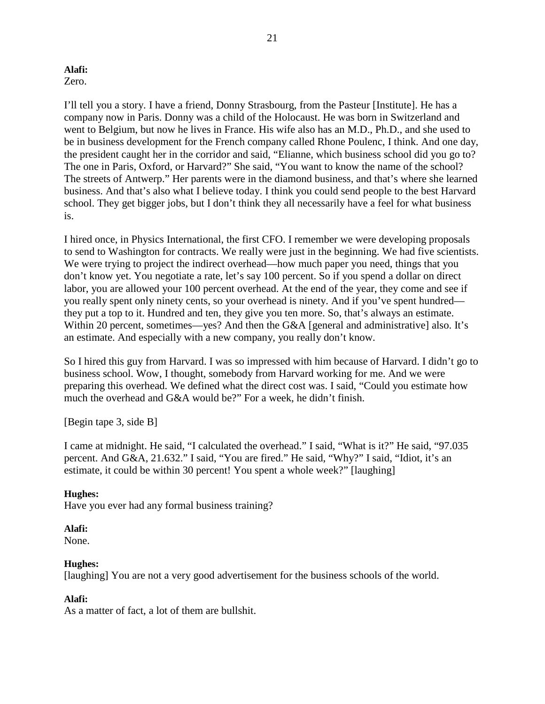# Zero.

I'll tell you a story. I have a friend, Donny Strasbourg, from the Pasteur [Institute]. He has a company now in Paris. Donny was a child of the Holocaust. He was born in Switzerland and went to Belgium, but now he lives in France. His wife also has an M.D., Ph.D., and she used to be in business development for the French company called Rhone Poulenc, I think. And one day, the president caught her in the corridor and said, "Elianne, which business school did you go to? The one in Paris, Oxford, or Harvard?" She said, "You want to know the name of the school? The streets of Antwerp." Her parents were in the diamond business, and that's where she learned business. And that's also what I believe today. I think you could send people to the best Harvard school. They get bigger jobs, but I don't think they all necessarily have a feel for what business is.

I hired once, in Physics International, the first CFO. I remember we were developing proposals to send to Washington for contracts. We really were just in the beginning. We had five scientists. We were trying to project the indirect overhead—how much paper you need, things that you don't know yet. You negotiate a rate, let's say 100 percent. So if you spend a dollar on direct labor, you are allowed your 100 percent overhead. At the end of the year, they come and see if you really spent only ninety cents, so your overhead is ninety. And if you've spent hundred they put a top to it. Hundred and ten, they give you ten more. So, that's always an estimate. Within 20 percent, sometimes—yes? And then the G&A [general and administrative] also. It's an estimate. And especially with a new company, you really don't know.

So I hired this guy from Harvard. I was so impressed with him because of Harvard. I didn't go to business school. Wow, I thought, somebody from Harvard working for me. And we were preparing this overhead. We defined what the direct cost was. I said, "Could you estimate how much the overhead and G&A would be?" For a week, he didn't finish.

[Begin tape 3, side B]

I came at midnight. He said, "I calculated the overhead." I said, "What is it?" He said, "97.035 percent. And G&A, 21.632." I said, "You are fired." He said, "Why?" I said, "Idiot, it's an estimate, it could be within 30 percent! You spent a whole week?" [laughing]

# **Hughes:**

Have you ever had any formal business training?

# **Alafi:**

None.

# **Hughes:**

[laughing] You are not a very good advertisement for the business schools of the world.

# **Alafi:**

As a matter of fact, a lot of them are bullshit.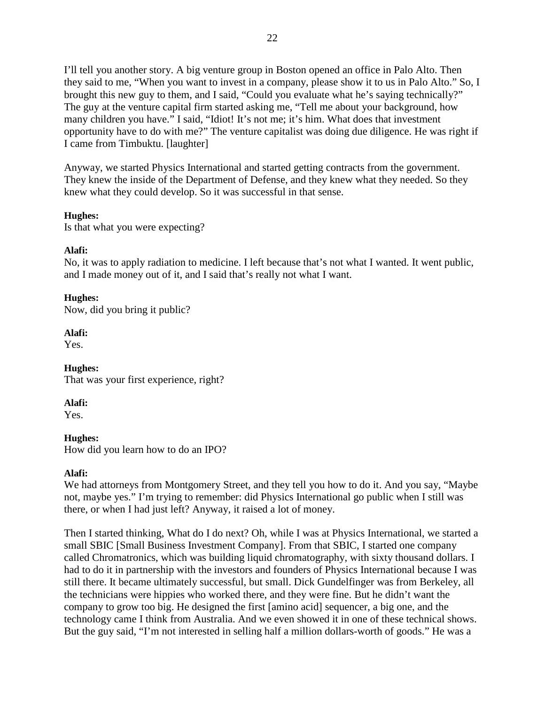I'll tell you another story. A big venture group in Boston opened an office in Palo Alto. Then they said to me, "When you want to invest in a company, please show it to us in Palo Alto." So, I brought this new guy to them, and I said, "Could you evaluate what he's saying technically?" The guy at the venture capital firm started asking me, "Tell me about your background, how many children you have." I said, "Idiot! It's not me; it's him. What does that investment opportunity have to do with me?" The venture capitalist was doing due diligence. He was right if I came from Timbuktu. [laughter]

Anyway, we started Physics International and started getting contracts from the government. They knew the inside of the Department of Defense, and they knew what they needed. So they knew what they could develop. So it was successful in that sense.

### **Hughes:**

Is that what you were expecting?

# **Alafi:**

No, it was to apply radiation to medicine. I left because that's not what I wanted. It went public, and I made money out of it, and I said that's really not what I want.

# **Hughes:**

Now, did you bring it public?

### **Alafi:**

Yes.

**Hughes:** That was your first experience, right?

**Alafi:**

Yes.

# **Hughes:**

How did you learn how to do an IPO?

# **Alafi:**

We had attorneys from Montgomery Street, and they tell you how to do it. And you say, "Maybe" not, maybe yes." I'm trying to remember: did Physics International go public when I still was there, or when I had just left? Anyway, it raised a lot of money.

Then I started thinking, What do I do next? Oh, while I was at Physics International, we started a small SBIC [Small Business Investment Company]. From that SBIC, I started one company called Chromatronics, which was building liquid chromatography, with sixty thousand dollars. I had to do it in partnership with the investors and founders of Physics International because I was still there. It became ultimately successful, but small. Dick Gundelfinger was from Berkeley, all the technicians were hippies who worked there, and they were fine. But he didn't want the company to grow too big. He designed the first [amino acid] sequencer, a big one, and the technology came I think from Australia. And we even showed it in one of these technical shows. But the guy said, "I'm not interested in selling half a million dollars-worth of goods." He was a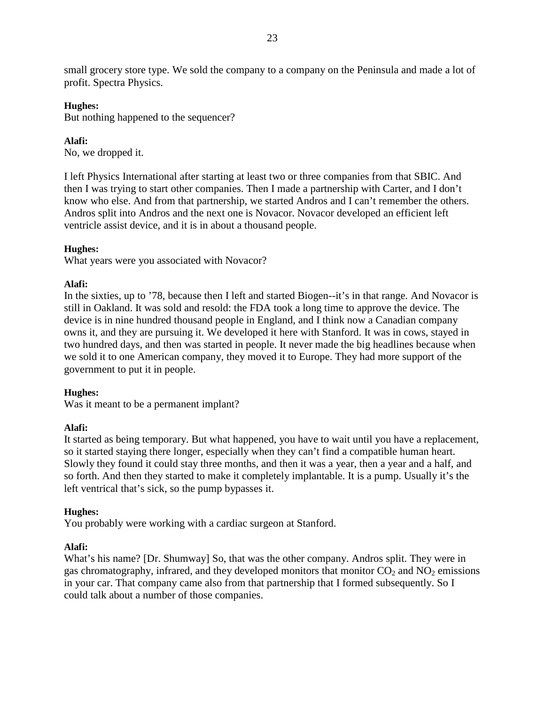small grocery store type. We sold the company to a company on the Peninsula and made a lot of profit. Spectra Physics.

### **Hughes:**

But nothing happened to the sequencer?

# **Alafi:**

No, we dropped it.

I left Physics International after starting at least two or three companies from that SBIC. And then I was trying to start other companies. Then I made a partnership with Carter, and I don't know who else. And from that partnership, we started Andros and I can't remember the others. Andros split into Andros and the next one is Novacor. Novacor developed an efficient left ventricle assist device, and it is in about a thousand people.

# **Hughes:**

What years were you associated with Novacor?

# **Alafi:**

In the sixties, up to '78, because then I left and started Biogen--it's in that range. And Novacor is still in Oakland. It was sold and resold: the FDA took a long time to approve the device. The device is in nine hundred thousand people in England, and I think now a Canadian company owns it, and they are pursuing it. We developed it here with Stanford. It was in cows, stayed in two hundred days, and then was started in people. It never made the big headlines because when we sold it to one American company, they moved it to Europe. They had more support of the government to put it in people.

# **Hughes:**

Was it meant to be a permanent implant?

# **Alafi:**

It started as being temporary. But what happened, you have to wait until you have a replacement, so it started staying there longer, especially when they can't find a compatible human heart. Slowly they found it could stay three months, and then it was a year, then a year and a half, and so forth. And then they started to make it completely implantable. It is a pump. Usually it's the left ventrical that's sick, so the pump bypasses it.

# **Hughes:**

You probably were working with a cardiac surgeon at Stanford.

# **Alafi:**

What's his name? [Dr. Shumway] So, that was the other company. Andros split. They were in gas chromatography, infrared, and they developed monitors that monitor  $CO<sub>2</sub>$  and  $NO<sub>2</sub>$  emissions in your car. That company came also from that partnership that I formed subsequently. So I could talk about a number of those companies.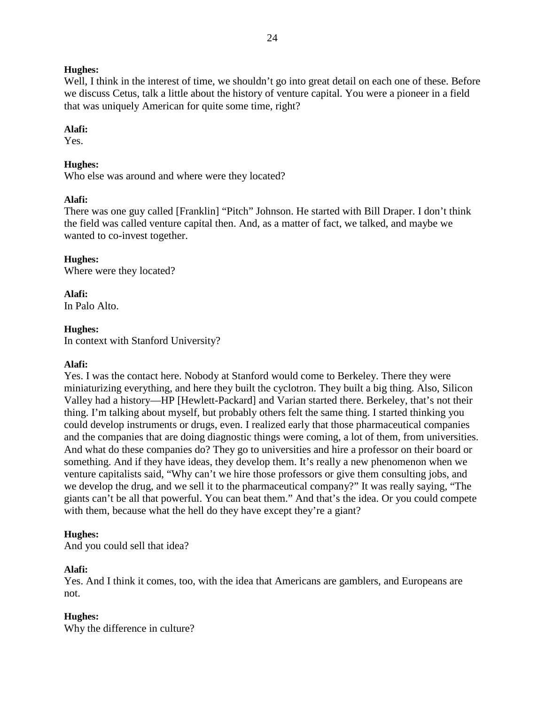Well, I think in the interest of time, we shouldn't go into great detail on each one of these. Before we discuss Cetus, talk a little about the history of venture capital. You were a pioneer in a field that was uniquely American for quite some time, right?

### **Alafi:**

Yes.

# **Hughes:**

Who else was around and where were they located?

# **Alafi:**

There was one guy called [Franklin] "Pitch" Johnson. He started with Bill Draper. I don't think the field was called venture capital then. And, as a matter of fact, we talked, and maybe we wanted to co-invest together.

### **Hughes:**

Where were they located?

# **Alafi:**

In Palo Alto.

# **Hughes:**

In context with Stanford University?

# **Alafi:**

Yes. I was the contact here. Nobody at Stanford would come to Berkeley. There they were miniaturizing everything, and here they built the cyclotron. They built a big thing. Also, Silicon Valley had a history—HP [Hewlett-Packard] and Varian started there. Berkeley, that's not their thing. I'm talking about myself, but probably others felt the same thing. I started thinking you could develop instruments or drugs, even. I realized early that those pharmaceutical companies and the companies that are doing diagnostic things were coming, a lot of them, from universities. And what do these companies do? They go to universities and hire a professor on their board or something. And if they have ideas, they develop them. It's really a new phenomenon when we venture capitalists said, "Why can't we hire those professors or give them consulting jobs, and we develop the drug, and we sell it to the pharmaceutical company?" It was really saying, "The giants can't be all that powerful. You can beat them." And that's the idea. Or you could compete with them, because what the hell do they have except they're a giant?

# **Hughes:**

And you could sell that idea?

# **Alafi:**

Yes. And I think it comes, too, with the idea that Americans are gamblers, and Europeans are not.

# **Hughes:**

Why the difference in culture?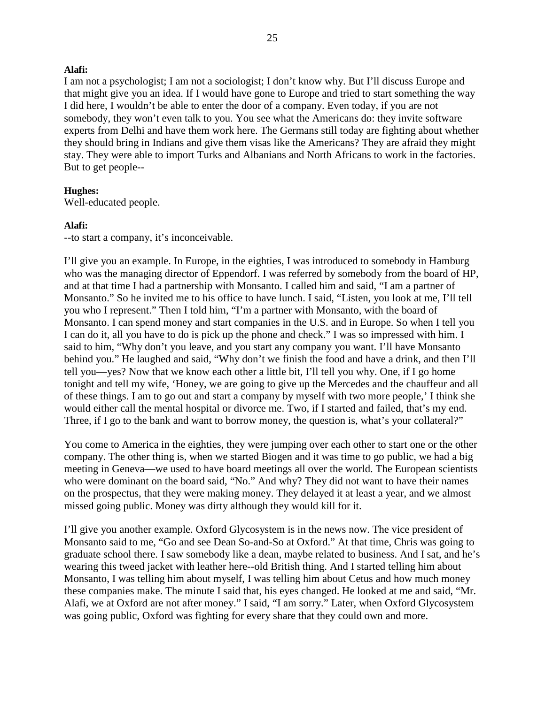I am not a psychologist; I am not a sociologist; I don't know why. But I'll discuss Europe and that might give you an idea. If I would have gone to Europe and tried to start something the way I did here, I wouldn't be able to enter the door of a company. Even today, if you are not somebody, they won't even talk to you. You see what the Americans do: they invite software experts from Delhi and have them work here. The Germans still today are fighting about whether they should bring in Indians and give them visas like the Americans? They are afraid they might stay. They were able to import Turks and Albanians and North Africans to work in the factories. But to get people--

### **Hughes:**

Well-educated people.

#### **Alafi:**

--to start a company, it's inconceivable.

I'll give you an example. In Europe, in the eighties, I was introduced to somebody in Hamburg who was the managing director of Eppendorf. I was referred by somebody from the board of HP, and at that time I had a partnership with Monsanto. I called him and said, "I am a partner of Monsanto." So he invited me to his office to have lunch. I said, "Listen, you look at me, I'll tell you who I represent." Then I told him, "I'm a partner with Monsanto, with the board of Monsanto. I can spend money and start companies in the U.S. and in Europe. So when I tell you I can do it, all you have to do is pick up the phone and check." I was so impressed with him. I said to him, "Why don't you leave, and you start any company you want. I'll have Monsanto behind you." He laughed and said, "Why don't we finish the food and have a drink, and then I'll tell you—yes? Now that we know each other a little bit, I'll tell you why. One, if I go home tonight and tell my wife, 'Honey, we are going to give up the Mercedes and the chauffeur and all of these things. I am to go out and start a company by myself with two more people,' I think she would either call the mental hospital or divorce me. Two, if I started and failed, that's my end. Three, if I go to the bank and want to borrow money, the question is, what's your collateral?"

You come to America in the eighties, they were jumping over each other to start one or the other company. The other thing is, when we started Biogen and it was time to go public, we had a big meeting in Geneva—we used to have board meetings all over the world. The European scientists who were dominant on the board said, "No." And why? They did not want to have their names on the prospectus, that they were making money. They delayed it at least a year, and we almost missed going public. Money was dirty although they would kill for it.

I'll give you another example. Oxford Glycosystem is in the news now. The vice president of Monsanto said to me, "Go and see Dean So-and-So at Oxford." At that time, Chris was going to graduate school there. I saw somebody like a dean, maybe related to business. And I sat, and he's wearing this tweed jacket with leather here--old British thing. And I started telling him about Monsanto, I was telling him about myself, I was telling him about Cetus and how much money these companies make. The minute I said that, his eyes changed. He looked at me and said, "Mr. Alafi, we at Oxford are not after money." I said, "I am sorry." Later, when Oxford Glycosystem was going public, Oxford was fighting for every share that they could own and more.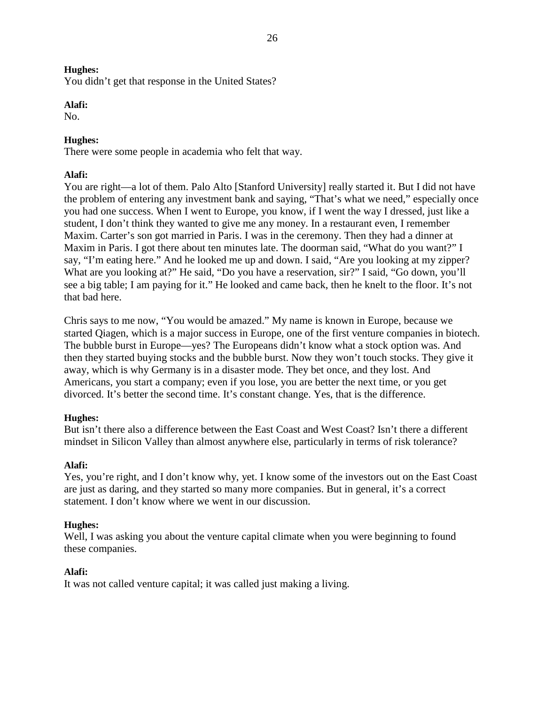You didn't get that response in the United States?

### **Alafi:**

No.

### **Hughes:**

There were some people in academia who felt that way.

# **Alafi:**

You are right—a lot of them. Palo Alto [Stanford University] really started it. But I did not have the problem of entering any investment bank and saying, "That's what we need," especially once you had one success. When I went to Europe, you know, if I went the way I dressed, just like a student, I don't think they wanted to give me any money. In a restaurant even, I remember Maxim. Carter's son got married in Paris. I was in the ceremony. Then they had a dinner at Maxim in Paris. I got there about ten minutes late. The doorman said, "What do you want?" I say, "I'm eating here." And he looked me up and down. I said, "Are you looking at my zipper? What are you looking at?" He said, "Do you have a reservation, sir?" I said, "Go down, you'll see a big table; I am paying for it." He looked and came back, then he knelt to the floor. It's not that bad here.

Chris says to me now, "You would be amazed." My name is known in Europe, because we started Qiagen, which is a major success in Europe, one of the first venture companies in biotech. The bubble burst in Europe—yes? The Europeans didn't know what a stock option was. And then they started buying stocks and the bubble burst. Now they won't touch stocks. They give it away, which is why Germany is in a disaster mode. They bet once, and they lost. And Americans, you start a company; even if you lose, you are better the next time, or you get divorced. It's better the second time. It's constant change. Yes, that is the difference.

# **Hughes:**

But isn't there also a difference between the East Coast and West Coast? Isn't there a different mindset in Silicon Valley than almost anywhere else, particularly in terms of risk tolerance?

# **Alafi:**

Yes, you're right, and I don't know why, yet. I know some of the investors out on the East Coast are just as daring, and they started so many more companies. But in general, it's a correct statement. I don't know where we went in our discussion.

### **Hughes:**

Well, I was asking you about the venture capital climate when you were beginning to found these companies.

# **Alafi:**

It was not called venture capital; it was called just making a living.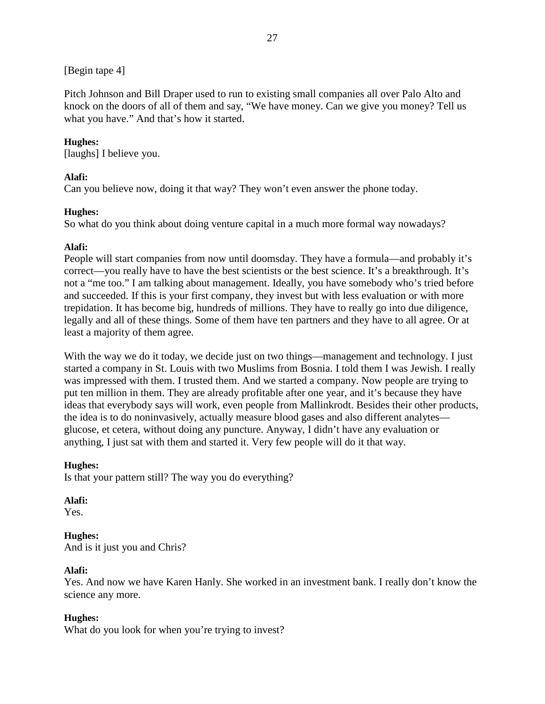# [Begin tape 4]

Pitch Johnson and Bill Draper used to run to existing small companies all over Palo Alto and knock on the doors of all of them and say, "We have money. Can we give you money? Tell us what you have." And that's how it started.

# **Hughes:**

[laughs] I believe you.

# **Alafi:**

Can you believe now, doing it that way? They won't even answer the phone today.

# **Hughes:**

So what do you think about doing venture capital in a much more formal way nowadays?

# **Alafi:**

People will start companies from now until doomsday. They have a formula—and probably it's correct—you really have to have the best scientists or the best science. It's a breakthrough. It's not a "me too." I am talking about management. Ideally, you have somebody who's tried before and succeeded. If this is your first company, they invest but with less evaluation or with more trepidation. It has become big, hundreds of millions. They have to really go into due diligence, legally and all of these things. Some of them have ten partners and they have to all agree. Or at least a majority of them agree.

With the way we do it today, we decide just on two things—management and technology. I just started a company in St. Louis with two Muslims from Bosnia. I told them I was Jewish. I really was impressed with them. I trusted them. And we started a company. Now people are trying to put ten million in them. They are already profitable after one year, and it's because they have ideas that everybody says will work, even people from Mallinkrodt. Besides their other products, the idea is to do noninvasively, actually measure blood gases and also different analytes glucose, et cetera, without doing any puncture. Anyway, I didn't have any evaluation or anything, I just sat with them and started it. Very few people will do it that way.

# **Hughes:**

Is that your pattern still? The way you do everything?

# **Alafi:**

Yes.

# **Hughes:**

And is it just you and Chris?

# **Alafi:**

Yes. And now we have Karen Hanly. She worked in an investment bank. I really don't know the science any more.

# **Hughes:**

What do you look for when you're trying to invest?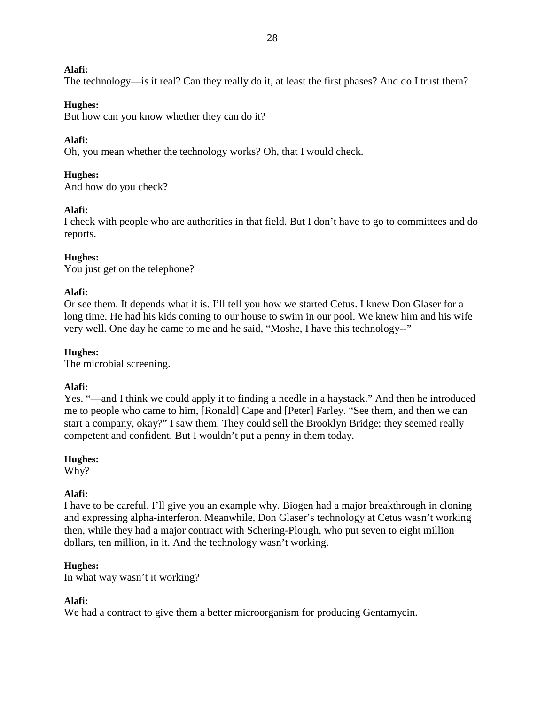The technology—is it real? Can they really do it, at least the first phases? And do I trust them?

### **Hughes:**

But how can you know whether they can do it?

### **Alafi:**

Oh, you mean whether the technology works? Oh, that I would check.

### **Hughes:**

And how do you check?

### **Alafi:**

I check with people who are authorities in that field. But I don't have to go to committees and do reports.

### **Hughes:**

You just get on the telephone?

### **Alafi:**

Or see them. It depends what it is. I'll tell you how we started Cetus. I knew Don Glaser for a long time. He had his kids coming to our house to swim in our pool. We knew him and his wife very well. One day he came to me and he said, "Moshe, I have this technology--"

### **Hughes:**

The microbial screening.

### **Alafi:**

Yes. "—and I think we could apply it to finding a needle in a haystack." And then he introduced me to people who came to him, [Ronald] Cape and [Peter] Farley. "See them, and then we can start a company, okay?" I saw them. They could sell the Brooklyn Bridge; they seemed really competent and confident. But I wouldn't put a penny in them today.

### **Hughes:**

Why?

### **Alafi:**

I have to be careful. I'll give you an example why. Biogen had a major breakthrough in cloning and expressing alpha-interferon. Meanwhile, Don Glaser's technology at Cetus wasn't working then, while they had a major contract with Schering-Plough, who put seven to eight million dollars, ten million, in it. And the technology wasn't working.

### **Hughes:**

In what way wasn't it working?

### **Alafi:**

We had a contract to give them a better microorganism for producing Gentamycin.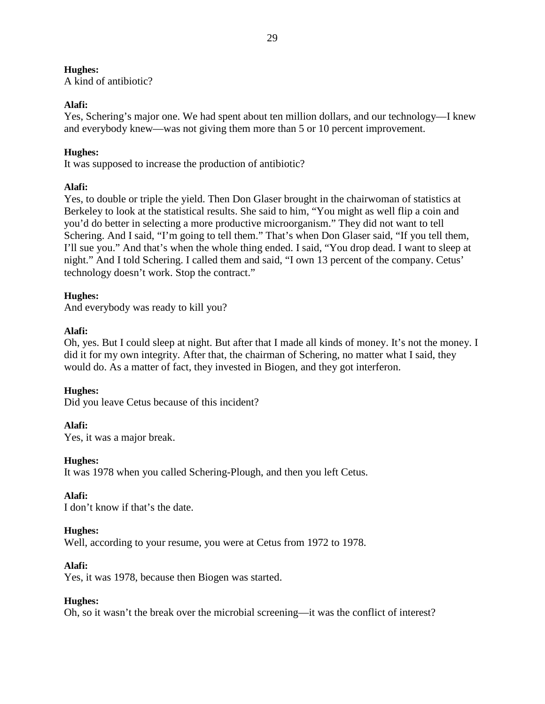A kind of antibiotic?

# **Alafi:**

Yes, Schering's major one. We had spent about ten million dollars, and our technology—I knew and everybody knew—was not giving them more than 5 or 10 percent improvement.

# **Hughes:**

It was supposed to increase the production of antibiotic?

# **Alafi:**

Yes, to double or triple the yield. Then Don Glaser brought in the chairwoman of statistics at Berkeley to look at the statistical results. She said to him, "You might as well flip a coin and you'd do better in selecting a more productive microorganism." They did not want to tell Schering. And I said, "I'm going to tell them." That's when Don Glaser said, "If you tell them, I'll sue you." And that's when the whole thing ended. I said, "You drop dead. I want to sleep at night." And I told Schering. I called them and said, "I own 13 percent of the company. Cetus' technology doesn't work. Stop the contract."

# **Hughes:**

And everybody was ready to kill you?

# **Alafi:**

Oh, yes. But I could sleep at night. But after that I made all kinds of money. It's not the money. I did it for my own integrity. After that, the chairman of Schering, no matter what I said, they would do. As a matter of fact, they invested in Biogen, and they got interferon.

# **Hughes:**

Did you leave Cetus because of this incident?

# **Alafi:**

Yes, it was a major break.

# **Hughes:**

It was 1978 when you called Schering-Plough, and then you left Cetus.

# **Alafi:**

I don't know if that's the date.

# **Hughes:**

Well, according to your resume, you were at Cetus from 1972 to 1978.

# **Alafi:**

Yes, it was 1978, because then Biogen was started.

# **Hughes:**

Oh, so it wasn't the break over the microbial screening—it was the conflict of interest?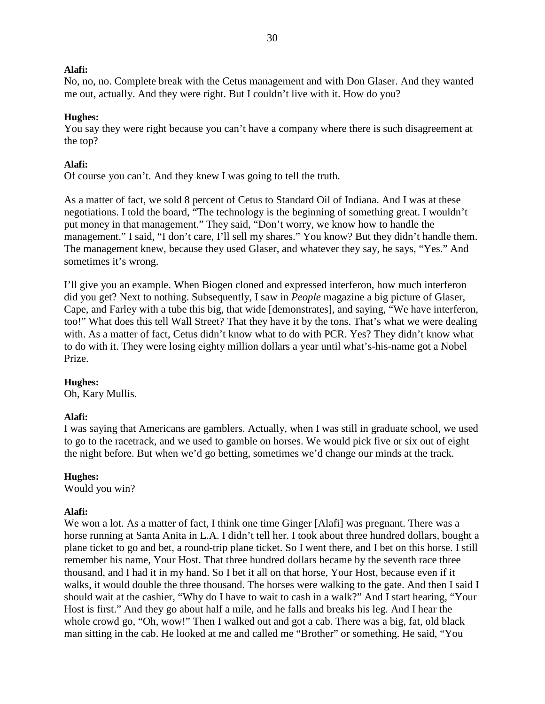No, no, no. Complete break with the Cetus management and with Don Glaser. And they wanted me out, actually. And they were right. But I couldn't live with it. How do you?

### **Hughes:**

You say they were right because you can't have a company where there is such disagreement at the top?

#### **Alafi:**

Of course you can't. And they knew I was going to tell the truth.

As a matter of fact, we sold 8 percent of Cetus to Standard Oil of Indiana. And I was at these negotiations. I told the board, "The technology is the beginning of something great. I wouldn't put money in that management." They said, "Don't worry, we know how to handle the management." I said, "I don't care, I'll sell my shares." You know? But they didn't handle them. The management knew, because they used Glaser, and whatever they say, he says, "Yes." And sometimes it's wrong.

I'll give you an example. When Biogen cloned and expressed interferon, how much interferon did you get? Next to nothing. Subsequently, I saw in *People* magazine a big picture of Glaser, Cape, and Farley with a tube this big, that wide [demonstrates], and saying, "We have interferon, too!" What does this tell Wall Street? That they have it by the tons. That's what we were dealing with. As a matter of fact, Cetus didn't know what to do with PCR. Yes? They didn't know what to do with it. They were losing eighty million dollars a year until what's-his-name got a Nobel Prize.

#### **Hughes:**

Oh, Kary Mullis.

#### **Alafi:**

I was saying that Americans are gamblers. Actually, when I was still in graduate school, we used to go to the racetrack, and we used to gamble on horses. We would pick five or six out of eight the night before. But when we'd go betting, sometimes we'd change our minds at the track.

#### **Hughes:**

Would you win?

### **Alafi:**

We won a lot. As a matter of fact, I think one time Ginger [Alafi] was pregnant. There was a horse running at Santa Anita in L.A. I didn't tell her. I took about three hundred dollars, bought a plane ticket to go and bet, a round-trip plane ticket. So I went there, and I bet on this horse. I still remember his name, Your Host. That three hundred dollars became by the seventh race three thousand, and I had it in my hand. So I bet it all on that horse, Your Host, because even if it walks, it would double the three thousand. The horses were walking to the gate. And then I said I should wait at the cashier, "Why do I have to wait to cash in a walk?" And I start hearing, "Your Host is first." And they go about half a mile, and he falls and breaks his leg. And I hear the whole crowd go, "Oh, wow!" Then I walked out and got a cab. There was a big, fat, old black man sitting in the cab. He looked at me and called me "Brother" or something. He said, "You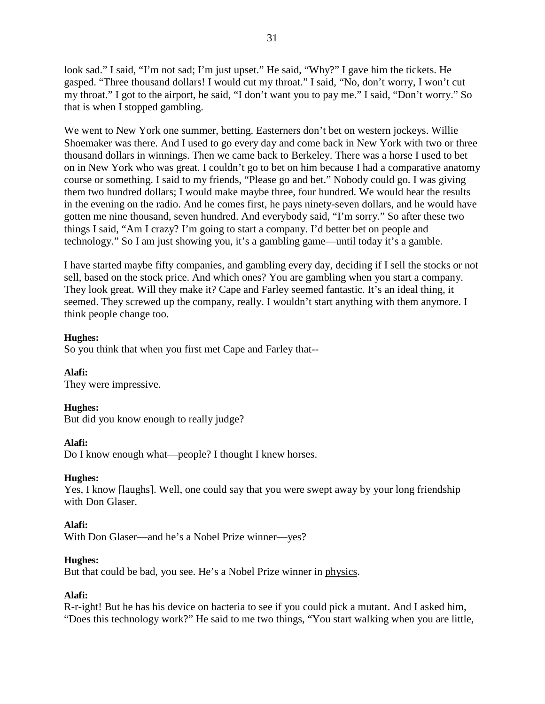look sad." I said, "I'm not sad; I'm just upset." He said, "Why?" I gave him the tickets. He gasped. "Three thousand dollars! I would cut my throat." I said, "No, don't worry, I won't cut my throat." I got to the airport, he said, "I don't want you to pay me." I said, "Don't worry." So that is when I stopped gambling.

We went to New York one summer, betting. Easterners don't bet on western jockeys. Willie Shoemaker was there. And I used to go every day and come back in New York with two or three thousand dollars in winnings. Then we came back to Berkeley. There was a horse I used to bet on in New York who was great. I couldn't go to bet on him because I had a comparative anatomy course or something. I said to my friends, "Please go and bet." Nobody could go. I was giving them two hundred dollars; I would make maybe three, four hundred. We would hear the results in the evening on the radio. And he comes first, he pays ninety-seven dollars, and he would have gotten me nine thousand, seven hundred. And everybody said, "I'm sorry." So after these two things I said, "Am I crazy? I'm going to start a company. I'd better bet on people and technology." So I am just showing you, it's a gambling game—until today it's a gamble.

I have started maybe fifty companies, and gambling every day, deciding if I sell the stocks or not sell, based on the stock price. And which ones? You are gambling when you start a company. They look great. Will they make it? Cape and Farley seemed fantastic. It's an ideal thing, it seemed. They screwed up the company, really. I wouldn't start anything with them anymore. I think people change too.

# **Hughes:**

So you think that when you first met Cape and Farley that--

### **Alafi:**

They were impressive.

### **Hughes:**

But did you know enough to really judge?

### **Alafi:**

Do I know enough what—people? I thought I knew horses.

### **Hughes:**

Yes, I know [laughs]. Well, one could say that you were swept away by your long friendship with Don Glaser.

# **Alafi:**

With Don Glaser—and he's a Nobel Prize winner—yes?

### **Hughes:**

But that could be bad, you see. He's a Nobel Prize winner in physics.

### **Alafi:**

R-r-ight! But he has his device on bacteria to see if you could pick a mutant. And I asked him, "Does this technology work?" He said to me two things, "You start walking when you are little,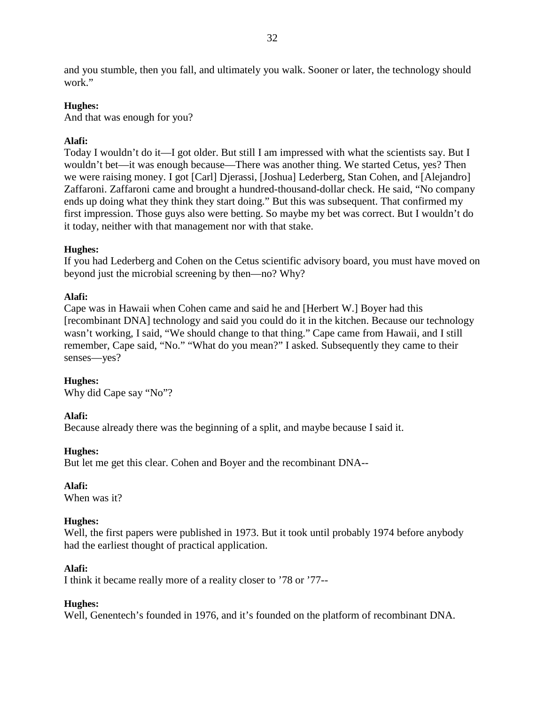and you stumble, then you fall, and ultimately you walk. Sooner or later, the technology should work."

# **Hughes:**

And that was enough for you?

# **Alafi:**

Today I wouldn't do it—I got older. But still I am impressed with what the scientists say. But I wouldn't bet—it was enough because—There was another thing. We started Cetus, yes? Then we were raising money. I got [Carl] Djerassi, [Joshua] Lederberg, Stan Cohen, and [Alejandro] Zaffaroni. Zaffaroni came and brought a hundred-thousand-dollar check. He said, "No company ends up doing what they think they start doing." But this was subsequent. That confirmed my first impression. Those guys also were betting. So maybe my bet was correct. But I wouldn't do it today, neither with that management nor with that stake.

# **Hughes:**

If you had Lederberg and Cohen on the Cetus scientific advisory board, you must have moved on beyond just the microbial screening by then—no? Why?

# **Alafi:**

Cape was in Hawaii when Cohen came and said he and [Herbert W.] Boyer had this [recombinant DNA] technology and said you could do it in the kitchen. Because our technology wasn't working, I said, "We should change to that thing." Cape came from Hawaii, and I still remember, Cape said, "No." "What do you mean?" I asked. Subsequently they came to their senses—yes?

# **Hughes:**

Why did Cape say "No"?

# **Alafi:**

Because already there was the beginning of a split, and maybe because I said it.

# **Hughes:**

But let me get this clear. Cohen and Boyer and the recombinant DNA--

# **Alafi:**

When was it?

# **Hughes:**

Well, the first papers were published in 1973. But it took until probably 1974 before anybody had the earliest thought of practical application.

# **Alafi:**

I think it became really more of a reality closer to '78 or '77--

# **Hughes:**

Well, Genentech's founded in 1976, and it's founded on the platform of recombinant DNA.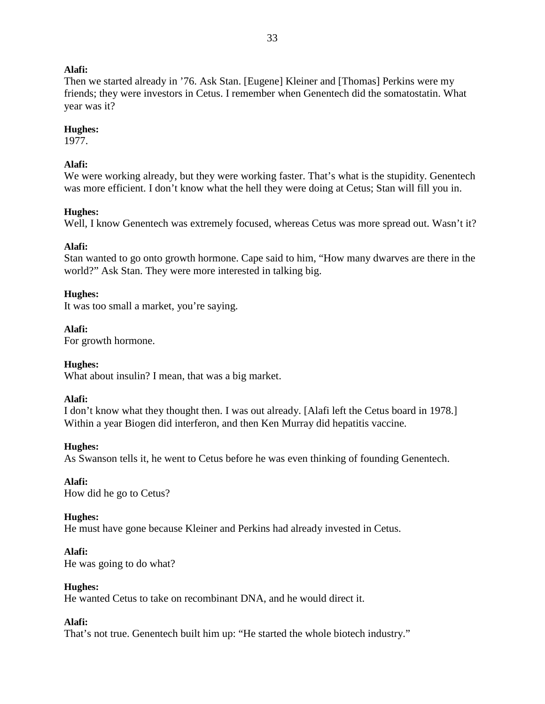Then we started already in '76. Ask Stan. [Eugene] Kleiner and [Thomas] Perkins were my friends; they were investors in Cetus. I remember when Genentech did the somatostatin. What year was it?

### **Hughes:**

1977.

# **Alafi:**

We were working already, but they were working faster. That's what is the stupidity. Genentech was more efficient. I don't know what the hell they were doing at Cetus; Stan will fill you in.

# **Hughes:**

Well, I know Genentech was extremely focused, whereas Cetus was more spread out. Wasn't it?

# **Alafi:**

Stan wanted to go onto growth hormone. Cape said to him, "How many dwarves are there in the world?" Ask Stan. They were more interested in talking big.

# **Hughes:**

It was too small a market, you're saying.

**Alafi:** For growth hormone.

# **Hughes:**

What about insulin? I mean, that was a big market.

# **Alafi:**

I don't know what they thought then. I was out already. [Alafi left the Cetus board in 1978.] Within a year Biogen did interferon, and then Ken Murray did hepatitis vaccine.

# **Hughes:**

As Swanson tells it, he went to Cetus before he was even thinking of founding Genentech.

#### **Alafi:** How did he go to Cetus?

# **Hughes:**

He must have gone because Kleiner and Perkins had already invested in Cetus.

# **Alafi:**

He was going to do what?

# **Hughes:**

He wanted Cetus to take on recombinant DNA, and he would direct it.

# **Alafi:**

That's not true. Genentech built him up: "He started the whole biotech industry."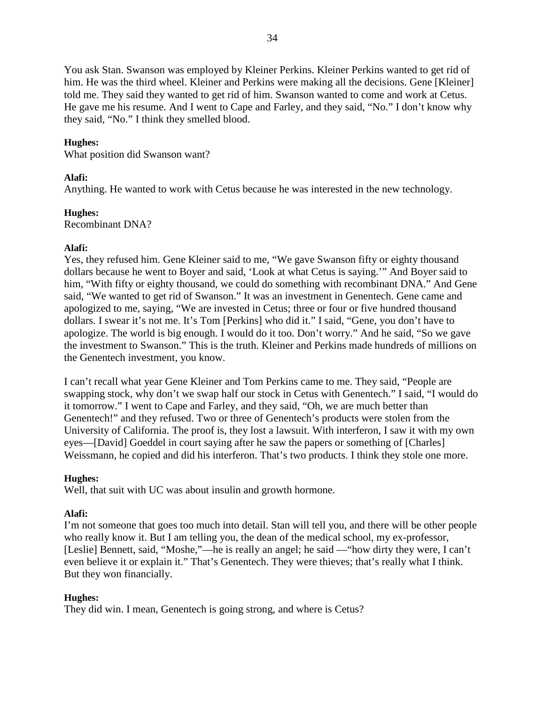You ask Stan. Swanson was employed by Kleiner Perkins. Kleiner Perkins wanted to get rid of him. He was the third wheel. Kleiner and Perkins were making all the decisions. Gene [Kleiner] told me. They said they wanted to get rid of him. Swanson wanted to come and work at Cetus. He gave me his resume. And I went to Cape and Farley, and they said, "No." I don't know why they said, "No." I think they smelled blood.

## **Hughes:**

What position did Swanson want?

## **Alafi:**

Anything. He wanted to work with Cetus because he was interested in the new technology.

## **Hughes:**

Recombinant DNA?

## **Alafi:**

Yes, they refused him. Gene Kleiner said to me, "We gave Swanson fifty or eighty thousand dollars because he went to Boyer and said, 'Look at what Cetus is saying.'" And Boyer said to him, "With fifty or eighty thousand, we could do something with recombinant DNA." And Gene said, "We wanted to get rid of Swanson." It was an investment in Genentech. Gene came and apologized to me, saying, "We are invested in Cetus; three or four or five hundred thousand dollars. I swear it's not me. It's Tom [Perkins] who did it." I said, "Gene, you don't have to apologize. The world is big enough. I would do it too. Don't worry." And he said, "So we gave the investment to Swanson." This is the truth. Kleiner and Perkins made hundreds of millions on the Genentech investment, you know.

I can't recall what year Gene Kleiner and Tom Perkins came to me. They said, "People are swapping stock, why don't we swap half our stock in Cetus with Genentech." I said, "I would do it tomorrow." I went to Cape and Farley, and they said, "Oh, we are much better than Genentech!" and they refused. Two or three of Genentech's products were stolen from the University of California. The proof is, they lost a lawsuit. With interferon, I saw it with my own eyes—[David] Goeddel in court saying after he saw the papers or something of [Charles] Weissmann, he copied and did his interferon. That's two products. I think they stole one more.

## **Hughes:**

Well, that suit with UC was about insulin and growth hormone.

# **Alafi:**

I'm not someone that goes too much into detail. Stan will tell you, and there will be other people who really know it. But I am telling you, the dean of the medical school, my ex-professor, [Leslie] Bennett, said, "Moshe,"—he is really an angel; he said —"how dirty they were, I can't even believe it or explain it." That's Genentech. They were thieves; that's really what I think. But they won financially.

## **Hughes:**

They did win. I mean, Genentech is going strong, and where is Cetus?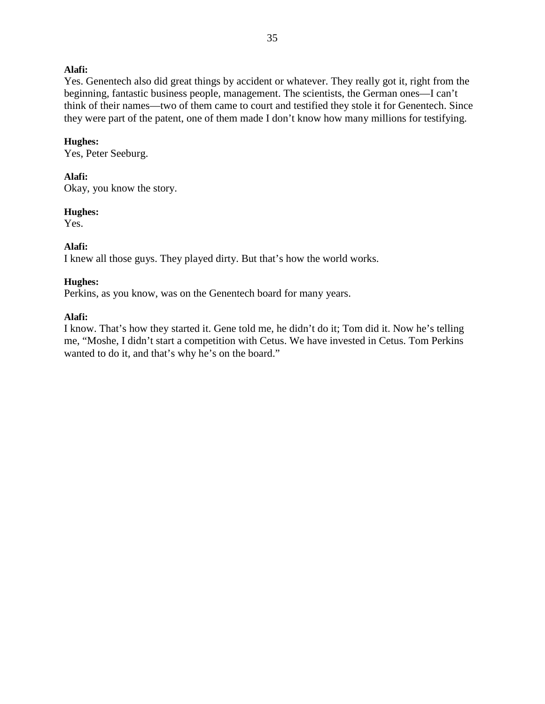Yes. Genentech also did great things by accident or whatever. They really got it, right from the beginning, fantastic business people, management. The scientists, the German ones—I can't think of their names—two of them came to court and testified they stole it for Genentech. Since they were part of the patent, one of them made I don't know how many millions for testifying.

#### **Hughes:**

Yes, Peter Seeburg.

## **Alafi:**

Okay, you know the story.

#### **Hughes:**

Yes.

## **Alafi:**

I knew all those guys. They played dirty. But that's how the world works.

## **Hughes:**

Perkins, as you know, was on the Genentech board for many years.

## **Alafi:**

I know. That's how they started it. Gene told me, he didn't do it; Tom did it. Now he's telling me, "Moshe, I didn't start a competition with Cetus. We have invested in Cetus. Tom Perkins wanted to do it, and that's why he's on the board."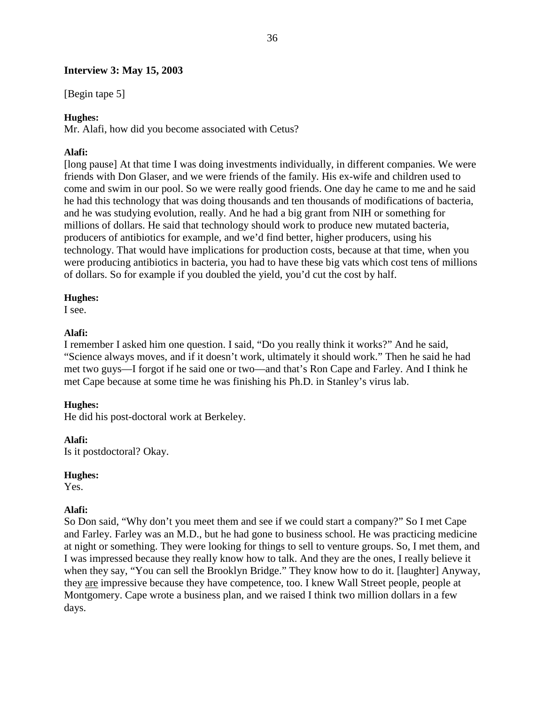## **Interview 3: May 15, 2003**

[Begin tape 5]

## **Hughes:**

Mr. Alafi, how did you become associated with Cetus?

## **Alafi:**

[long pause] At that time I was doing investments individually, in different companies. We were friends with Don Glaser, and we were friends of the family. His ex-wife and children used to come and swim in our pool. So we were really good friends. One day he came to me and he said he had this technology that was doing thousands and ten thousands of modifications of bacteria, and he was studying evolution, really. And he had a big grant from NIH or something for millions of dollars. He said that technology should work to produce new mutated bacteria, producers of antibiotics for example, and we'd find better, higher producers, using his technology. That would have implications for production costs, because at that time, when you were producing antibiotics in bacteria, you had to have these big vats which cost tens of millions of dollars. So for example if you doubled the yield, you'd cut the cost by half.

## **Hughes:**

I see.

## **Alafi:**

I remember I asked him one question. I said, "Do you really think it works?" And he said, "Science always moves, and if it doesn't work, ultimately it should work." Then he said he had met two guys—I forgot if he said one or two—and that's Ron Cape and Farley. And I think he met Cape because at some time he was finishing his Ph.D. in Stanley's virus lab.

## **Hughes:**

He did his post-doctoral work at Berkeley.

## **Alafi:**

Is it postdoctoral? Okay.

## **Hughes:**

Yes.

## **Alafi:**

So Don said, "Why don't you meet them and see if we could start a company?" So I met Cape and Farley. Farley was an M.D., but he had gone to business school. He was practicing medicine at night or something. They were looking for things to sell to venture groups. So, I met them, and I was impressed because they really know how to talk. And they are the ones, I really believe it when they say, "You can sell the Brooklyn Bridge." They know how to do it. [laughter] Anyway, they are impressive because they have competence, too. I knew Wall Street people, people at Montgomery. Cape wrote a business plan, and we raised I think two million dollars in a few days.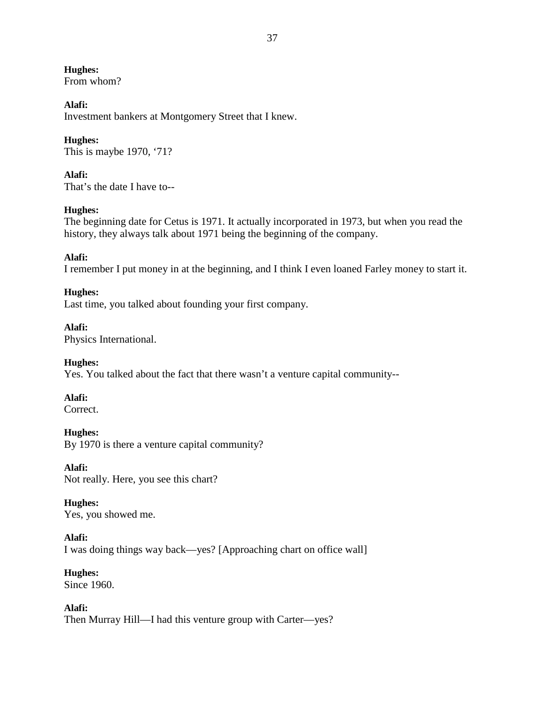**Hughes:** From whom?

## **Alafi:**

Investment bankers at Montgomery Street that I knew.

## **Hughes:**

This is maybe 1970, '71?

## **Alafi:**

That's the date I have to--

## **Hughes:**

The beginning date for Cetus is 1971. It actually incorporated in 1973, but when you read the history, they always talk about 1971 being the beginning of the company.

## **Alafi:**

I remember I put money in at the beginning, and I think I even loaned Farley money to start it.

## **Hughes:**

Last time, you talked about founding your first company.

# **Alafi:**

Physics International.

# **Hughes:**

Yes. You talked about the fact that there wasn't a venture capital community--

## **Alafi:**

Correct.

**Hughes:** By 1970 is there a venture capital community?

**Alafi:** Not really. Here, you see this chart?

# **Hughes:**

Yes, you showed me.

# **Alafi:**

I was doing things way back—yes? [Approaching chart on office wall]

# **Hughes:**

Since 1960.

**Alafi:** Then Murray Hill—I had this venture group with Carter—yes?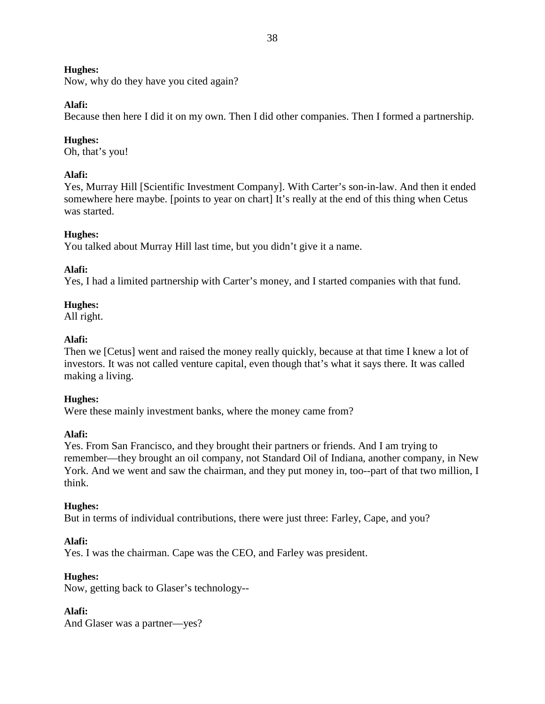Now, why do they have you cited again?

## **Alafi:**

Because then here I did it on my own. Then I did other companies. Then I formed a partnership.

# **Hughes:**

Oh, that's you!

## **Alafi:**

Yes, Murray Hill [Scientific Investment Company]. With Carter's son-in-law. And then it ended somewhere here maybe. [points to year on chart] It's really at the end of this thing when Cetus was started.

# **Hughes:**

You talked about Murray Hill last time, but you didn't give it a name.

# **Alafi:**

Yes, I had a limited partnership with Carter's money, and I started companies with that fund.

## **Hughes:**

All right.

## **Alafi:**

Then we [Cetus] went and raised the money really quickly, because at that time I knew a lot of investors. It was not called venture capital, even though that's what it says there. It was called making a living.

## **Hughes:**

Were these mainly investment banks, where the money came from?

# **Alafi:**

Yes. From San Francisco, and they brought their partners or friends. And I am trying to remember—they brought an oil company, not Standard Oil of Indiana, another company, in New York. And we went and saw the chairman, and they put money in, too--part of that two million, I think.

# **Hughes:**

But in terms of individual contributions, there were just three: Farley, Cape, and you?

# **Alafi:**

Yes. I was the chairman. Cape was the CEO, and Farley was president.

# **Hughes:**

Now, getting back to Glaser's technology--

# **Alafi:**

And Glaser was a partner—yes?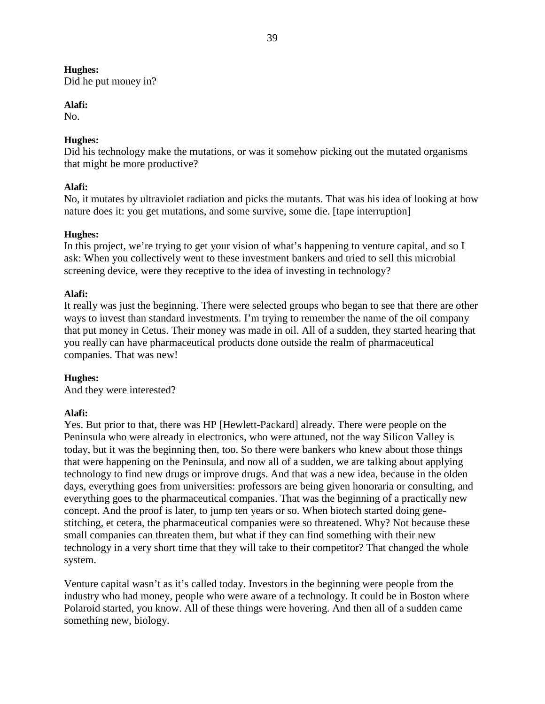Did he put money in?

# **Alafi:**

No.

# **Hughes:**

Did his technology make the mutations, or was it somehow picking out the mutated organisms that might be more productive?

# **Alafi:**

No, it mutates by ultraviolet radiation and picks the mutants. That was his idea of looking at how nature does it: you get mutations, and some survive, some die. [tape interruption]

# **Hughes:**

In this project, we're trying to get your vision of what's happening to venture capital, and so I ask: When you collectively went to these investment bankers and tried to sell this microbial screening device, were they receptive to the idea of investing in technology?

# **Alafi:**

It really was just the beginning. There were selected groups who began to see that there are other ways to invest than standard investments. I'm trying to remember the name of the oil company that put money in Cetus. Their money was made in oil. All of a sudden, they started hearing that you really can have pharmaceutical products done outside the realm of pharmaceutical companies. That was new!

# **Hughes:**

And they were interested?

# **Alafi:**

Yes. But prior to that, there was HP [Hewlett-Packard] already. There were people on the Peninsula who were already in electronics, who were attuned, not the way Silicon Valley is today, but it was the beginning then, too. So there were bankers who knew about those things that were happening on the Peninsula, and now all of a sudden, we are talking about applying technology to find new drugs or improve drugs. And that was a new idea, because in the olden days, everything goes from universities: professors are being given honoraria or consulting, and everything goes to the pharmaceutical companies. That was the beginning of a practically new concept. And the proof is later, to jump ten years or so. When biotech started doing genestitching, et cetera, the pharmaceutical companies were so threatened. Why? Not because these small companies can threaten them, but what if they can find something with their new technology in a very short time that they will take to their competitor? That changed the whole system.

Venture capital wasn't as it's called today. Investors in the beginning were people from the industry who had money, people who were aware of a technology. It could be in Boston where Polaroid started, you know. All of these things were hovering. And then all of a sudden came something new, biology.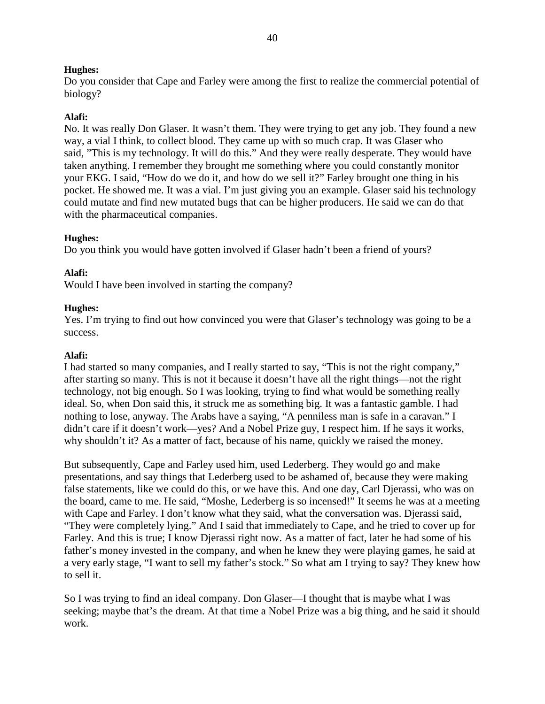Do you consider that Cape and Farley were among the first to realize the commercial potential of biology?

## **Alafi:**

No. It was really Don Glaser. It wasn't them. They were trying to get any job. They found a new way, a vial I think, to collect blood. They came up with so much crap. It was Glaser who said, "This is my technology. It will do this." And they were really desperate. They would have taken anything. I remember they brought me something where you could constantly monitor your EKG. I said, "How do we do it, and how do we sell it?" Farley brought one thing in his pocket. He showed me. It was a vial. I'm just giving you an example. Glaser said his technology could mutate and find new mutated bugs that can be higher producers. He said we can do that with the pharmaceutical companies.

## **Hughes:**

Do you think you would have gotten involved if Glaser hadn't been a friend of yours?

## **Alafi:**

Would I have been involved in starting the company?

## **Hughes:**

Yes. I'm trying to find out how convinced you were that Glaser's technology was going to be a success.

## **Alafi:**

I had started so many companies, and I really started to say, "This is not the right company," after starting so many. This is not it because it doesn't have all the right things—not the right technology, not big enough. So I was looking, trying to find what would be something really ideal. So, when Don said this, it struck me as something big. It was a fantastic gamble. I had nothing to lose, anyway. The Arabs have a saying, "A penniless man is safe in a caravan." I didn't care if it doesn't work—yes? And a Nobel Prize guy, I respect him. If he says it works, why shouldn't it? As a matter of fact, because of his name, quickly we raised the money.

But subsequently, Cape and Farley used him, used Lederberg. They would go and make presentations, and say things that Lederberg used to be ashamed of, because they were making false statements, like we could do this, or we have this. And one day, Carl Djerassi, who was on the board, came to me. He said, "Moshe, Lederberg is so incensed!" It seems he was at a meeting with Cape and Farley. I don't know what they said, what the conversation was. Djerassi said, "They were completely lying." And I said that immediately to Cape, and he tried to cover up for Farley. And this is true; I know Djerassi right now. As a matter of fact, later he had some of his father's money invested in the company, and when he knew they were playing games, he said at a very early stage, "I want to sell my father's stock." So what am I trying to say? They knew how to sell it.

So I was trying to find an ideal company. Don Glaser—I thought that is maybe what I was seeking; maybe that's the dream. At that time a Nobel Prize was a big thing, and he said it should work.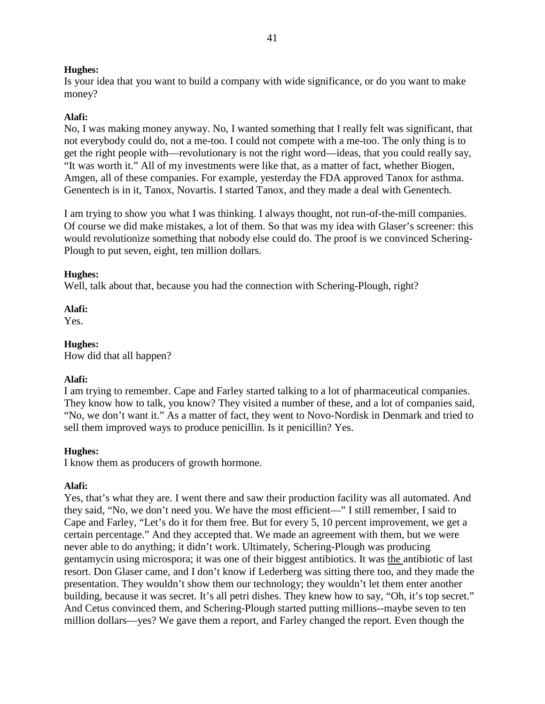Is your idea that you want to build a company with wide significance, or do you want to make money?

# **Alafi:**

No, I was making money anyway. No, I wanted something that I really felt was significant, that not everybody could do, not a me-too. I could not compete with a me-too. The only thing is to get the right people with—revolutionary is not the right word—ideas, that you could really say, "It was worth it." All of my investments were like that, as a matter of fact, whether Biogen, Amgen, all of these companies. For example, yesterday the FDA approved Tanox for asthma. Genentech is in it, Tanox, Novartis. I started Tanox, and they made a deal with Genentech.

I am trying to show you what I was thinking. I always thought, not run-of-the-mill companies. Of course we did make mistakes, a lot of them. So that was my idea with Glaser's screener: this would revolutionize something that nobody else could do. The proof is we convinced Schering-Plough to put seven, eight, ten million dollars.

## **Hughes:**

Well, talk about that, because you had the connection with Schering-Plough, right?

## **Alafi:**

Yes.

**Hughes:** How did that all happen?

# **Alafi:**

I am trying to remember. Cape and Farley started talking to a lot of pharmaceutical companies. They know how to talk, you know? They visited a number of these, and a lot of companies said, "No, we don't want it." As a matter of fact, they went to Novo-Nordisk in Denmark and tried to sell them improved ways to produce penicillin. Is it penicillin? Yes.

## **Hughes:**

I know them as producers of growth hormone.

# **Alafi:**

Yes, that's what they are. I went there and saw their production facility was all automated. And they said, "No, we don't need you. We have the most efficient—" I still remember, I said to Cape and Farley, "Let's do it for them free. But for every 5, 10 percent improvement, we get a certain percentage." And they accepted that. We made an agreement with them, but we were never able to do anything; it didn't work. Ultimately, Schering-Plough was producing gentamycin using microspora; it was one of their biggest antibiotics. It was the antibiotic of last resort. Don Glaser came, and I don't know if Lederberg was sitting there too, and they made the presentation. They wouldn't show them our technology; they wouldn't let them enter another building, because it was secret. It's all petri dishes. They knew how to say, "Oh, it's top secret." And Cetus convinced them, and Schering-Plough started putting millions--maybe seven to ten million dollars—yes? We gave them a report, and Farley changed the report. Even though the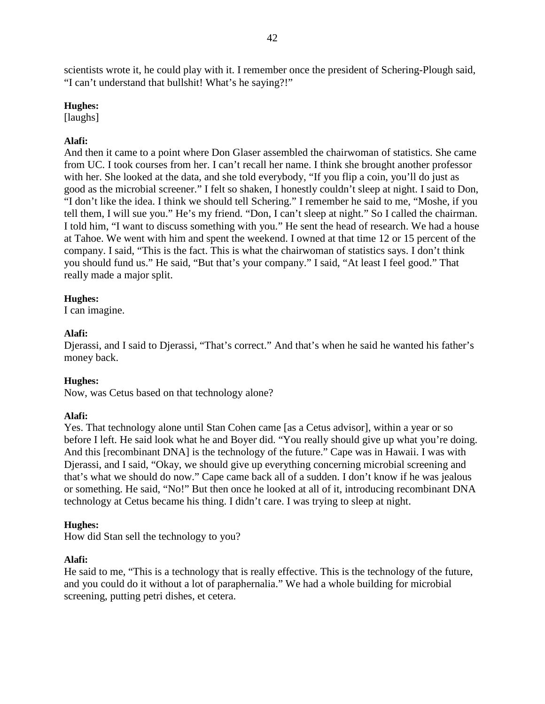scientists wrote it, he could play with it. I remember once the president of Schering-Plough said, "I can't understand that bullshit! What's he saying?!"

## **Hughes:**

[laughs]

# **Alafi:**

And then it came to a point where Don Glaser assembled the chairwoman of statistics. She came from UC. I took courses from her. I can't recall her name. I think she brought another professor with her. She looked at the data, and she told everybody, "If you flip a coin, you'll do just as good as the microbial screener." I felt so shaken, I honestly couldn't sleep at night. I said to Don, "I don't like the idea. I think we should tell Schering." I remember he said to me, "Moshe, if you tell them, I will sue you." He's my friend. "Don, I can't sleep at night." So I called the chairman. I told him, "I want to discuss something with you." He sent the head of research. We had a house at Tahoe. We went with him and spent the weekend. I owned at that time 12 or 15 percent of the company. I said, "This is the fact. This is what the chairwoman of statistics says. I don't think you should fund us." He said, "But that's your company." I said, "At least I feel good." That really made a major split.

# **Hughes:**

I can imagine.

# **Alafi:**

Djerassi, and I said to Djerassi, "That's correct." And that's when he said he wanted his father's money back.

# **Hughes:**

Now, was Cetus based on that technology alone?

# **Alafi:**

Yes. That technology alone until Stan Cohen came [as a Cetus advisor], within a year or so before I left. He said look what he and Boyer did. "You really should give up what you're doing. And this [recombinant DNA] is the technology of the future." Cape was in Hawaii. I was with Djerassi, and I said, "Okay, we should give up everything concerning microbial screening and that's what we should do now." Cape came back all of a sudden. I don't know if he was jealous or something. He said, "No!" But then once he looked at all of it, introducing recombinant DNA technology at Cetus became his thing. I didn't care. I was trying to sleep at night.

# **Hughes:**

How did Stan sell the technology to you?

# **Alafi:**

He said to me, "This is a technology that is really effective. This is the technology of the future, and you could do it without a lot of paraphernalia." We had a whole building for microbial screening, putting petri dishes, et cetera.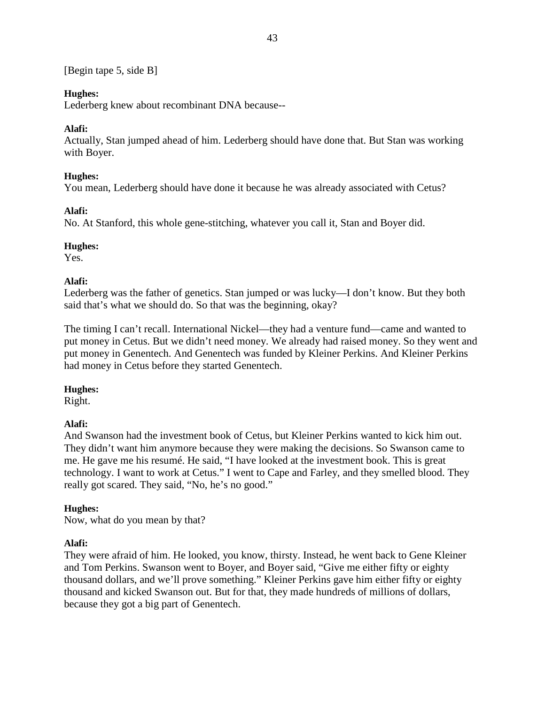[Begin tape 5, side B]

# **Hughes:**

Lederberg knew about recombinant DNA because--

# **Alafi:**

Actually, Stan jumped ahead of him. Lederberg should have done that. But Stan was working with Boyer.

# **Hughes:**

You mean, Lederberg should have done it because he was already associated with Cetus?

## **Alafi:**

No. At Stanford, this whole gene-stitching, whatever you call it, Stan and Boyer did.

## **Hughes:**

Yes.

# **Alafi:**

Lederberg was the father of genetics. Stan jumped or was lucky—I don't know. But they both said that's what we should do. So that was the beginning, okay?

The timing I can't recall. International Nickel—they had a venture fund—came and wanted to put money in Cetus. But we didn't need money. We already had raised money. So they went and put money in Genentech. And Genentech was funded by Kleiner Perkins. And Kleiner Perkins had money in Cetus before they started Genentech.

## **Hughes:**

Right.

# **Alafi:**

And Swanson had the investment book of Cetus, but Kleiner Perkins wanted to kick him out. They didn't want him anymore because they were making the decisions. So Swanson came to me. He gave me his resumé. He said, "I have looked at the investment book. This is great technology. I want to work at Cetus." I went to Cape and Farley, and they smelled blood. They really got scared. They said, "No, he's no good."

# **Hughes:**

Now, what do you mean by that?

# **Alafi:**

They were afraid of him. He looked, you know, thirsty. Instead, he went back to Gene Kleiner and Tom Perkins. Swanson went to Boyer, and Boyer said, "Give me either fifty or eighty thousand dollars, and we'll prove something." Kleiner Perkins gave him either fifty or eighty thousand and kicked Swanson out. But for that, they made hundreds of millions of dollars, because they got a big part of Genentech.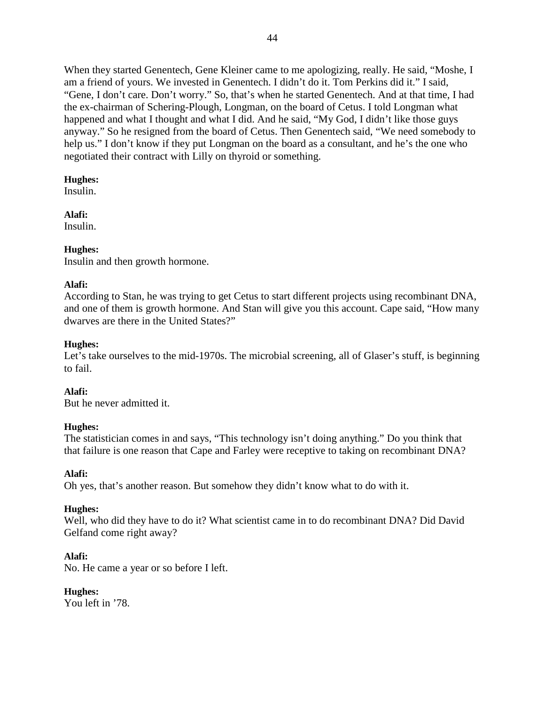When they started Genentech, Gene Kleiner came to me apologizing, really. He said, "Moshe, I am a friend of yours. We invested in Genentech. I didn't do it. Tom Perkins did it." I said, "Gene, I don't care. Don't worry." So, that's when he started Genentech. And at that time, I had the ex-chairman of Schering-Plough, Longman, on the board of Cetus. I told Longman what happened and what I thought and what I did. And he said, "My God, I didn't like those guys anyway." So he resigned from the board of Cetus. Then Genentech said, "We need somebody to help us." I don't know if they put Longman on the board as a consultant, and he's the one who negotiated their contract with Lilly on thyroid or something.

# **Hughes:**

Insulin.

# **Alafi:**

Insulin.

# **Hughes:**

Insulin and then growth hormone.

# **Alafi:**

According to Stan, he was trying to get Cetus to start different projects using recombinant DNA, and one of them is growth hormone. And Stan will give you this account. Cape said, "How many dwarves are there in the United States?"

# **Hughes:**

Let's take ourselves to the mid-1970s. The microbial screening, all of Glaser's stuff, is beginning to fail.

**Alafi:** But he never admitted it.

# **Hughes:**

The statistician comes in and says, "This technology isn't doing anything." Do you think that that failure is one reason that Cape and Farley were receptive to taking on recombinant DNA?

# **Alafi:**

Oh yes, that's another reason. But somehow they didn't know what to do with it.

# **Hughes:**

Well, who did they have to do it? What scientist came in to do recombinant DNA? Did David Gelfand come right away?

# **Alafi:**

No. He came a year or so before I left.

# **Hughes:**

You left in '78.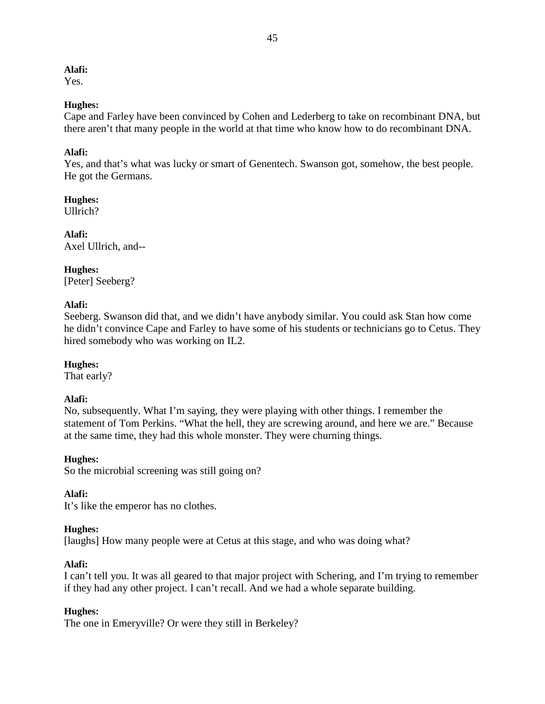Yes.

## **Hughes:**

Cape and Farley have been convinced by Cohen and Lederberg to take on recombinant DNA, but there aren't that many people in the world at that time who know how to do recombinant DNA.

# **Alafi:**

Yes, and that's what was lucky or smart of Genentech. Swanson got, somehow, the best people. He got the Germans.

**Hughes:** Ullrich?

**Alafi:** Axel Ullrich, and--

# **Hughes:**

[Peter] Seeberg?

## **Alafi:**

Seeberg. Swanson did that, and we didn't have anybody similar. You could ask Stan how come he didn't convince Cape and Farley to have some of his students or technicians go to Cetus. They hired somebody who was working on IL2.

# **Hughes:**

That early?

# **Alafi:**

No, subsequently. What I'm saying, they were playing with other things. I remember the statement of Tom Perkins. "What the hell, they are screwing around, and here we are." Because at the same time, they had this whole monster. They were churning things.

## **Hughes:**

So the microbial screening was still going on?

## **Alafi:**

It's like the emperor has no clothes.

## **Hughes:**

[laughs] How many people were at Cetus at this stage, and who was doing what?

## **Alafi:**

I can't tell you. It was all geared to that major project with Schering, and I'm trying to remember if they had any other project. I can't recall. And we had a whole separate building.

# **Hughes:**

The one in Emeryville? Or were they still in Berkeley?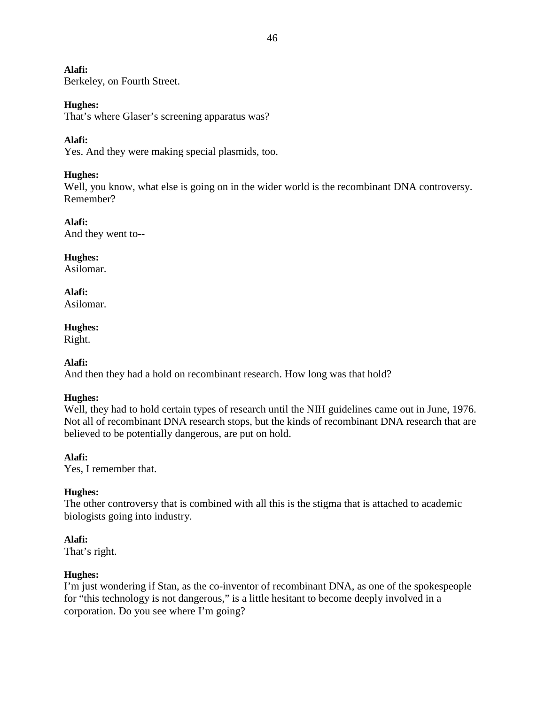Berkeley, on Fourth Street.

# **Hughes:**

That's where Glaser's screening apparatus was?

# **Alafi:**

Yes. And they were making special plasmids, too.

# **Hughes:**

Well, you know, what else is going on in the wider world is the recombinant DNA controversy. Remember?

## **Alafi:** And they went to--

**Hughes:** Asilomar.

# **Alafi:**

Asilomar.

# **Hughes:**

Right.

# **Alafi:**

And then they had a hold on recombinant research. How long was that hold?

# **Hughes:**

Well, they had to hold certain types of research until the NIH guidelines came out in June, 1976. Not all of recombinant DNA research stops, but the kinds of recombinant DNA research that are believed to be potentially dangerous, are put on hold.

# **Alafi:**

Yes, I remember that.

# **Hughes:**

The other controversy that is combined with all this is the stigma that is attached to academic biologists going into industry.

# **Alafi:**

That's right.

# **Hughes:**

I'm just wondering if Stan, as the co-inventor of recombinant DNA, as one of the spokespeople for "this technology is not dangerous," is a little hesitant to become deeply involved in a corporation. Do you see where I'm going?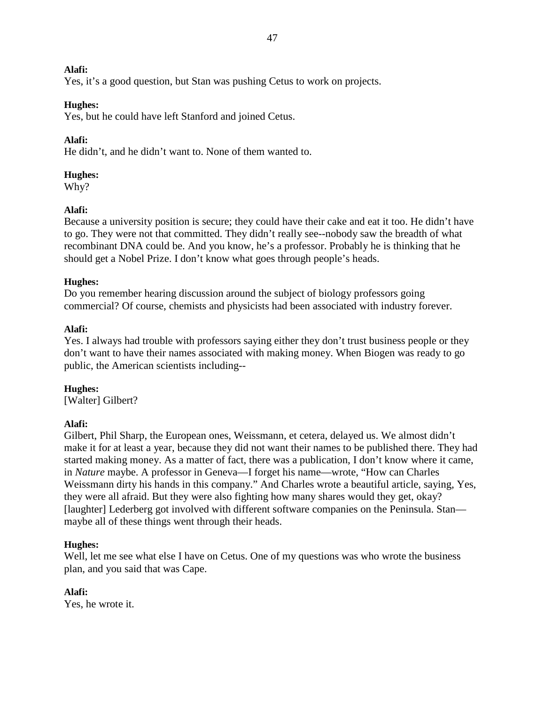Yes, it's a good question, but Stan was pushing Cetus to work on projects.

# **Hughes:**

Yes, but he could have left Stanford and joined Cetus.

# **Alafi:**

He didn't, and he didn't want to. None of them wanted to.

# **Hughes:**

Why?

# **Alafi:**

Because a university position is secure; they could have their cake and eat it too. He didn't have to go. They were not that committed. They didn't really see--nobody saw the breadth of what recombinant DNA could be. And you know, he's a professor. Probably he is thinking that he should get a Nobel Prize. I don't know what goes through people's heads.

# **Hughes:**

Do you remember hearing discussion around the subject of biology professors going commercial? Of course, chemists and physicists had been associated with industry forever.

# **Alafi:**

Yes. I always had trouble with professors saying either they don't trust business people or they don't want to have their names associated with making money. When Biogen was ready to go public, the American scientists including--

**Hughes:** [Walter] Gilbert?

# **Alafi:**

Gilbert, Phil Sharp, the European ones, Weissmann, et cetera, delayed us. We almost didn't make it for at least a year, because they did not want their names to be published there. They had started making money. As a matter of fact, there was a publication, I don't know where it came, in *Nature* maybe. A professor in Geneva—I forget his name—wrote, "How can Charles Weissmann dirty his hands in this company." And Charles wrote a beautiful article, saying, Yes, they were all afraid. But they were also fighting how many shares would they get, okay? [laughter] Lederberg got involved with different software companies on the Peninsula. Stan maybe all of these things went through their heads.

# **Hughes:**

Well, let me see what else I have on Cetus. One of my questions was who wrote the business plan, and you said that was Cape.

# **Alafi:**

Yes, he wrote it.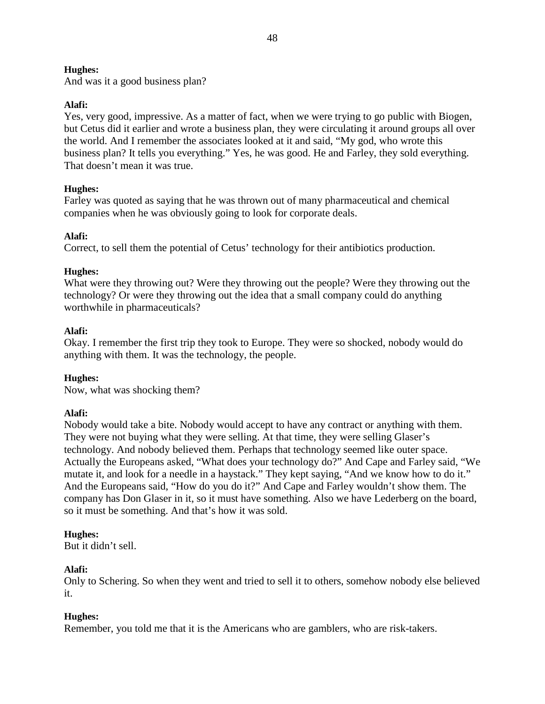And was it a good business plan?

# **Alafi:**

Yes, very good, impressive. As a matter of fact, when we were trying to go public with Biogen, but Cetus did it earlier and wrote a business plan, they were circulating it around groups all over the world. And I remember the associates looked at it and said, "My god, who wrote this business plan? It tells you everything." Yes, he was good. He and Farley, they sold everything. That doesn't mean it was true.

# **Hughes:**

Farley was quoted as saying that he was thrown out of many pharmaceutical and chemical companies when he was obviously going to look for corporate deals.

# **Alafi:**

Correct, to sell them the potential of Cetus' technology for their antibiotics production.

# **Hughes:**

What were they throwing out? Were they throwing out the people? Were they throwing out the technology? Or were they throwing out the idea that a small company could do anything worthwhile in pharmaceuticals?

# **Alafi:**

Okay. I remember the first trip they took to Europe. They were so shocked, nobody would do anything with them. It was the technology, the people.

# **Hughes:**

Now, what was shocking them?

# **Alafi:**

Nobody would take a bite. Nobody would accept to have any contract or anything with them. They were not buying what they were selling. At that time, they were selling Glaser's technology. And nobody believed them. Perhaps that technology seemed like outer space. Actually the Europeans asked, "What does your technology do?" And Cape and Farley said, "We mutate it, and look for a needle in a haystack." They kept saying, "And we know how to do it." And the Europeans said, "How do you do it?" And Cape and Farley wouldn't show them. The company has Don Glaser in it, so it must have something. Also we have Lederberg on the board, so it must be something. And that's how it was sold.

# **Hughes:**

But it didn't sell.

# **Alafi:**

Only to Schering. So when they went and tried to sell it to others, somehow nobody else believed it.

# **Hughes:**

Remember, you told me that it is the Americans who are gamblers, who are risk-takers.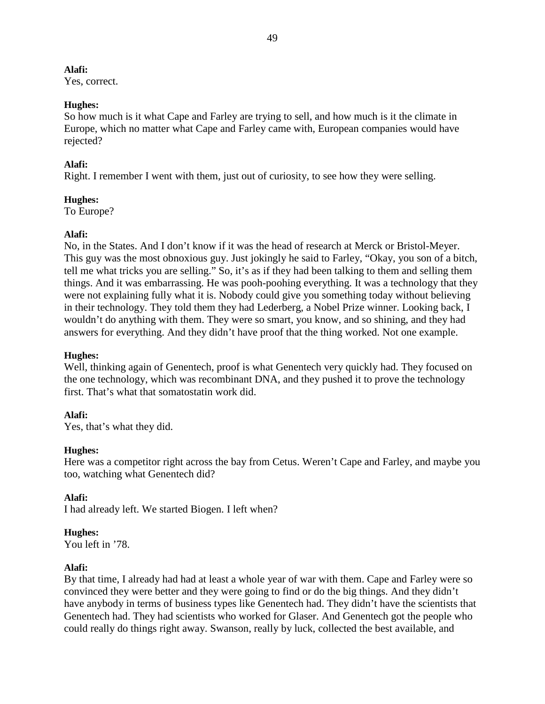Yes, correct.

# **Hughes:**

So how much is it what Cape and Farley are trying to sell, and how much is it the climate in Europe, which no matter what Cape and Farley came with, European companies would have rejected?

# **Alafi:**

Right. I remember I went with them, just out of curiosity, to see how they were selling.

# **Hughes:**

To Europe?

# **Alafi:**

No, in the States. And I don't know if it was the head of research at Merck or Bristol-Meyer. This guy was the most obnoxious guy. Just jokingly he said to Farley, "Okay, you son of a bitch, tell me what tricks you are selling." So, it's as if they had been talking to them and selling them things. And it was embarrassing. He was pooh-poohing everything. It was a technology that they were not explaining fully what it is. Nobody could give you something today without believing in their technology. They told them they had Lederberg, a Nobel Prize winner. Looking back, I wouldn't do anything with them. They were so smart, you know, and so shining, and they had answers for everything. And they didn't have proof that the thing worked. Not one example.

# **Hughes:**

Well, thinking again of Genentech, proof is what Genentech very quickly had. They focused on the one technology, which was recombinant DNA, and they pushed it to prove the technology first. That's what that somatostatin work did.

# **Alafi:**

Yes, that's what they did.

# **Hughes:**

Here was a competitor right across the bay from Cetus. Weren't Cape and Farley, and maybe you too, watching what Genentech did?

# **Alafi:**

I had already left. We started Biogen. I left when?

# **Hughes:**

You left in '78.

# **Alafi:**

By that time, I already had had at least a whole year of war with them. Cape and Farley were so convinced they were better and they were going to find or do the big things. And they didn't have anybody in terms of business types like Genentech had. They didn't have the scientists that Genentech had. They had scientists who worked for Glaser. And Genentech got the people who could really do things right away. Swanson, really by luck, collected the best available, and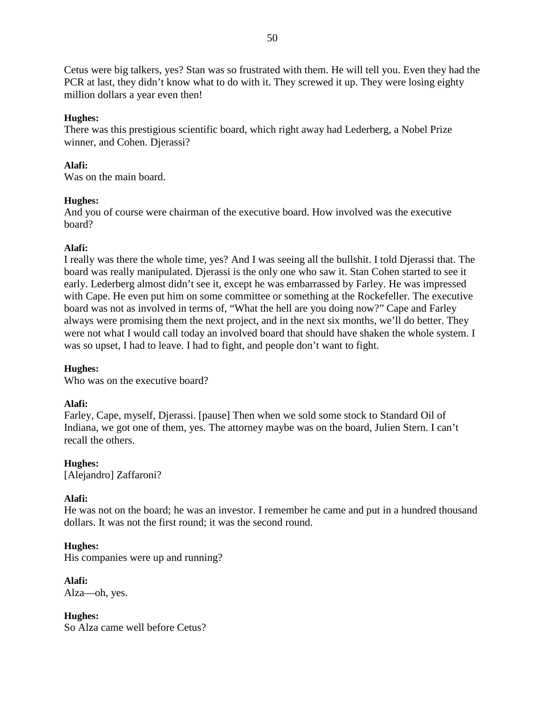Cetus were big talkers, yes? Stan was so frustrated with them. He will tell you. Even they had the PCR at last, they didn't know what to do with it. They screwed it up. They were losing eighty million dollars a year even then!

## **Hughes:**

There was this prestigious scientific board, which right away had Lederberg, a Nobel Prize winner, and Cohen. Djerassi?

## **Alafi:**

Was on the main board.

## **Hughes:**

And you of course were chairman of the executive board. How involved was the executive board?

# **Alafi:**

I really was there the whole time, yes? And I was seeing all the bullshit. I told Djerassi that. The board was really manipulated. Djerassi is the only one who saw it. Stan Cohen started to see it early. Lederberg almost didn't see it, except he was embarrassed by Farley. He was impressed with Cape. He even put him on some committee or something at the Rockefeller. The executive board was not as involved in terms of, "What the hell are you doing now?" Cape and Farley always were promising them the next project, and in the next six months, we'll do better. They were not what I would call today an involved board that should have shaken the whole system. I was so upset, I had to leave. I had to fight, and people don't want to fight.

# **Hughes:**

Who was on the executive board?

# **Alafi:**

Farley, Cape, myself, Djerassi. [pause] Then when we sold some stock to Standard Oil of Indiana, we got one of them, yes. The attorney maybe was on the board, Julien Stern. I can't recall the others.

**Hughes:** [Alejandro] Zaffaroni?

# **Alafi:**

He was not on the board; he was an investor. I remember he came and put in a hundred thousand dollars. It was not the first round; it was the second round.

## **Hughes:**

His companies were up and running?

**Alafi:** Alza—oh, yes.

**Hughes:** So Alza came well before Cetus?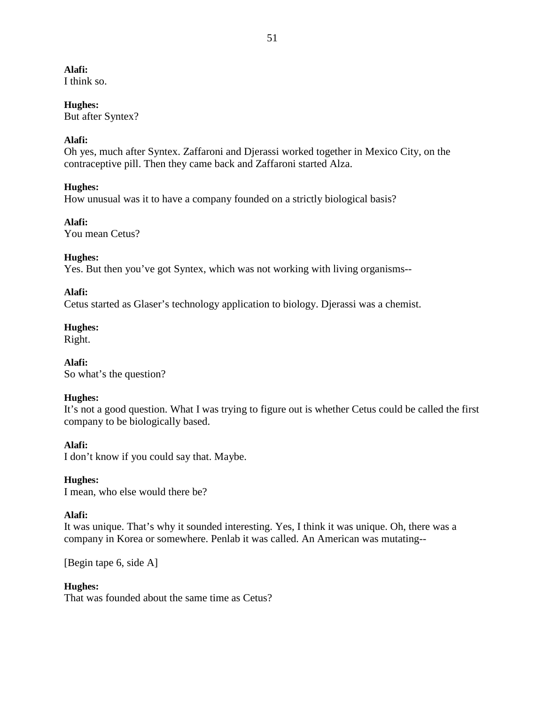I think so.

# **Hughes:**

But after Syntex?

# **Alafi:**

Oh yes, much after Syntex. Zaffaroni and Djerassi worked together in Mexico City, on the contraceptive pill. Then they came back and Zaffaroni started Alza.

# **Hughes:**

How unusual was it to have a company founded on a strictly biological basis?

# **Alafi:**

You mean Cetus?

# **Hughes:**

Yes. But then you've got Syntex, which was not working with living organisms--

# **Alafi:**

Cetus started as Glaser's technology application to biology. Djerassi was a chemist.

# **Hughes:**

Right.

**Alafi:** So what's the question?

# **Hughes:**

It's not a good question. What I was trying to figure out is whether Cetus could be called the first company to be biologically based.

# **Alafi:**

I don't know if you could say that. Maybe.

# **Hughes:**

I mean, who else would there be?

# **Alafi:**

It was unique. That's why it sounded interesting. Yes, I think it was unique. Oh, there was a company in Korea or somewhere. Penlab it was called. An American was mutating--

[Begin tape 6, side A]

# **Hughes:**

That was founded about the same time as Cetus?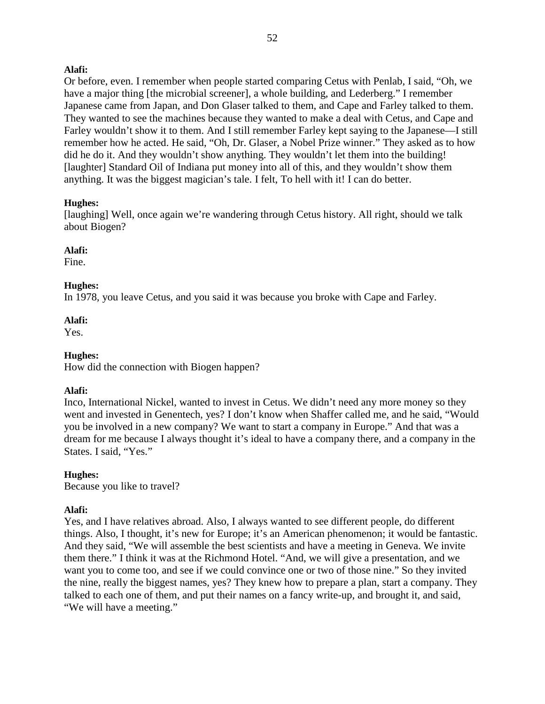Or before, even. I remember when people started comparing Cetus with Penlab, I said, "Oh, we have a major thing [the microbial screener], a whole building, and Lederberg." I remember Japanese came from Japan, and Don Glaser talked to them, and Cape and Farley talked to them. They wanted to see the machines because they wanted to make a deal with Cetus, and Cape and Farley wouldn't show it to them. And I still remember Farley kept saying to the Japanese—I still remember how he acted. He said, "Oh, Dr. Glaser, a Nobel Prize winner." They asked as to how did he do it. And they wouldn't show anything. They wouldn't let them into the building! [laughter] Standard Oil of Indiana put money into all of this, and they wouldn't show them anything. It was the biggest magician's tale. I felt, To hell with it! I can do better.

# **Hughes:**

[laughing] Well, once again we're wandering through Cetus history. All right, should we talk about Biogen?

# **Alafi:**

Fine.

# **Hughes:**

In 1978, you leave Cetus, and you said it was because you broke with Cape and Farley.

# **Alafi:**

Yes.

# **Hughes:**

How did the connection with Biogen happen?

# **Alafi:**

Inco, International Nickel, wanted to invest in Cetus. We didn't need any more money so they went and invested in Genentech, yes? I don't know when Shaffer called me, and he said, "Would you be involved in a new company? We want to start a company in Europe." And that was a dream for me because I always thought it's ideal to have a company there, and a company in the States. I said, "Yes."

# **Hughes:**

Because you like to travel?

# **Alafi:**

Yes, and I have relatives abroad. Also, I always wanted to see different people, do different things. Also, I thought, it's new for Europe; it's an American phenomenon; it would be fantastic. And they said, "We will assemble the best scientists and have a meeting in Geneva. We invite them there." I think it was at the Richmond Hotel. "And, we will give a presentation, and we want you to come too, and see if we could convince one or two of those nine." So they invited the nine, really the biggest names, yes? They knew how to prepare a plan, start a company. They talked to each one of them, and put their names on a fancy write-up, and brought it, and said, "We will have a meeting."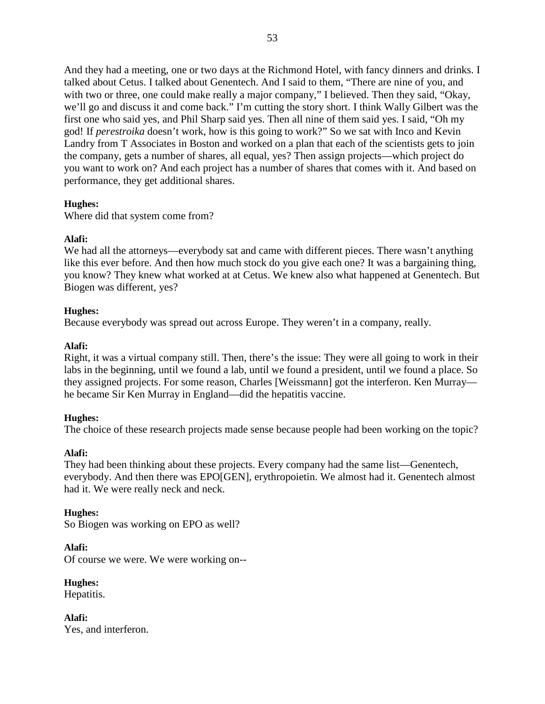And they had a meeting, one or two days at the Richmond Hotel, with fancy dinners and drinks. I talked about Cetus. I talked about Genentech. And I said to them, "There are nine of you, and with two or three, one could make really a major company," I believed. Then they said, "Okay, we'll go and discuss it and come back." I'm cutting the story short. I think Wally Gilbert was the first one who said yes, and Phil Sharp said yes. Then all nine of them said yes. I said, "Oh my god! If *perestroika* doesn't work, how is this going to work?" So we sat with Inco and Kevin Landry from T Associates in Boston and worked on a plan that each of the scientists gets to join the company, gets a number of shares, all equal, yes? Then assign projects—which project do you want to work on? And each project has a number of shares that comes with it. And based on performance, they get additional shares.

# **Hughes:**

Where did that system come from?

# **Alafi:**

We had all the attorneys—everybody sat and came with different pieces. There wasn't anything like this ever before. And then how much stock do you give each one? It was a bargaining thing, you know? They knew what worked at at Cetus. We knew also what happened at Genentech. But Biogen was different, yes?

## **Hughes:**

Because everybody was spread out across Europe. They weren't in a company, really.

## **Alafi:**

Right, it was a virtual company still. Then, there's the issue: They were all going to work in their labs in the beginning, until we found a lab, until we found a president, until we found a place. So they assigned projects. For some reason, Charles [Weissmann] got the interferon. Ken Murray he became Sir Ken Murray in England—did the hepatitis vaccine.

# **Hughes:**

The choice of these research projects made sense because people had been working on the topic?

## **Alafi:**

They had been thinking about these projects. Every company had the same list—Genentech, everybody. And then there was EPO[GEN], erythropoietin. We almost had it. Genentech almost had it. We were really neck and neck.

# **Hughes:**

So Biogen was working on EPO as well?

**Alafi:** Of course we were. We were working on--

**Hughes:** Hepatitis.

**Alafi:** Yes, and interferon.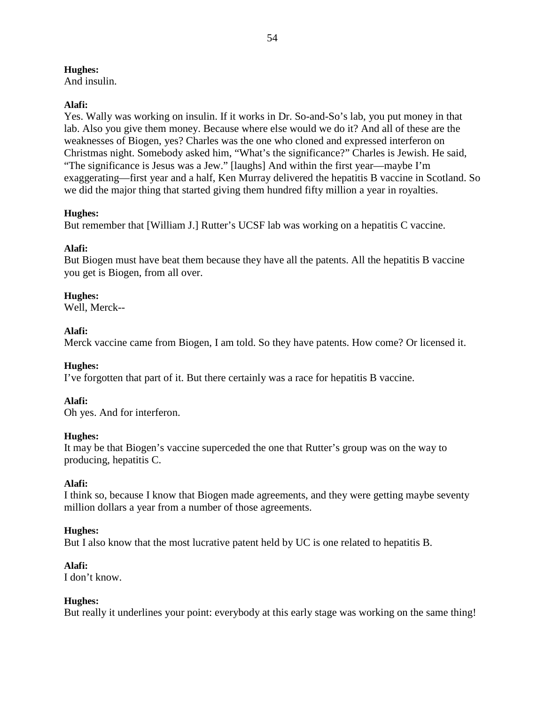And insulin.

## **Alafi:**

Yes. Wally was working on insulin. If it works in Dr. So-and-So's lab, you put money in that lab. Also you give them money. Because where else would we do it? And all of these are the weaknesses of Biogen, yes? Charles was the one who cloned and expressed interferon on Christmas night. Somebody asked him, "What's the significance?" Charles is Jewish. He said, "The significance is Jesus was a Jew." [laughs] And within the first year—maybe I'm exaggerating—first year and a half, Ken Murray delivered the hepatitis B vaccine in Scotland. So we did the major thing that started giving them hundred fifty million a year in royalties.

# **Hughes:**

But remember that [William J.] Rutter's UCSF lab was working on a hepatitis C vaccine.

# **Alafi:**

But Biogen must have beat them because they have all the patents. All the hepatitis B vaccine you get is Biogen, from all over.

# **Hughes:**

Well, Merck--

# **Alafi:**

Merck vaccine came from Biogen, I am told. So they have patents. How come? Or licensed it.

# **Hughes:**

I've forgotten that part of it. But there certainly was a race for hepatitis B vaccine.

# **Alafi:**

Oh yes. And for interferon.

## **Hughes:**

It may be that Biogen's vaccine superceded the one that Rutter's group was on the way to producing, hepatitis C.

# **Alafi:**

I think so, because I know that Biogen made agreements, and they were getting maybe seventy million dollars a year from a number of those agreements.

# **Hughes:**

But I also know that the most lucrative patent held by UC is one related to hepatitis B.

## **Alafi:**

I don't know.

## **Hughes:**

But really it underlines your point: everybody at this early stage was working on the same thing!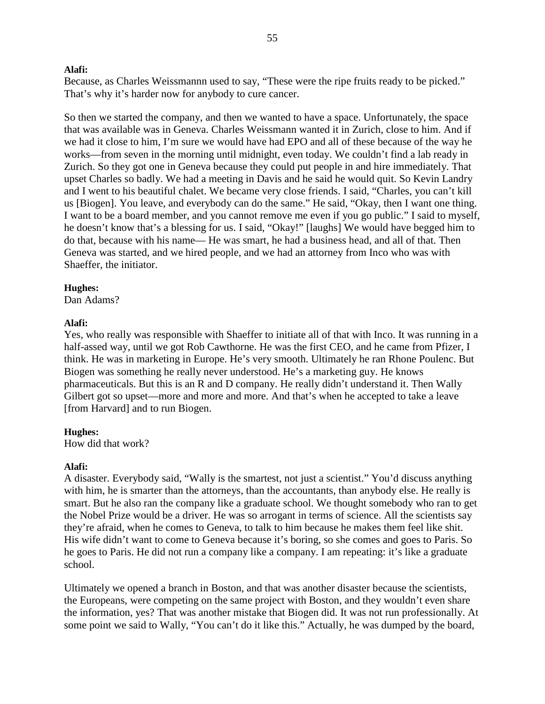Because, as Charles Weissmannn used to say, "These were the ripe fruits ready to be picked." That's why it's harder now for anybody to cure cancer.

So then we started the company, and then we wanted to have a space. Unfortunately, the space that was available was in Geneva. Charles Weissmann wanted it in Zurich, close to him. And if we had it close to him, I'm sure we would have had EPO and all of these because of the way he works—from seven in the morning until midnight, even today. We couldn't find a lab ready in Zurich. So they got one in Geneva because they could put people in and hire immediately. That upset Charles so badly. We had a meeting in Davis and he said he would quit. So Kevin Landry and I went to his beautiful chalet. We became very close friends. I said, "Charles, you can't kill us [Biogen]. You leave, and everybody can do the same." He said, "Okay, then I want one thing. I want to be a board member, and you cannot remove me even if you go public." I said to myself, he doesn't know that's a blessing for us. I said, "Okay!" [laughs] We would have begged him to do that, because with his name— He was smart, he had a business head, and all of that. Then Geneva was started, and we hired people, and we had an attorney from Inco who was with Shaeffer, the initiator.

#### **Hughes:**

Dan Adams?

## **Alafi:**

Yes, who really was responsible with Shaeffer to initiate all of that with Inco. It was running in a half-assed way, until we got Rob Cawthorne. He was the first CEO, and he came from Pfizer, I think. He was in marketing in Europe. He's very smooth. Ultimately he ran Rhone Poulenc. But Biogen was something he really never understood. He's a marketing guy. He knows pharmaceuticals. But this is an R and D company. He really didn't understand it. Then Wally Gilbert got so upset—more and more and more. And that's when he accepted to take a leave [from Harvard] and to run Biogen.

## **Hughes:**

How did that work?

## **Alafi:**

A disaster. Everybody said, "Wally is the smartest, not just a scientist." You'd discuss anything with him, he is smarter than the attorneys, than the accountants, than anybody else. He really is smart. But he also ran the company like a graduate school. We thought somebody who ran to get the Nobel Prize would be a driver. He was so arrogant in terms of science. All the scientists say they're afraid, when he comes to Geneva, to talk to him because he makes them feel like shit. His wife didn't want to come to Geneva because it's boring, so she comes and goes to Paris. So he goes to Paris. He did not run a company like a company. I am repeating: it's like a graduate school.

Ultimately we opened a branch in Boston, and that was another disaster because the scientists, the Europeans, were competing on the same project with Boston, and they wouldn't even share the information, yes? That was another mistake that Biogen did. It was not run professionally. At some point we said to Wally, "You can't do it like this." Actually, he was dumped by the board,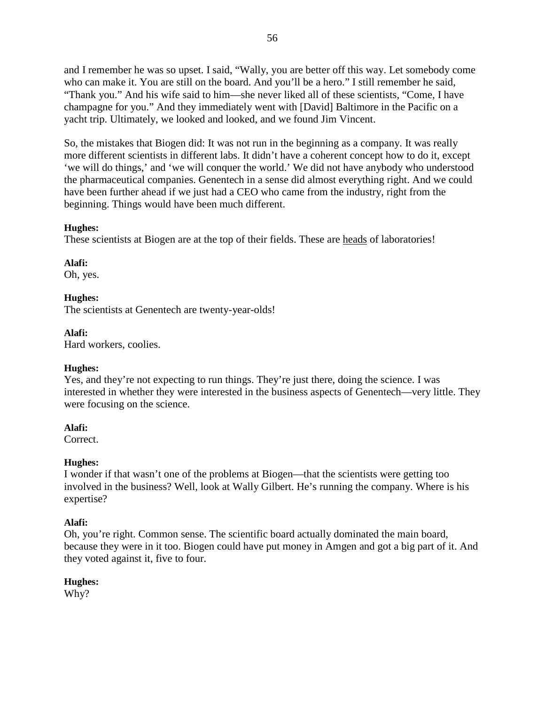and I remember he was so upset. I said, "Wally, you are better off this way. Let somebody come who can make it. You are still on the board. And you'll be a hero." I still remember he said, "Thank you." And his wife said to him—she never liked all of these scientists, "Come, I have champagne for you." And they immediately went with [David] Baltimore in the Pacific on a yacht trip. Ultimately, we looked and looked, and we found Jim Vincent.

So, the mistakes that Biogen did: It was not run in the beginning as a company. It was really more different scientists in different labs. It didn't have a coherent concept how to do it, except 'we will do things,' and 'we will conquer the world.' We did not have anybody who understood the pharmaceutical companies. Genentech in a sense did almost everything right. And we could have been further ahead if we just had a CEO who came from the industry, right from the beginning. Things would have been much different.

# **Hughes:**

These scientists at Biogen are at the top of their fields. These are heads of laboratories!

## **Alafi:**

Oh, yes.

## **Hughes:**

The scientists at Genentech are twenty-year-olds!

## **Alafi:**

Hard workers, coolies.

## **Hughes:**

Yes, and they're not expecting to run things. They're just there, doing the science. I was interested in whether they were interested in the business aspects of Genentech—very little. They were focusing on the science.

# **Alafi:**

Correct.

# **Hughes:**

I wonder if that wasn't one of the problems at Biogen—that the scientists were getting too involved in the business? Well, look at Wally Gilbert. He's running the company. Where is his expertise?

# **Alafi:**

Oh, you're right. Common sense. The scientific board actually dominated the main board, because they were in it too. Biogen could have put money in Amgen and got a big part of it. And they voted against it, five to four.

# **Hughes:**

Why?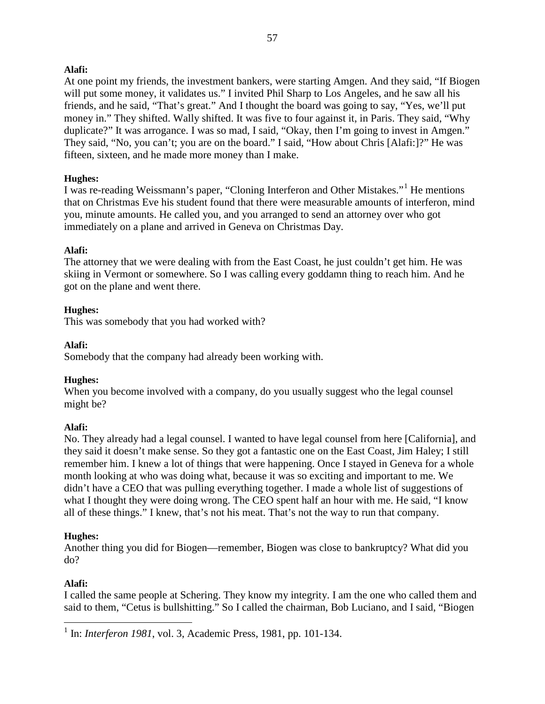At one point my friends, the investment bankers, were starting Amgen. And they said, "If Biogen will put some money, it validates us." I invited Phil Sharp to Los Angeles, and he saw all his friends, and he said, "That's great." And I thought the board was going to say, "Yes, we'll put money in." They shifted. Wally shifted. It was five to four against it, in Paris. They said, "Why duplicate?" It was arrogance. I was so mad, I said, "Okay, then I'm going to invest in Amgen." They said, "No, you can't; you are on the board." I said, "How about Chris [Alafi:]?" He was fifteen, sixteen, and he made more money than I make.

# **Hughes:**

I was re-reading Weissmann's paper, "Cloning Interferon and Other Mistakes."[1](#page-59-0) He mentions that on Christmas Eve his student found that there were measurable amounts of interferon, mind you, minute amounts. He called you, and you arranged to send an attorney over who got immediately on a plane and arrived in Geneva on Christmas Day.

# **Alafi:**

The attorney that we were dealing with from the East Coast, he just couldn't get him. He was skiing in Vermont or somewhere. So I was calling every goddamn thing to reach him. And he got on the plane and went there.

# **Hughes:**

This was somebody that you had worked with?

# **Alafi:**

Somebody that the company had already been working with.

# **Hughes:**

When you become involved with a company, do you usually suggest who the legal counsel might be?

# **Alafi:**

No. They already had a legal counsel. I wanted to have legal counsel from here [California], and they said it doesn't make sense. So they got a fantastic one on the East Coast, Jim Haley; I still remember him. I knew a lot of things that were happening. Once I stayed in Geneva for a whole month looking at who was doing what, because it was so exciting and important to me. We didn't have a CEO that was pulling everything together. I made a whole list of suggestions of what I thought they were doing wrong. The CEO spent half an hour with me. He said, "I know all of these things." I knew, that's not his meat. That's not the way to run that company.

# **Hughes:**

Another thing you did for Biogen—remember, Biogen was close to bankruptcy? What did you do?

# **Alafi:**

I called the same people at Schering. They know my integrity. I am the one who called them and said to them, "Cetus is bullshitting." So I called the chairman, Bob Luciano, and I said, "Biogen

<span id="page-59-0"></span> <sup>1</sup> In: *Interferon 1981*, vol. 3, Academic Press, 1981, pp. 101-134.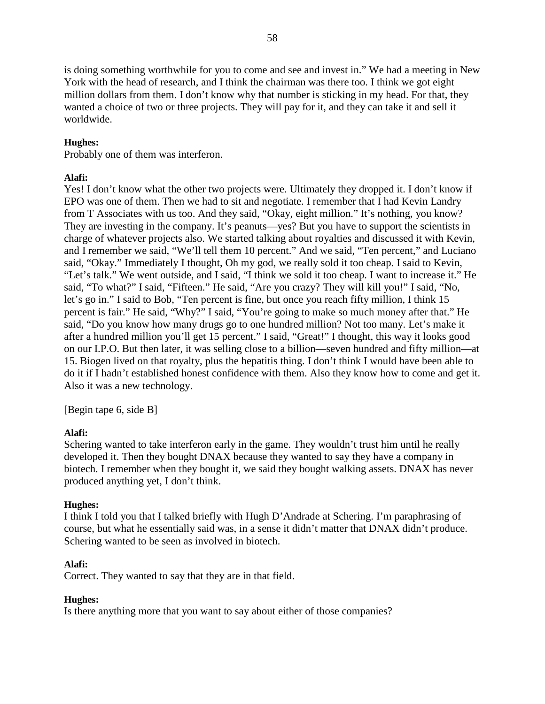is doing something worthwhile for you to come and see and invest in." We had a meeting in New York with the head of research, and I think the chairman was there too. I think we got eight million dollars from them. I don't know why that number is sticking in my head. For that, they wanted a choice of two or three projects. They will pay for it, and they can take it and sell it worldwide.

# **Hughes:**

Probably one of them was interferon.

## **Alafi:**

Yes! I don't know what the other two projects were. Ultimately they dropped it. I don't know if EPO was one of them. Then we had to sit and negotiate. I remember that I had Kevin Landry from T Associates with us too. And they said, "Okay, eight million." It's nothing, you know? They are investing in the company. It's peanuts—yes? But you have to support the scientists in charge of whatever projects also. We started talking about royalties and discussed it with Kevin, and I remember we said, "We'll tell them 10 percent." And we said, "Ten percent," and Luciano said, "Okay." Immediately I thought, Oh my god, we really sold it too cheap. I said to Kevin, "Let's talk." We went outside, and I said, "I think we sold it too cheap. I want to increase it." He said, "To what?" I said, "Fifteen." He said, "Are you crazy? They will kill you!" I said, "No, let's go in." I said to Bob, "Ten percent is fine, but once you reach fifty million, I think 15 percent is fair." He said, "Why?" I said, "You're going to make so much money after that." He said, "Do you know how many drugs go to one hundred million? Not too many. Let's make it after a hundred million you'll get 15 percent." I said, "Great!" I thought, this way it looks good on our I.P.O. But then later, it was selling close to a billion—seven hundred and fifty million—at 15. Biogen lived on that royalty, plus the hepatitis thing. I don't think I would have been able to do it if I hadn't established honest confidence with them. Also they know how to come and get it. Also it was a new technology.

[Begin tape 6, side B]

## **Alafi:**

Schering wanted to take interferon early in the game. They wouldn't trust him until he really developed it. Then they bought DNAX because they wanted to say they have a company in biotech. I remember when they bought it, we said they bought walking assets. DNAX has never produced anything yet, I don't think.

## **Hughes:**

I think I told you that I talked briefly with Hugh D'Andrade at Schering. I'm paraphrasing of course, but what he essentially said was, in a sense it didn't matter that DNAX didn't produce. Schering wanted to be seen as involved in biotech.

## **Alafi:**

Correct. They wanted to say that they are in that field.

# **Hughes:**

Is there anything more that you want to say about either of those companies?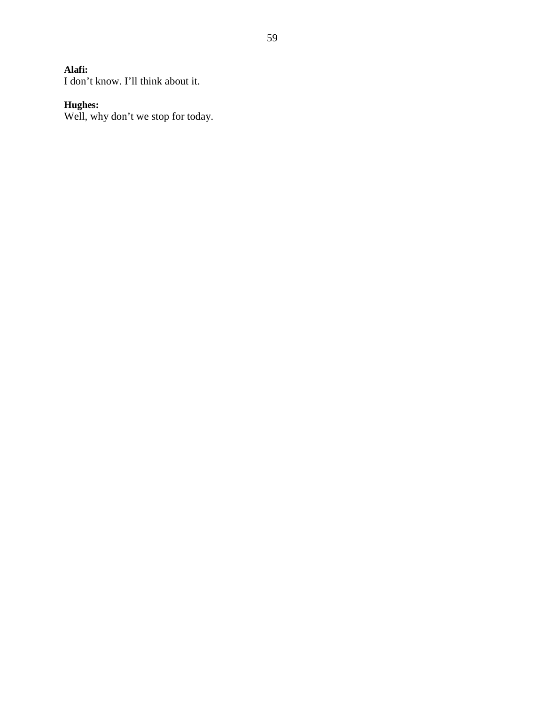I don't know. I'll think about it.

#### **Hughes:**

Well, why don't we stop for today.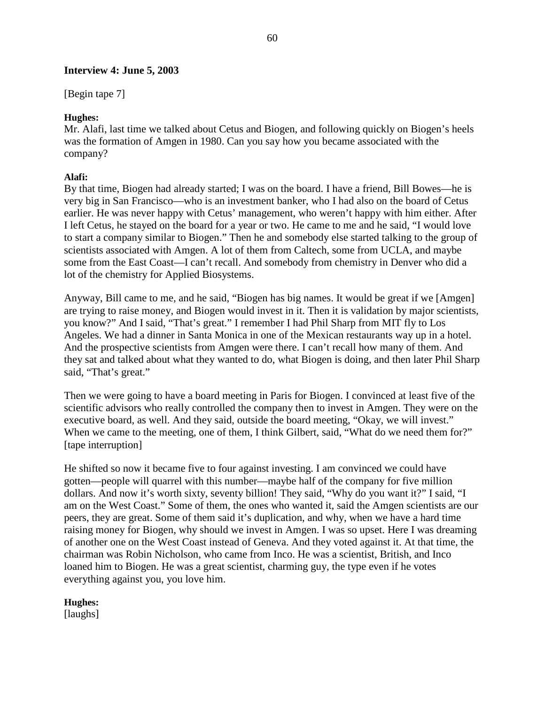## **Interview 4: June 5, 2003**

[Begin tape 7]

## **Hughes:**

Mr. Alafi, last time we talked about Cetus and Biogen, and following quickly on Biogen's heels was the formation of Amgen in 1980. Can you say how you became associated with the company?

## **Alafi:**

By that time, Biogen had already started; I was on the board. I have a friend, Bill Bowes—he is very big in San Francisco—who is an investment banker, who I had also on the board of Cetus earlier. He was never happy with Cetus' management, who weren't happy with him either. After I left Cetus, he stayed on the board for a year or two. He came to me and he said, "I would love to start a company similar to Biogen." Then he and somebody else started talking to the group of scientists associated with Amgen. A lot of them from Caltech, some from UCLA, and maybe some from the East Coast—I can't recall. And somebody from chemistry in Denver who did a lot of the chemistry for Applied Biosystems.

Anyway, Bill came to me, and he said, "Biogen has big names. It would be great if we [Amgen] are trying to raise money, and Biogen would invest in it. Then it is validation by major scientists, you know?" And I said, "That's great." I remember I had Phil Sharp from MIT fly to Los Angeles. We had a dinner in Santa Monica in one of the Mexican restaurants way up in a hotel. And the prospective scientists from Amgen were there. I can't recall how many of them. And they sat and talked about what they wanted to do, what Biogen is doing, and then later Phil Sharp said, "That's great."

Then we were going to have a board meeting in Paris for Biogen. I convinced at least five of the scientific advisors who really controlled the company then to invest in Amgen. They were on the executive board, as well. And they said, outside the board meeting, "Okay, we will invest." When we came to the meeting, one of them, I think Gilbert, said, "What do we need them for?" [tape interruption]

He shifted so now it became five to four against investing. I am convinced we could have gotten—people will quarrel with this number—maybe half of the company for five million dollars. And now it's worth sixty, seventy billion! They said, "Why do you want it?" I said, "I am on the West Coast." Some of them, the ones who wanted it, said the Amgen scientists are our peers, they are great. Some of them said it's duplication, and why, when we have a hard time raising money for Biogen, why should we invest in Amgen. I was so upset. Here I was dreaming of another one on the West Coast instead of Geneva. And they voted against it. At that time, the chairman was Robin Nicholson, who came from Inco. He was a scientist, British, and Inco loaned him to Biogen. He was a great scientist, charming guy, the type even if he votes everything against you, you love him.

# **Hughes:**

[laughs]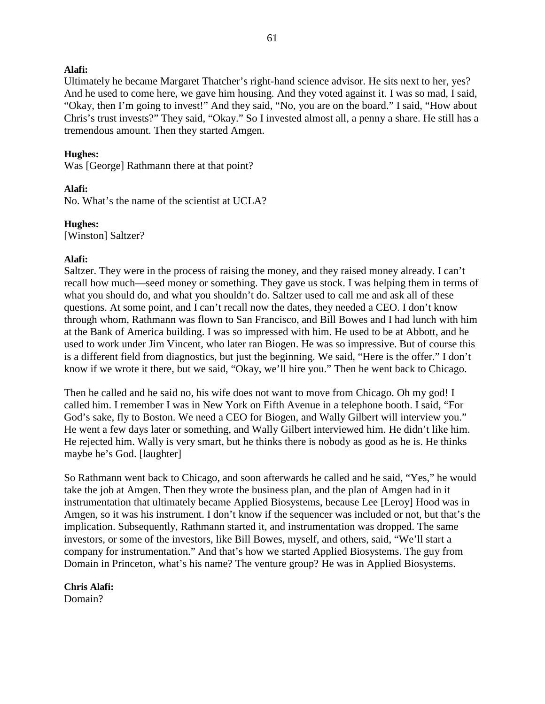Ultimately he became Margaret Thatcher's right-hand science advisor. He sits next to her, yes? And he used to come here, we gave him housing. And they voted against it. I was so mad, I said, "Okay, then I'm going to invest!" And they said, "No, you are on the board." I said, "How about Chris's trust invests?" They said, "Okay." So I invested almost all, a penny a share. He still has a tremendous amount. Then they started Amgen.

#### **Hughes:**

Was [George] Rathmann there at that point?

## **Alafi:**

No. What's the name of the scientist at UCLA?

#### **Hughes:**

[Winston] Saltzer?

## **Alafi:**

Saltzer. They were in the process of raising the money, and they raised money already. I can't recall how much—seed money or something. They gave us stock. I was helping them in terms of what you should do, and what you shouldn't do. Saltzer used to call me and ask all of these questions. At some point, and I can't recall now the dates, they needed a CEO. I don't know through whom, Rathmann was flown to San Francisco, and Bill Bowes and I had lunch with him at the Bank of America building. I was so impressed with him. He used to be at Abbott, and he used to work under Jim Vincent, who later ran Biogen. He was so impressive. But of course this is a different field from diagnostics, but just the beginning. We said, "Here is the offer." I don't know if we wrote it there, but we said, "Okay, we'll hire you." Then he went back to Chicago.

Then he called and he said no, his wife does not want to move from Chicago. Oh my god! I called him. I remember I was in New York on Fifth Avenue in a telephone booth. I said, "For God's sake, fly to Boston. We need a CEO for Biogen, and Wally Gilbert will interview you." He went a few days later or something, and Wally Gilbert interviewed him. He didn't like him. He rejected him. Wally is very smart, but he thinks there is nobody as good as he is. He thinks maybe he's God. [laughter]

So Rathmann went back to Chicago, and soon afterwards he called and he said, "Yes," he would take the job at Amgen. Then they wrote the business plan, and the plan of Amgen had in it instrumentation that ultimately became Applied Biosystems, because Lee [Leroy] Hood was in Amgen, so it was his instrument. I don't know if the sequencer was included or not, but that's the implication. Subsequently, Rathmann started it, and instrumentation was dropped. The same investors, or some of the investors, like Bill Bowes, myself, and others, said, "We'll start a company for instrumentation." And that's how we started Applied Biosystems. The guy from Domain in Princeton, what's his name? The venture group? He was in Applied Biosystems.

**Chris Alafi:** Domain?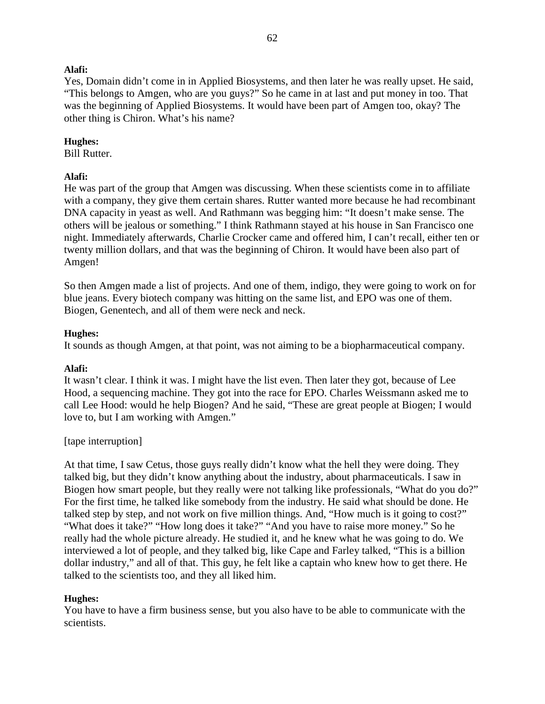Yes, Domain didn't come in in Applied Biosystems, and then later he was really upset. He said, "This belongs to Amgen, who are you guys?" So he came in at last and put money in too. That was the beginning of Applied Biosystems. It would have been part of Amgen too, okay? The other thing is Chiron. What's his name?

#### **Hughes:**

Bill Rutter.

#### **Alafi:**

He was part of the group that Amgen was discussing. When these scientists come in to affiliate with a company, they give them certain shares. Rutter wanted more because he had recombinant DNA capacity in yeast as well. And Rathmann was begging him: "It doesn't make sense. The others will be jealous or something." I think Rathmann stayed at his house in San Francisco one night. Immediately afterwards, Charlie Crocker came and offered him, I can't recall, either ten or twenty million dollars, and that was the beginning of Chiron. It would have been also part of Amgen!

So then Amgen made a list of projects. And one of them, indigo, they were going to work on for blue jeans. Every biotech company was hitting on the same list, and EPO was one of them. Biogen, Genentech, and all of them were neck and neck.

#### **Hughes:**

It sounds as though Amgen, at that point, was not aiming to be a biopharmaceutical company.

#### **Alafi:**

It wasn't clear. I think it was. I might have the list even. Then later they got, because of Lee Hood, a sequencing machine. They got into the race for EPO. Charles Weissmann asked me to call Lee Hood: would he help Biogen? And he said, "These are great people at Biogen; I would love to, but I am working with Amgen."

## [tape interruption]

At that time, I saw Cetus, those guys really didn't know what the hell they were doing. They talked big, but they didn't know anything about the industry, about pharmaceuticals. I saw in Biogen how smart people, but they really were not talking like professionals, "What do you do?" For the first time, he talked like somebody from the industry. He said what should be done. He talked step by step, and not work on five million things. And, "How much is it going to cost?" "What does it take?" "How long does it take?" "And you have to raise more money." So he really had the whole picture already. He studied it, and he knew what he was going to do. We interviewed a lot of people, and they talked big, like Cape and Farley talked, "This is a billion dollar industry," and all of that. This guy, he felt like a captain who knew how to get there. He talked to the scientists too, and they all liked him.

## **Hughes:**

You have to have a firm business sense, but you also have to be able to communicate with the scientists.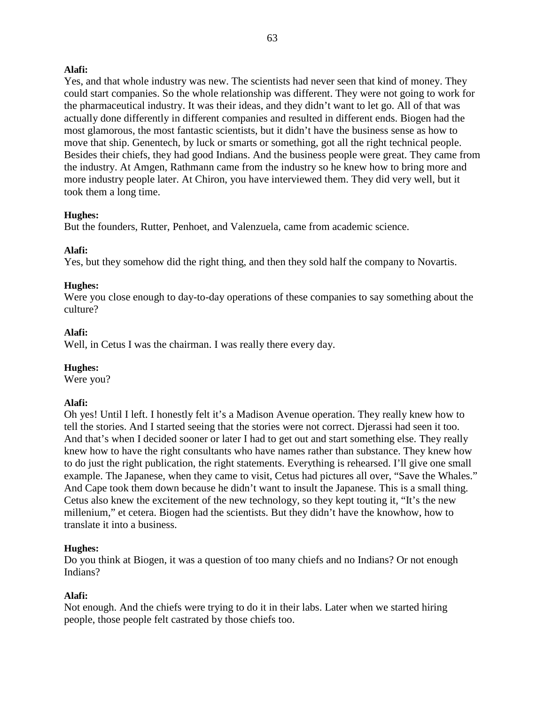Yes, and that whole industry was new. The scientists had never seen that kind of money. They could start companies. So the whole relationship was different. They were not going to work for the pharmaceutical industry. It was their ideas, and they didn't want to let go. All of that was actually done differently in different companies and resulted in different ends. Biogen had the most glamorous, the most fantastic scientists, but it didn't have the business sense as how to move that ship. Genentech, by luck or smarts or something, got all the right technical people. Besides their chiefs, they had good Indians. And the business people were great. They came from the industry. At Amgen, Rathmann came from the industry so he knew how to bring more and more industry people later. At Chiron, you have interviewed them. They did very well, but it took them a long time.

# **Hughes:**

But the founders, Rutter, Penhoet, and Valenzuela, came from academic science.

# **Alafi:**

Yes, but they somehow did the right thing, and then they sold half the company to Novartis.

## **Hughes:**

Were you close enough to day-to-day operations of these companies to say something about the culture?

## **Alafi:**

Well, in Cetus I was the chairman. I was really there every day.

## **Hughes:**

Were you?

## **Alafi:**

Oh yes! Until I left. I honestly felt it's a Madison Avenue operation. They really knew how to tell the stories. And I started seeing that the stories were not correct. Djerassi had seen it too. And that's when I decided sooner or later I had to get out and start something else. They really knew how to have the right consultants who have names rather than substance. They knew how to do just the right publication, the right statements. Everything is rehearsed. I'll give one small example. The Japanese, when they came to visit, Cetus had pictures all over, "Save the Whales." And Cape took them down because he didn't want to insult the Japanese. This is a small thing. Cetus also knew the excitement of the new technology, so they kept touting it, "It's the new millenium," et cetera. Biogen had the scientists. But they didn't have the knowhow, how to translate it into a business.

## **Hughes:**

Do you think at Biogen, it was a question of too many chiefs and no Indians? Or not enough Indians?

## **Alafi:**

Not enough. And the chiefs were trying to do it in their labs. Later when we started hiring people, those people felt castrated by those chiefs too.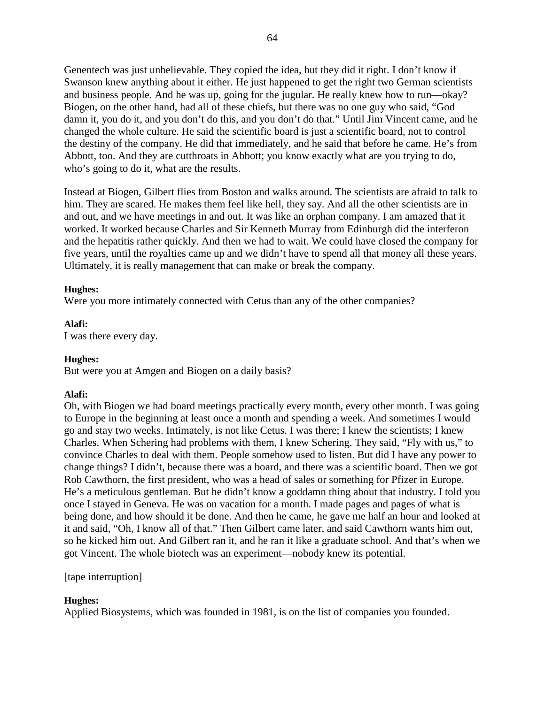Genentech was just unbelievable. They copied the idea, but they did it right. I don't know if Swanson knew anything about it either. He just happened to get the right two German scientists and business people. And he was up, going for the jugular. He really knew how to run—okay? Biogen, on the other hand, had all of these chiefs, but there was no one guy who said, "God damn it, you do it, and you don't do this, and you don't do that." Until Jim Vincent came, and he changed the whole culture. He said the scientific board is just a scientific board, not to control the destiny of the company. He did that immediately, and he said that before he came. He's from Abbott, too. And they are cutthroats in Abbott; you know exactly what are you trying to do, who's going to do it, what are the results.

Instead at Biogen, Gilbert flies from Boston and walks around. The scientists are afraid to talk to him. They are scared. He makes them feel like hell, they say. And all the other scientists are in and out, and we have meetings in and out. It was like an orphan company. I am amazed that it worked. It worked because Charles and Sir Kenneth Murray from Edinburgh did the interferon and the hepatitis rather quickly. And then we had to wait. We could have closed the company for five years, until the royalties came up and we didn't have to spend all that money all these years. Ultimately, it is really management that can make or break the company.

## **Hughes:**

Were you more intimately connected with Cetus than any of the other companies?

**Alafi:** I was there every day.

# **Hughes:**

But were you at Amgen and Biogen on a daily basis?

# **Alafi:**

Oh, with Biogen we had board meetings practically every month, every other month. I was going to Europe in the beginning at least once a month and spending a week. And sometimes I would go and stay two weeks. Intimately, is not like Cetus. I was there; I knew the scientists; I knew Charles. When Schering had problems with them, I knew Schering. They said, "Fly with us," to convince Charles to deal with them. People somehow used to listen. But did I have any power to change things? I didn't, because there was a board, and there was a scientific board. Then we got Rob Cawthorn, the first president, who was a head of sales or something for Pfizer in Europe. He's a meticulous gentleman. But he didn't know a goddamn thing about that industry. I told you once I stayed in Geneva. He was on vacation for a month. I made pages and pages of what is being done, and how should it be done. And then he came, he gave me half an hour and looked at it and said, "Oh, I know all of that." Then Gilbert came later, and said Cawthorn wants him out, so he kicked him out. And Gilbert ran it, and he ran it like a graduate school. And that's when we got Vincent. The whole biotech was an experiment—nobody knew its potential.

[tape interruption]

# **Hughes:**

Applied Biosystems, which was founded in 1981, is on the list of companies you founded.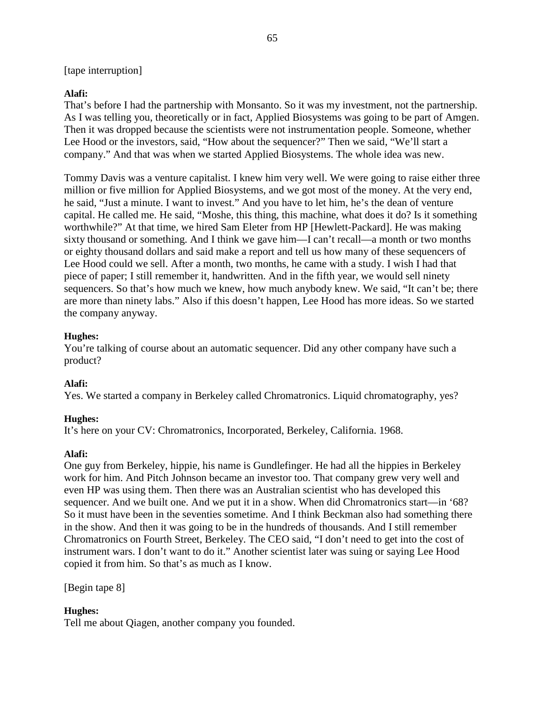## [tape interruption]

## **Alafi:**

That's before I had the partnership with Monsanto. So it was my investment, not the partnership. As I was telling you, theoretically or in fact, Applied Biosystems was going to be part of Amgen. Then it was dropped because the scientists were not instrumentation people. Someone, whether Lee Hood or the investors, said, "How about the sequencer?" Then we said, "We'll start a company." And that was when we started Applied Biosystems. The whole idea was new.

Tommy Davis was a venture capitalist. I knew him very well. We were going to raise either three million or five million for Applied Biosystems, and we got most of the money. At the very end, he said, "Just a minute. I want to invest." And you have to let him, he's the dean of venture capital. He called me. He said, "Moshe, this thing, this machine, what does it do? Is it something worthwhile?" At that time, we hired Sam Eleter from HP [Hewlett-Packard]. He was making sixty thousand or something. And I think we gave him—I can't recall—a month or two months or eighty thousand dollars and said make a report and tell us how many of these sequencers of Lee Hood could we sell. After a month, two months, he came with a study. I wish I had that piece of paper; I still remember it, handwritten. And in the fifth year, we would sell ninety sequencers. So that's how much we knew, how much anybody knew. We said, "It can't be; there are more than ninety labs." Also if this doesn't happen, Lee Hood has more ideas. So we started the company anyway.

## **Hughes:**

You're talking of course about an automatic sequencer. Did any other company have such a product?

## **Alafi:**

Yes. We started a company in Berkeley called Chromatronics. Liquid chromatography, yes?

# **Hughes:**

It's here on your CV: Chromatronics, Incorporated, Berkeley, California. 1968.

## **Alafi:**

One guy from Berkeley, hippie, his name is Gundlefinger. He had all the hippies in Berkeley work for him. And Pitch Johnson became an investor too. That company grew very well and even HP was using them. Then there was an Australian scientist who has developed this sequencer. And we built one. And we put it in a show. When did Chromatronics start—in '68? So it must have been in the seventies sometime. And I think Beckman also had something there in the show. And then it was going to be in the hundreds of thousands. And I still remember Chromatronics on Fourth Street, Berkeley. The CEO said, "I don't need to get into the cost of instrument wars. I don't want to do it." Another scientist later was suing or saying Lee Hood copied it from him. So that's as much as I know.

[Begin tape 8]

# **Hughes:**

Tell me about Qiagen, another company you founded.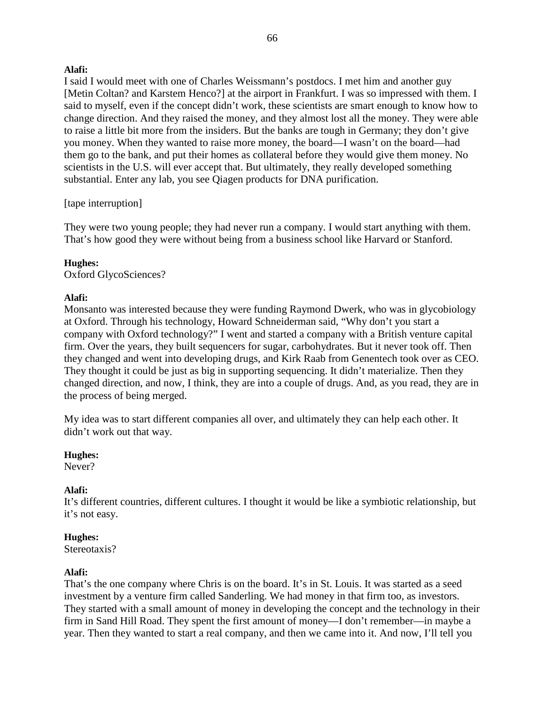I said I would meet with one of Charles Weissmann's postdocs. I met him and another guy [Metin Coltan? and Karstem Henco?] at the airport in Frankfurt. I was so impressed with them. I said to myself, even if the concept didn't work, these scientists are smart enough to know how to change direction. And they raised the money, and they almost lost all the money. They were able to raise a little bit more from the insiders. But the banks are tough in Germany; they don't give you money. When they wanted to raise more money, the board—I wasn't on the board—had them go to the bank, and put their homes as collateral before they would give them money. No scientists in the U.S. will ever accept that. But ultimately, they really developed something substantial. Enter any lab, you see Qiagen products for DNA purification.

## [tape interruption]

They were two young people; they had never run a company. I would start anything with them. That's how good they were without being from a business school like Harvard or Stanford.

## **Hughes:**

Oxford GlycoSciences?

## **Alafi:**

Monsanto was interested because they were funding Raymond Dwerk, who was in glycobiology at Oxford. Through his technology, Howard Schneiderman said, "Why don't you start a company with Oxford technology?" I went and started a company with a British venture capital firm. Over the years, they built sequencers for sugar, carbohydrates. But it never took off. Then they changed and went into developing drugs, and Kirk Raab from Genentech took over as CEO. They thought it could be just as big in supporting sequencing. It didn't materialize. Then they changed direction, and now, I think, they are into a couple of drugs. And, as you read, they are in the process of being merged.

My idea was to start different companies all over, and ultimately they can help each other. It didn't work out that way.

## **Hughes:**

Never?

## **Alafi:**

It's different countries, different cultures. I thought it would be like a symbiotic relationship, but it's not easy.

## **Hughes:**

Stereotaxis?

# **Alafi:**

That's the one company where Chris is on the board. It's in St. Louis. It was started as a seed investment by a venture firm called Sanderling. We had money in that firm too, as investors. They started with a small amount of money in developing the concept and the technology in their firm in Sand Hill Road. They spent the first amount of money—I don't remember—in maybe a year. Then they wanted to start a real company, and then we came into it. And now, I'll tell you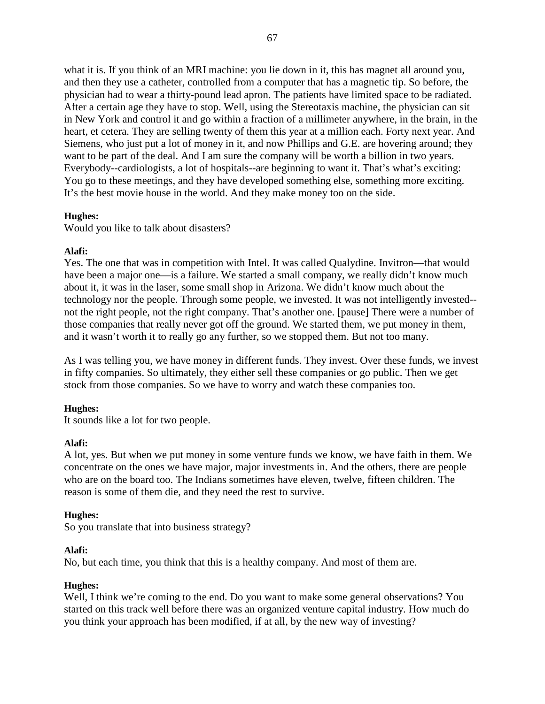what it is. If you think of an MRI machine: you lie down in it, this has magnet all around you, and then they use a catheter, controlled from a computer that has a magnetic tip. So before, the physician had to wear a thirty-pound lead apron. The patients have limited space to be radiated. After a certain age they have to stop. Well, using the Stereotaxis machine, the physician can sit in New York and control it and go within a fraction of a millimeter anywhere, in the brain, in the heart, et cetera. They are selling twenty of them this year at a million each. Forty next year. And Siemens, who just put a lot of money in it, and now Phillips and G.E. are hovering around; they want to be part of the deal. And I am sure the company will be worth a billion in two years. Everybody--cardiologists, a lot of hospitals--are beginning to want it. That's what's exciting: You go to these meetings, and they have developed something else, something more exciting. It's the best movie house in the world. And they make money too on the side.

## **Hughes:**

Would you like to talk about disasters?

## **Alafi:**

Yes. The one that was in competition with Intel. It was called Qualydine. Invitron—that would have been a major one—is a failure. We started a small company, we really didn't know much about it, it was in the laser, some small shop in Arizona. We didn't know much about the technology nor the people. Through some people, we invested. It was not intelligently invested- not the right people, not the right company. That's another one. [pause] There were a number of those companies that really never got off the ground. We started them, we put money in them, and it wasn't worth it to really go any further, so we stopped them. But not too many.

As I was telling you, we have money in different funds. They invest. Over these funds, we invest in fifty companies. So ultimately, they either sell these companies or go public. Then we get stock from those companies. So we have to worry and watch these companies too.

## **Hughes:**

It sounds like a lot for two people.

## **Alafi:**

A lot, yes. But when we put money in some venture funds we know, we have faith in them. We concentrate on the ones we have major, major investments in. And the others, there are people who are on the board too. The Indians sometimes have eleven, twelve, fifteen children. The reason is some of them die, and they need the rest to survive.

## **Hughes:**

So you translate that into business strategy?

## **Alafi:**

No, but each time, you think that this is a healthy company. And most of them are.

## **Hughes:**

Well, I think we're coming to the end. Do you want to make some general observations? You started on this track well before there was an organized venture capital industry. How much do you think your approach has been modified, if at all, by the new way of investing?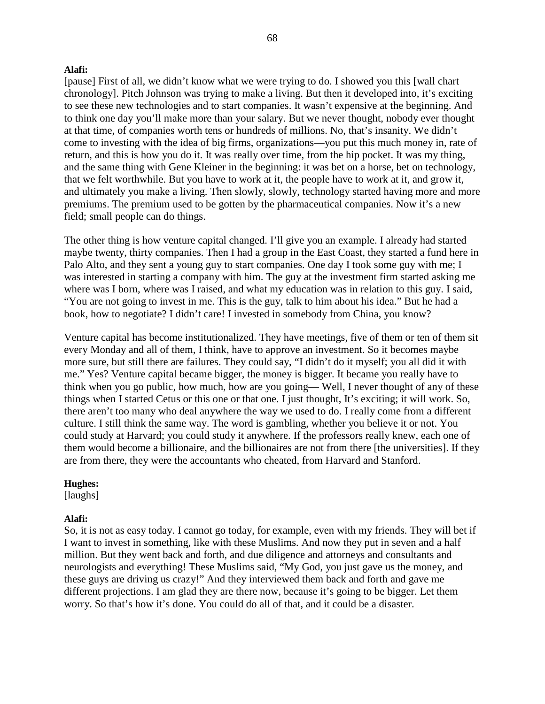[pause] First of all, we didn't know what we were trying to do. I showed you this [wall chart chronology]. Pitch Johnson was trying to make a living. But then it developed into, it's exciting to see these new technologies and to start companies. It wasn't expensive at the beginning. And to think one day you'll make more than your salary. But we never thought, nobody ever thought at that time, of companies worth tens or hundreds of millions. No, that's insanity. We didn't come to investing with the idea of big firms, organizations—you put this much money in, rate of return, and this is how you do it. It was really over time, from the hip pocket. It was my thing, and the same thing with Gene Kleiner in the beginning: it was bet on a horse, bet on technology, that we felt worthwhile. But you have to work at it, the people have to work at it, and grow it, and ultimately you make a living. Then slowly, slowly, technology started having more and more premiums. The premium used to be gotten by the pharmaceutical companies. Now it's a new field; small people can do things.

The other thing is how venture capital changed. I'll give you an example. I already had started maybe twenty, thirty companies. Then I had a group in the East Coast, they started a fund here in Palo Alto, and they sent a young guy to start companies. One day I took some guy with me; I was interested in starting a company with him. The guy at the investment firm started asking me where was I born, where was I raised, and what my education was in relation to this guy. I said, "You are not going to invest in me. This is the guy, talk to him about his idea." But he had a book, how to negotiate? I didn't care! I invested in somebody from China, you know?

Venture capital has become institutionalized. They have meetings, five of them or ten of them sit every Monday and all of them, I think, have to approve an investment. So it becomes maybe more sure, but still there are failures. They could say, "I didn't do it myself; you all did it with me." Yes? Venture capital became bigger, the money is bigger. It became you really have to think when you go public, how much, how are you going— Well, I never thought of any of these things when I started Cetus or this one or that one. I just thought, It's exciting; it will work. So, there aren't too many who deal anywhere the way we used to do. I really come from a different culture. I still think the same way. The word is gambling, whether you believe it or not. You could study at Harvard; you could study it anywhere. If the professors really knew, each one of them would become a billionaire, and the billionaires are not from there [the universities]. If they are from there, they were the accountants who cheated, from Harvard and Stanford.

## **Hughes:**

[laughs]

#### **Alafi:**

So, it is not as easy today. I cannot go today, for example, even with my friends. They will bet if I want to invest in something, like with these Muslims. And now they put in seven and a half million. But they went back and forth, and due diligence and attorneys and consultants and neurologists and everything! These Muslims said, "My God, you just gave us the money, and these guys are driving us crazy!" And they interviewed them back and forth and gave me different projections. I am glad they are there now, because it's going to be bigger. Let them worry. So that's how it's done. You could do all of that, and it could be a disaster.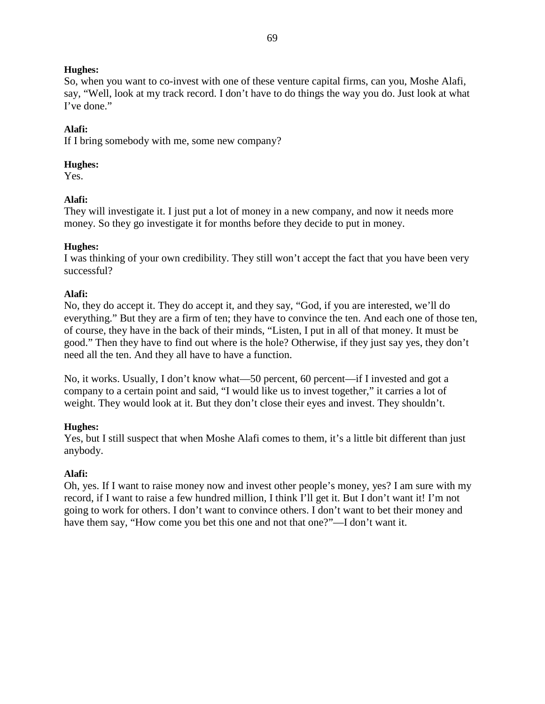So, when you want to co-invest with one of these venture capital firms, can you, Moshe Alafi, say, "Well, look at my track record. I don't have to do things the way you do. Just look at what I've done."

# **Alafi:**

If I bring somebody with me, some new company?

# **Hughes:**

Yes.

# **Alafi:**

They will investigate it. I just put a lot of money in a new company, and now it needs more money. So they go investigate it for months before they decide to put in money.

# **Hughes:**

I was thinking of your own credibility. They still won't accept the fact that you have been very successful?

# **Alafi:**

No, they do accept it. They do accept it, and they say, "God, if you are interested, we'll do everything." But they are a firm of ten; they have to convince the ten. And each one of those ten, of course, they have in the back of their minds, "Listen, I put in all of that money. It must be good." Then they have to find out where is the hole? Otherwise, if they just say yes, they don't need all the ten. And they all have to have a function.

No, it works. Usually, I don't know what—50 percent, 60 percent—if I invested and got a company to a certain point and said, "I would like us to invest together," it carries a lot of weight. They would look at it. But they don't close their eyes and invest. They shouldn't.

# **Hughes:**

Yes, but I still suspect that when Moshe Alafi comes to them, it's a little bit different than just anybody.

# **Alafi:**

Oh, yes. If I want to raise money now and invest other people's money, yes? I am sure with my record, if I want to raise a few hundred million, I think I'll get it. But I don't want it! I'm not going to work for others. I don't want to convince others. I don't want to bet their money and have them say, "How come you bet this one and not that one?"—I don't want it.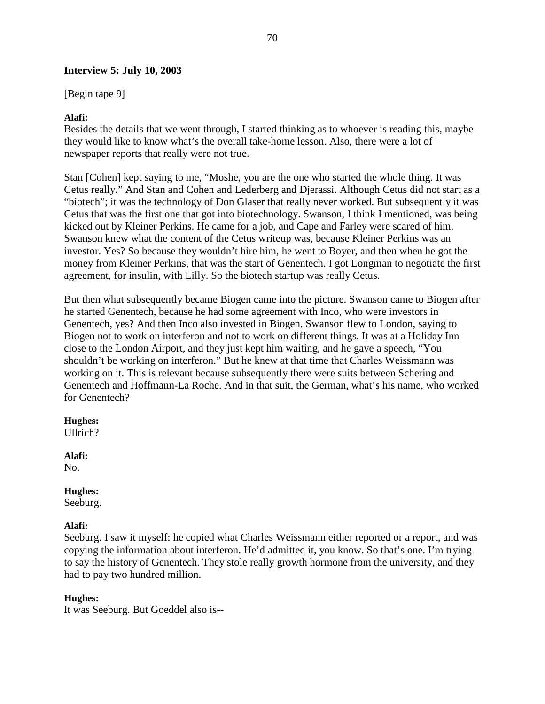# **Interview 5: July 10, 2003**

[Begin tape 9]

### **Alafi:**

Besides the details that we went through, I started thinking as to whoever is reading this, maybe they would like to know what's the overall take-home lesson. Also, there were a lot of newspaper reports that really were not true.

Stan [Cohen] kept saying to me, "Moshe, you are the one who started the whole thing. It was Cetus really." And Stan and Cohen and Lederberg and Djerassi. Although Cetus did not start as a "biotech"; it was the technology of Don Glaser that really never worked. But subsequently it was Cetus that was the first one that got into biotechnology. Swanson, I think I mentioned, was being kicked out by Kleiner Perkins. He came for a job, and Cape and Farley were scared of him. Swanson knew what the content of the Cetus writeup was, because Kleiner Perkins was an investor. Yes? So because they wouldn't hire him, he went to Boyer, and then when he got the money from Kleiner Perkins, that was the start of Genentech. I got Longman to negotiate the first agreement, for insulin, with Lilly. So the biotech startup was really Cetus.

But then what subsequently became Biogen came into the picture. Swanson came to Biogen after he started Genentech, because he had some agreement with Inco, who were investors in Genentech, yes? And then Inco also invested in Biogen. Swanson flew to London, saying to Biogen not to work on interferon and not to work on different things. It was at a Holiday Inn close to the London Airport, and they just kept him waiting, and he gave a speech, "You shouldn't be working on interferon." But he knew at that time that Charles Weissmann was working on it. This is relevant because subsequently there were suits between Schering and Genentech and Hoffmann-La Roche. And in that suit, the German, what's his name, who worked for Genentech?

# **Hughes:**

Ullrich?

# **Alafi:**

No.

# **Hughes:**

Seeburg.

# **Alafi:**

Seeburg. I saw it myself: he copied what Charles Weissmann either reported or a report, and was copying the information about interferon. He'd admitted it, you know. So that's one. I'm trying to say the history of Genentech. They stole really growth hormone from the university, and they had to pay two hundred million.

# **Hughes:**

It was Seeburg. But Goeddel also is--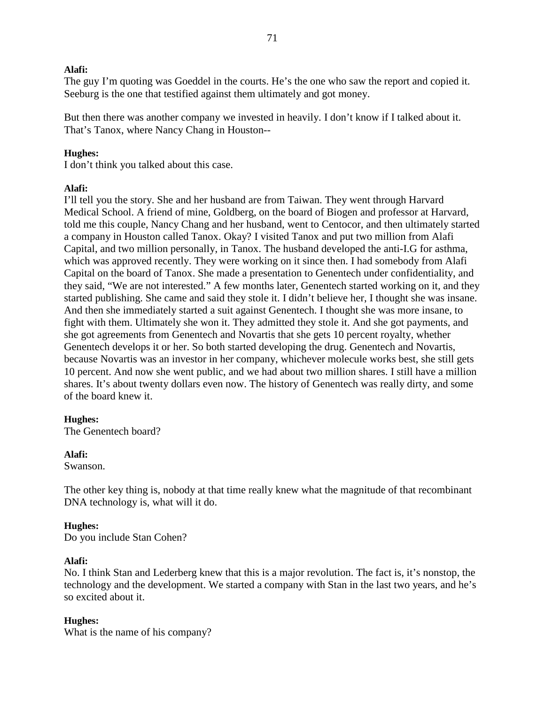The guy I'm quoting was Goeddel in the courts. He's the one who saw the report and copied it. Seeburg is the one that testified against them ultimately and got money.

But then there was another company we invested in heavily. I don't know if I talked about it. That's Tanox, where Nancy Chang in Houston--

### **Hughes:**

I don't think you talked about this case.

### **Alafi:**

I'll tell you the story. She and her husband are from Taiwan. They went through Harvard Medical School. A friend of mine, Goldberg, on the board of Biogen and professor at Harvard, told me this couple, Nancy Chang and her husband, went to Centocor, and then ultimately started a company in Houston called Tanox. Okay? I visited Tanox and put two million from Alafi Capital, and two million personally, in Tanox. The husband developed the anti-I.G for asthma, which was approved recently. They were working on it since then. I had somebody from Alafi Capital on the board of Tanox. She made a presentation to Genentech under confidentiality, and they said, "We are not interested." A few months later, Genentech started working on it, and they started publishing. She came and said they stole it. I didn't believe her, I thought she was insane. And then she immediately started a suit against Genentech. I thought she was more insane, to fight with them. Ultimately she won it. They admitted they stole it. And she got payments, and she got agreements from Genentech and Novartis that she gets 10 percent royalty, whether Genentech develops it or her. So both started developing the drug. Genentech and Novartis, because Novartis was an investor in her company, whichever molecule works best, she still gets 10 percent. And now she went public, and we had about two million shares. I still have a million shares. It's about twenty dollars even now. The history of Genentech was really dirty, and some of the board knew it.

### **Hughes:**

The Genentech board?

### **Alafi:**

Swanson.

The other key thing is, nobody at that time really knew what the magnitude of that recombinant DNA technology is, what will it do.

### **Hughes:**

Do you include Stan Cohen?

### **Alafi:**

No. I think Stan and Lederberg knew that this is a major revolution. The fact is, it's nonstop, the technology and the development. We started a company with Stan in the last two years, and he's so excited about it.

### **Hughes:**

What is the name of his company?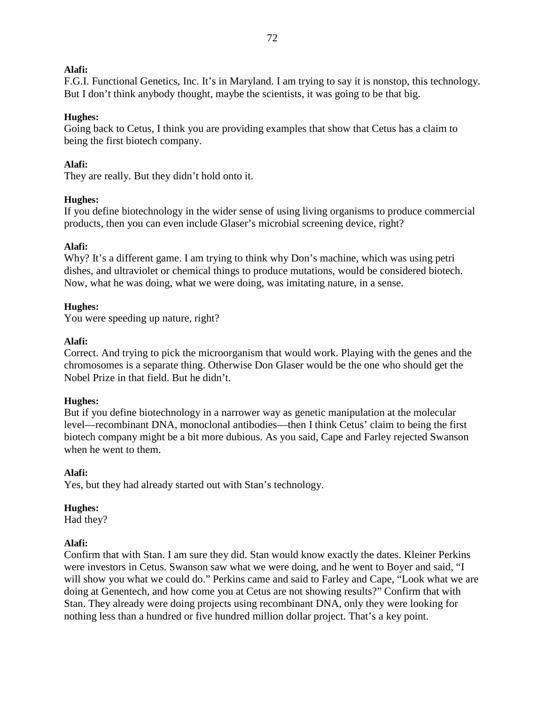F.G.I. Functional Genetics, Inc. It's in Maryland. I am trying to say it is nonstop, this technology. But I don't think anybody thought, maybe the scientists, it was going to be that big.

# **Hughes:**

Going back to Cetus, I think you are providing examples that show that Cetus has a claim to being the first biotech company.

# **Alafi:**

They are really. But they didn't hold onto it.

# **Hughes:**

If you define biotechnology in the wider sense of using living organisms to produce commercial products, then you can even include Glaser's microbial screening device, right?

# **Alafi:**

Why? It's a different game. I am trying to think why Don's machine, which was using petri dishes, and ultraviolet or chemical things to produce mutations, would be considered biotech. Now, what he was doing, what we were doing, was imitating nature, in a sense.

# **Hughes:**

You were speeding up nature, right?

# **Alafi:**

Correct. And trying to pick the microorganism that would work. Playing with the genes and the chromosomes is a separate thing. Otherwise Don Glaser would be the one who should get the Nobel Prize in that field. But he didn't.

# **Hughes:**

But if you define biotechnology in a narrower way as genetic manipulation at the molecular level—recombinant DNA, monoclonal antibodies—then I think Cetus' claim to being the first biotech company might be a bit more dubious. As you said, Cape and Farley rejected Swanson when he went to them.

# **Alafi:**

Yes, but they had already started out with Stan's technology.

# **Hughes:**

Had they?

# **Alafi:**

Confirm that with Stan. I am sure they did. Stan would know exactly the dates. Kleiner Perkins were investors in Cetus. Swanson saw what we were doing, and he went to Boyer and said, "I will show you what we could do." Perkins came and said to Farley and Cape, "Look what we are doing at Genentech, and how come you at Cetus are not showing results?" Confirm that with Stan. They already were doing projects using recombinant DNA, only they were looking for nothing less than a hundred or five hundred million dollar project. That's a key point.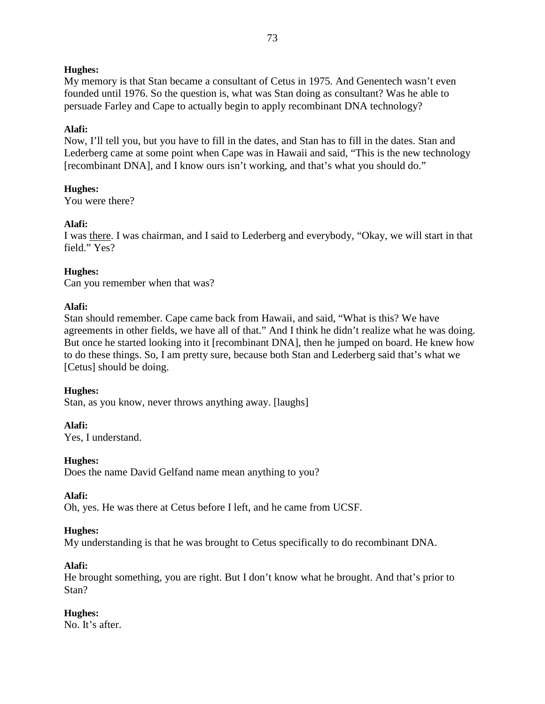### **Hughes:**

My memory is that Stan became a consultant of Cetus in 1975. And Genentech wasn't even founded until 1976. So the question is, what was Stan doing as consultant? Was he able to persuade Farley and Cape to actually begin to apply recombinant DNA technology?

### **Alafi:**

Now, I'll tell you, but you have to fill in the dates, and Stan has to fill in the dates. Stan and Lederberg came at some point when Cape was in Hawaii and said, "This is the new technology [recombinant DNA], and I know ours isn't working, and that's what you should do."

# **Hughes:**

You were there?

### **Alafi:**

I was there. I was chairman, and I said to Lederberg and everybody, "Okay, we will start in that field." Yes?

# **Hughes:**

Can you remember when that was?

### **Alafi:**

Stan should remember. Cape came back from Hawaii, and said, "What is this? We have agreements in other fields, we have all of that." And I think he didn't realize what he was doing. But once he started looking into it [recombinant DNA], then he jumped on board. He knew how to do these things. So, I am pretty sure, because both Stan and Lederberg said that's what we [Cetus] should be doing.

#### **Hughes:** Stan, as you know, never throws anything away. [laughs]

**Alafi:** Yes, I understand.

# **Hughes:**

Does the name David Gelfand name mean anything to you?

# **Alafi:**

Oh, yes. He was there at Cetus before I left, and he came from UCSF.

# **Hughes:**

My understanding is that he was brought to Cetus specifically to do recombinant DNA.

### **Alafi:**

He brought something, you are right. But I don't know what he brought. And that's prior to Stan?

# **Hughes:**

No. It's after.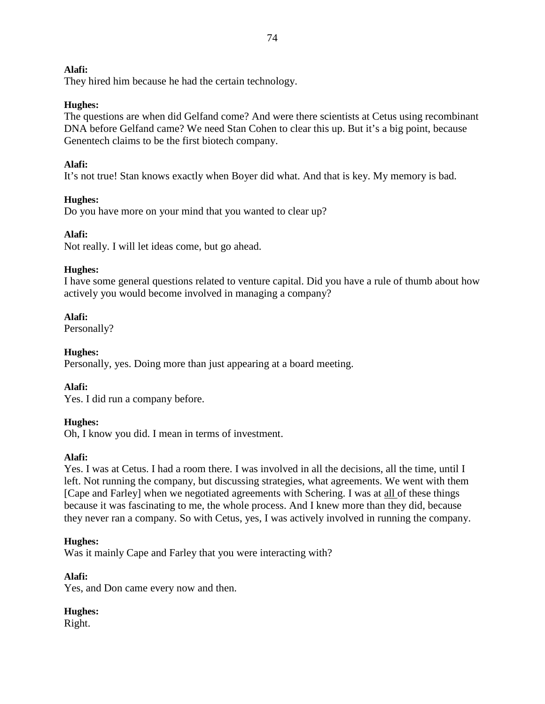They hired him because he had the certain technology.

# **Hughes:**

The questions are when did Gelfand come? And were there scientists at Cetus using recombinant DNA before Gelfand came? We need Stan Cohen to clear this up. But it's a big point, because Genentech claims to be the first biotech company.

# **Alafi:**

It's not true! Stan knows exactly when Boyer did what. And that is key. My memory is bad.

# **Hughes:**

Do you have more on your mind that you wanted to clear up?

# **Alafi:**

Not really. I will let ideas come, but go ahead.

# **Hughes:**

I have some general questions related to venture capital. Did you have a rule of thumb about how actively you would become involved in managing a company?

# **Alafi:**

Personally?

# **Hughes:**

Personally, yes. Doing more than just appearing at a board meeting.

# **Alafi:**

Yes. I did run a company before.

# **Hughes:**

Oh, I know you did. I mean in terms of investment.

# **Alafi:**

Yes. I was at Cetus. I had a room there. I was involved in all the decisions, all the time, until I left. Not running the company, but discussing strategies, what agreements. We went with them [Cape and Farley] when we negotiated agreements with Schering. I was at all of these things because it was fascinating to me, the whole process. And I knew more than they did, because they never ran a company. So with Cetus, yes, I was actively involved in running the company.

# **Hughes:**

Was it mainly Cape and Farley that you were interacting with?

# **Alafi:**

Yes, and Don came every now and then.

# **Hughes:**

Right.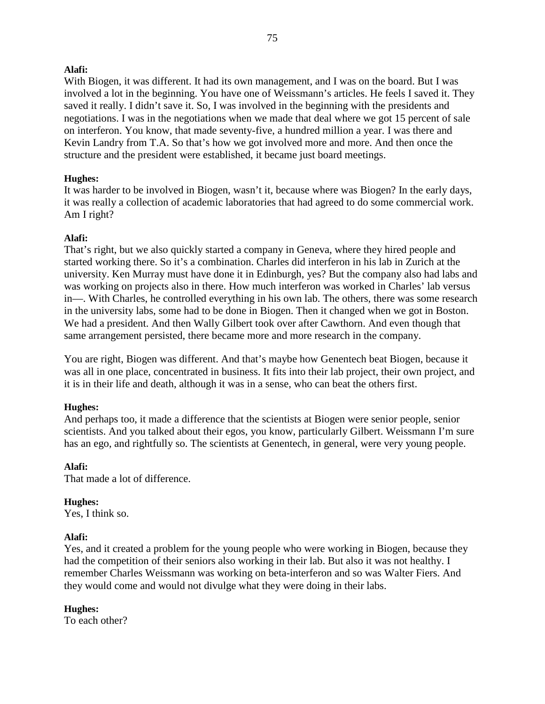With Biogen, it was different. It had its own management, and I was on the board. But I was involved a lot in the beginning. You have one of Weissmann's articles. He feels I saved it. They saved it really. I didn't save it. So, I was involved in the beginning with the presidents and negotiations. I was in the negotiations when we made that deal where we got 15 percent of sale on interferon. You know, that made seventy-five, a hundred million a year. I was there and Kevin Landry from T.A. So that's how we got involved more and more. And then once the structure and the president were established, it became just board meetings.

# **Hughes:**

It was harder to be involved in Biogen, wasn't it, because where was Biogen? In the early days, it was really a collection of academic laboratories that had agreed to do some commercial work. Am I right?

### **Alafi:**

That's right, but we also quickly started a company in Geneva, where they hired people and started working there. So it's a combination. Charles did interferon in his lab in Zurich at the university. Ken Murray must have done it in Edinburgh, yes? But the company also had labs and was working on projects also in there. How much interferon was worked in Charles' lab versus in—. With Charles, he controlled everything in his own lab. The others, there was some research in the university labs, some had to be done in Biogen. Then it changed when we got in Boston. We had a president. And then Wally Gilbert took over after Cawthorn. And even though that same arrangement persisted, there became more and more research in the company.

You are right, Biogen was different. And that's maybe how Genentech beat Biogen, because it was all in one place, concentrated in business. It fits into their lab project, their own project, and it is in their life and death, although it was in a sense, who can beat the others first.

### **Hughes:**

And perhaps too, it made a difference that the scientists at Biogen were senior people, senior scientists. And you talked about their egos, you know, particularly Gilbert. Weissmann I'm sure has an ego, and rightfully so. The scientists at Genentech, in general, were very young people.

### **Alafi:**

That made a lot of difference.

# **Hughes:**

Yes, I think so.

# **Alafi:**

Yes, and it created a problem for the young people who were working in Biogen, because they had the competition of their seniors also working in their lab. But also it was not healthy. I remember Charles Weissmann was working on beta-interferon and so was Walter Fiers. And they would come and would not divulge what they were doing in their labs.

# **Hughes:**

To each other?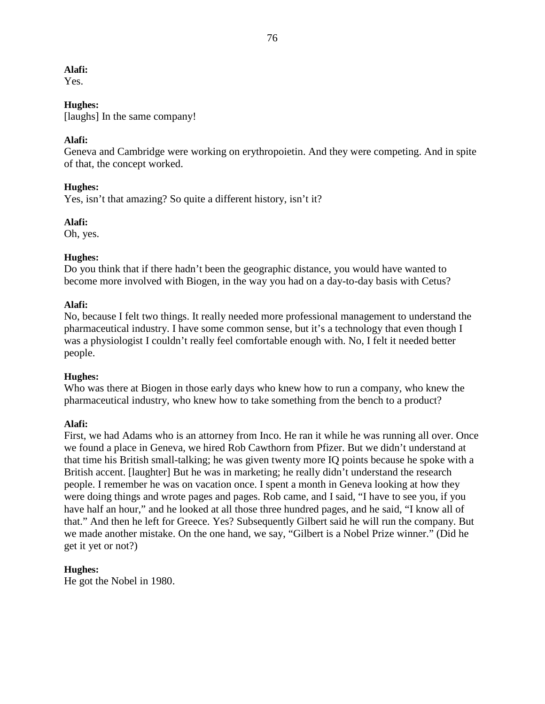Yes.

### **Hughes:**

[laughs] In the same company!

### **Alafi:**

Geneva and Cambridge were working on erythropoietin. And they were competing. And in spite of that, the concept worked.

### **Hughes:**

Yes, isn't that amazing? So quite a different history, isn't it?

### **Alafi:**

Oh, yes.

# **Hughes:**

Do you think that if there hadn't been the geographic distance, you would have wanted to become more involved with Biogen, in the way you had on a day-to-day basis with Cetus?

### **Alafi:**

No, because I felt two things. It really needed more professional management to understand the pharmaceutical industry. I have some common sense, but it's a technology that even though I was a physiologist I couldn't really feel comfortable enough with. No, I felt it needed better people.

# **Hughes:**

Who was there at Biogen in those early days who knew how to run a company, who knew the pharmaceutical industry, who knew how to take something from the bench to a product?

### **Alafi:**

First, we had Adams who is an attorney from Inco. He ran it while he was running all over. Once we found a place in Geneva, we hired Rob Cawthorn from Pfizer. But we didn't understand at that time his British small-talking; he was given twenty more IQ points because he spoke with a British accent. [laughter] But he was in marketing; he really didn't understand the research people. I remember he was on vacation once. I spent a month in Geneva looking at how they were doing things and wrote pages and pages. Rob came, and I said, "I have to see you, if you have half an hour," and he looked at all those three hundred pages, and he said, "I know all of that." And then he left for Greece. Yes? Subsequently Gilbert said he will run the company. But we made another mistake. On the one hand, we say, "Gilbert is a Nobel Prize winner." (Did he get it yet or not?)

# **Hughes:**

He got the Nobel in 1980.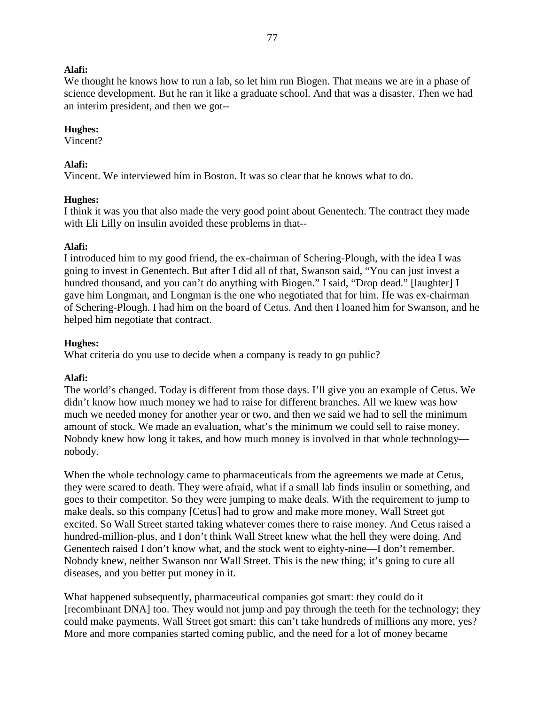We thought he knows how to run a lab, so let him run Biogen. That means we are in a phase of science development. But he ran it like a graduate school. And that was a disaster. Then we had an interim president, and then we got--

#### **Hughes:**

Vincent?

#### **Alafi:**

Vincent. We interviewed him in Boston. It was so clear that he knows what to do.

#### **Hughes:**

I think it was you that also made the very good point about Genentech. The contract they made with Eli Lilly on insulin avoided these problems in that--

#### **Alafi:**

I introduced him to my good friend, the ex-chairman of Schering-Plough, with the idea I was going to invest in Genentech. But after I did all of that, Swanson said, "You can just invest a hundred thousand, and you can't do anything with Biogen." I said, "Drop dead." [laughter] I gave him Longman, and Longman is the one who negotiated that for him. He was ex-chairman of Schering-Plough. I had him on the board of Cetus. And then I loaned him for Swanson, and he helped him negotiate that contract.

#### **Hughes:**

What criteria do you use to decide when a company is ready to go public?

#### **Alafi:**

The world's changed. Today is different from those days. I'll give you an example of Cetus. We didn't know how much money we had to raise for different branches. All we knew was how much we needed money for another year or two, and then we said we had to sell the minimum amount of stock. We made an evaluation, what's the minimum we could sell to raise money. Nobody knew how long it takes, and how much money is involved in that whole technology nobody.

When the whole technology came to pharmaceuticals from the agreements we made at Cetus, they were scared to death. They were afraid, what if a small lab finds insulin or something, and goes to their competitor. So they were jumping to make deals. With the requirement to jump to make deals, so this company [Cetus] had to grow and make more money, Wall Street got excited. So Wall Street started taking whatever comes there to raise money. And Cetus raised a hundred-million-plus, and I don't think Wall Street knew what the hell they were doing. And Genentech raised I don't know what, and the stock went to eighty-nine—I don't remember. Nobody knew, neither Swanson nor Wall Street. This is the new thing; it's going to cure all diseases, and you better put money in it.

What happened subsequently, pharmaceutical companies got smart: they could do it [recombinant DNA] too. They would not jump and pay through the teeth for the technology; they could make payments. Wall Street got smart: this can't take hundreds of millions any more, yes? More and more companies started coming public, and the need for a lot of money became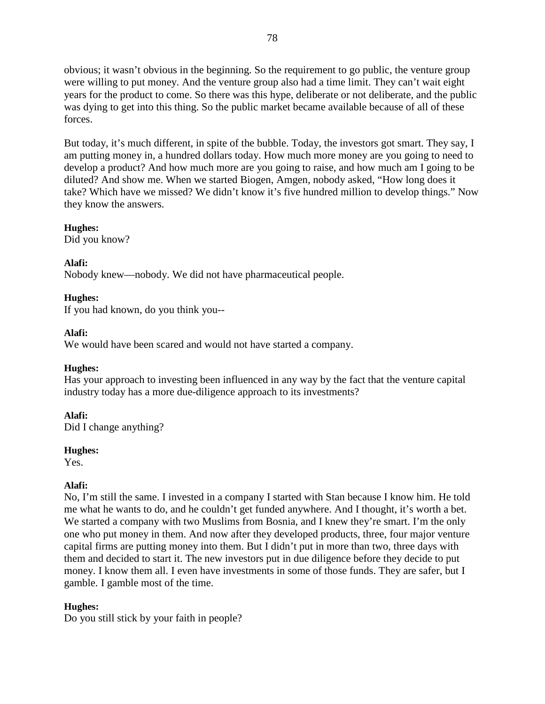obvious; it wasn't obvious in the beginning. So the requirement to go public, the venture group were willing to put money. And the venture group also had a time limit. They can't wait eight years for the product to come. So there was this hype, deliberate or not deliberate, and the public was dying to get into this thing. So the public market became available because of all of these forces.

But today, it's much different, in spite of the bubble. Today, the investors got smart. They say, I am putting money in, a hundred dollars today. How much more money are you going to need to develop a product? And how much more are you going to raise, and how much am I going to be diluted? And show me. When we started Biogen, Amgen, nobody asked, "How long does it take? Which have we missed? We didn't know it's five hundred million to develop things." Now they know the answers.

# **Hughes:**

Did you know?

# **Alafi:**

Nobody knew—nobody. We did not have pharmaceutical people.

# **Hughes:**

If you had known, do you think you--

# **Alafi:**

We would have been scared and would not have started a company.

# **Hughes:**

Has your approach to investing been influenced in any way by the fact that the venture capital industry today has a more due-diligence approach to its investments?

# **Alafi:**

Did I change anything?

### **Hughes:**

Yes.

# **Alafi:**

No, I'm still the same. I invested in a company I started with Stan because I know him. He told me what he wants to do, and he couldn't get funded anywhere. And I thought, it's worth a bet. We started a company with two Muslims from Bosnia, and I knew they're smart. I'm the only one who put money in them. And now after they developed products, three, four major venture capital firms are putting money into them. But I didn't put in more than two, three days with them and decided to start it. The new investors put in due diligence before they decide to put money. I know them all. I even have investments in some of those funds. They are safer, but I gamble. I gamble most of the time.

# **Hughes:**

Do you still stick by your faith in people?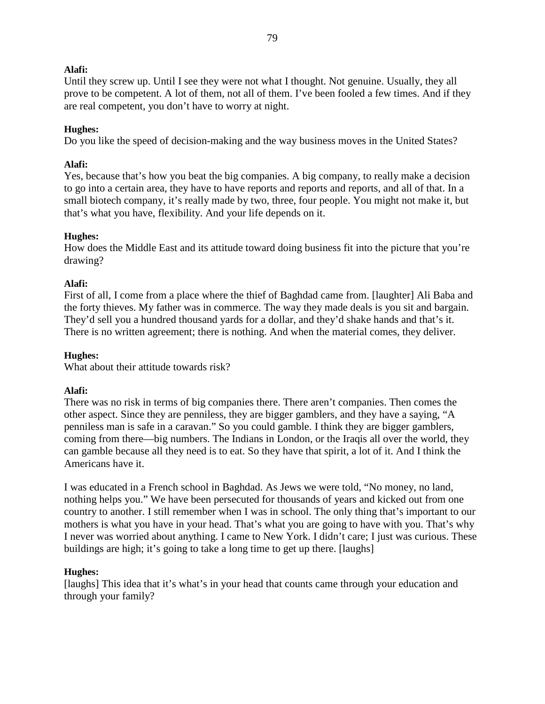Until they screw up. Until I see they were not what I thought. Not genuine. Usually, they all prove to be competent. A lot of them, not all of them. I've been fooled a few times. And if they are real competent, you don't have to worry at night.

### **Hughes:**

Do you like the speed of decision-making and the way business moves in the United States?

### **Alafi:**

Yes, because that's how you beat the big companies. A big company, to really make a decision to go into a certain area, they have to have reports and reports and reports, and all of that. In a small biotech company, it's really made by two, three, four people. You might not make it, but that's what you have, flexibility. And your life depends on it.

### **Hughes:**

How does the Middle East and its attitude toward doing business fit into the picture that you're drawing?

### **Alafi:**

First of all, I come from a place where the thief of Baghdad came from. [laughter] Ali Baba and the forty thieves. My father was in commerce. The way they made deals is you sit and bargain. They'd sell you a hundred thousand yards for a dollar, and they'd shake hands and that's it. There is no written agreement; there is nothing. And when the material comes, they deliver.

### **Hughes:**

What about their attitude towards risk?

### **Alafi:**

There was no risk in terms of big companies there. There aren't companies. Then comes the other aspect. Since they are penniless, they are bigger gamblers, and they have a saying, "A penniless man is safe in a caravan." So you could gamble. I think they are bigger gamblers, coming from there—big numbers. The Indians in London, or the Iraqis all over the world, they can gamble because all they need is to eat. So they have that spirit, a lot of it. And I think the Americans have it.

I was educated in a French school in Baghdad. As Jews we were told, "No money, no land, nothing helps you." We have been persecuted for thousands of years and kicked out from one country to another. I still remember when I was in school. The only thing that's important to our mothers is what you have in your head. That's what you are going to have with you. That's why I never was worried about anything. I came to New York. I didn't care; I just was curious. These buildings are high; it's going to take a long time to get up there. [laughs]

### **Hughes:**

[laughs] This idea that it's what's in your head that counts came through your education and through your family?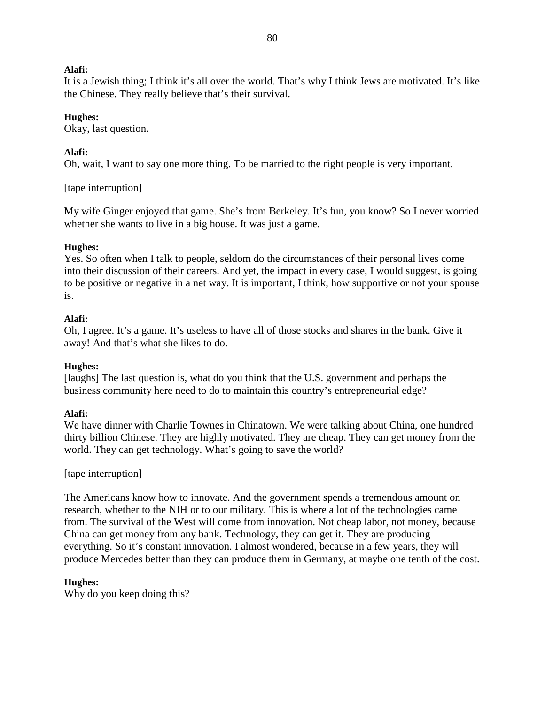It is a Jewish thing; I think it's all over the world. That's why I think Jews are motivated. It's like the Chinese. They really believe that's their survival.

### **Hughes:**

Okay, last question.

### **Alafi:**

Oh, wait, I want to say one more thing. To be married to the right people is very important.

### [tape interruption]

My wife Ginger enjoyed that game. She's from Berkeley. It's fun, you know? So I never worried whether she wants to live in a big house. It was just a game.

### **Hughes:**

Yes. So often when I talk to people, seldom do the circumstances of their personal lives come into their discussion of their careers. And yet, the impact in every case, I would suggest, is going to be positive or negative in a net way. It is important, I think, how supportive or not your spouse is.

### **Alafi:**

Oh, I agree. It's a game. It's useless to have all of those stocks and shares in the bank. Give it away! And that's what she likes to do.

### **Hughes:**

[laughs] The last question is, what do you think that the U.S. government and perhaps the business community here need to do to maintain this country's entrepreneurial edge?

### **Alafi:**

We have dinner with Charlie Townes in Chinatown. We were talking about China, one hundred thirty billion Chinese. They are highly motivated. They are cheap. They can get money from the world. They can get technology. What's going to save the world?

### [tape interruption]

The Americans know how to innovate. And the government spends a tremendous amount on research, whether to the NIH or to our military. This is where a lot of the technologies came from. The survival of the West will come from innovation. Not cheap labor, not money, because China can get money from any bank. Technology, they can get it. They are producing everything. So it's constant innovation. I almost wondered, because in a few years, they will produce Mercedes better than they can produce them in Germany, at maybe one tenth of the cost.

### **Hughes:**

Why do you keep doing this?